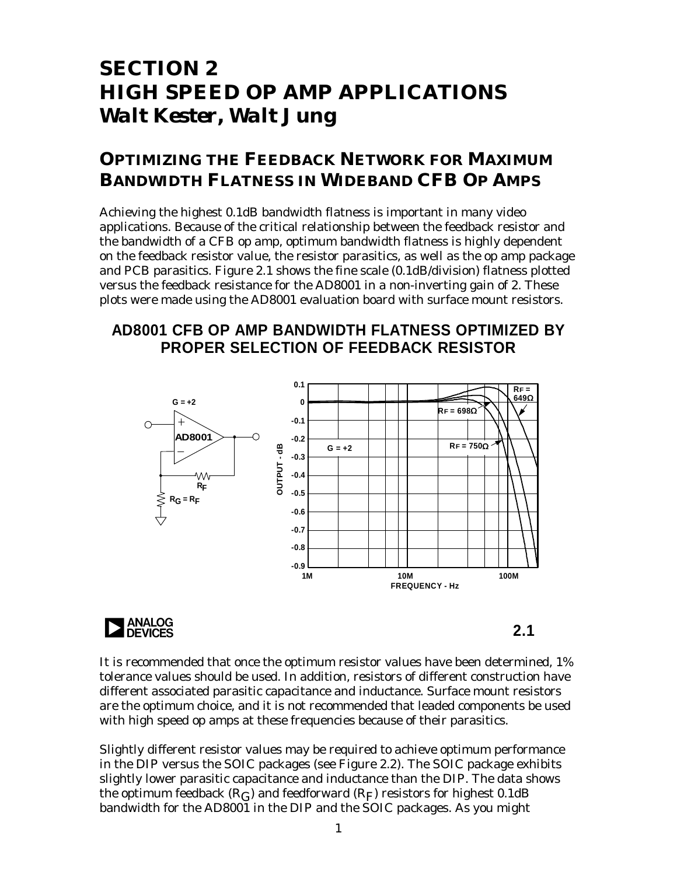# **SECTION 2 HIGH SPEED OP AMP APPLICATIONS** *Walt Kester, Walt Jung*

## **OPTIMIZING THE FEEDBACK NETWORK FOR MAXIMUM BANDWIDTH FLATNESS IN WIDEBAND CFB OP AMPS**

Achieving the highest 0.1dB bandwidth flatness is important in many video applications. Because of the critical relationship between the feedback resistor and the bandwidth of a CFB op amp, optimum bandwidth flatness is highly dependent on the feedback resistor value, the resistor parasitics, as well as the op amp package and PCB parasitics. Figure 2.1 shows the fine scale (0.1dB/division) flatness plotted versus the feedback resistance for the AD8001 in a non-inverting gain of 2. These plots were made using the AD8001 evaluation board with surface mount resistors.

#### **AD8001 CFB OP AMP BANDWIDTH FLATNESS OPTIMIZED BY PROPER SELECTION OF FEEDBACK RESISTOR**





It is recommended that once the optimum resistor values have been determined, 1% tolerance values should be used. In addition, resistors of different construction have different associated parasitic capacitance and inductance. Surface mount resistors are the optimum choice, and it is not recommended that leaded components be used with high speed op amps at these frequencies because of their parasitics.

Slightly different resistor values may be required to achieve optimum performance in the DIP versus the SOIC packages (see Figure 2.2). The SOIC package exhibits slightly lower parasitic capacitance and inductance than the DIP. The data shows the optimum feedback  $(R_G)$  and feedforward  $(R_F)$  resistors for highest 0.1dB bandwidth for the AD8001 in the DIP and the SOIC packages. As you might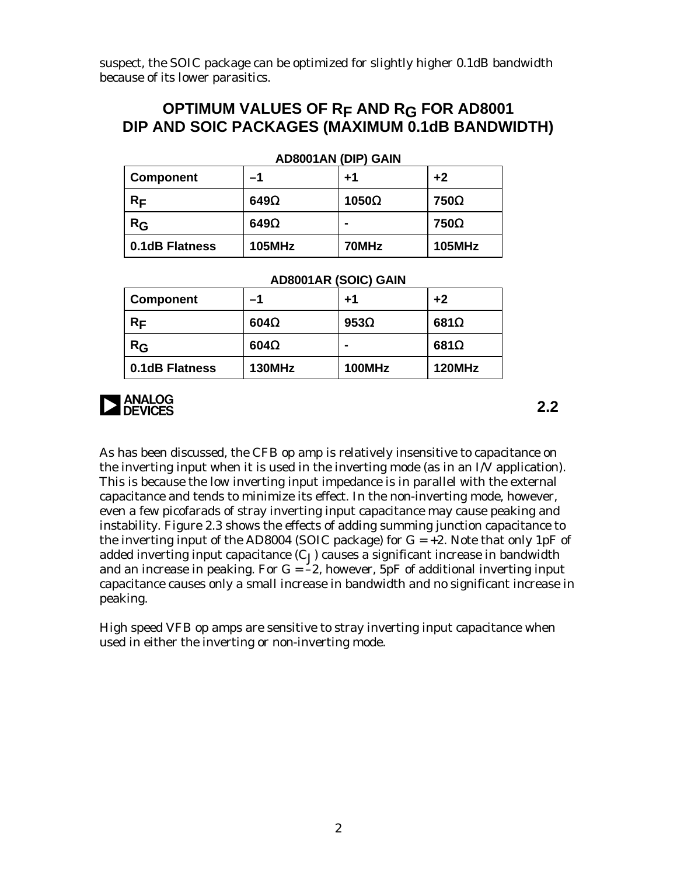suspect, the SOIC package can be optimized for slightly higher 0.1dB bandwidth because of its lower parasitics.

#### **OPTIMUM VALUES OF RF AND RG FOR AD8001 DIP AND SOIC PACKAGES (MAXIMUM 0.1dB BANDWIDTH)**

| <b>ADOUUTAR IDII JUARI</b> |               |              |               |  |  |  |
|----------------------------|---------------|--------------|---------------|--|--|--|
| <b>Component</b>           | -1            | $+1$         | $+2$          |  |  |  |
| Rг                         | 649 $\Omega$  | $1050\Omega$ | $750\Omega$   |  |  |  |
| $R_G$                      | 649 $\Omega$  | -            | $750\Omega$   |  |  |  |
| 0.1dB Flatness             | <b>105MHz</b> | 70MHz        | <b>105MHz</b> |  |  |  |

#### **AD8001AN (DIP) GAIN**

| AD8001AR (SOIC) GAIN |  |  |
|----------------------|--|--|
|----------------------|--|--|

| <b>Component</b> | -1            | $+1$        | $+2$          |
|------------------|---------------|-------------|---------------|
| Rг               | $604\Omega$   | $953\Omega$ | $681\Omega$   |
| $R_G$            | $604\Omega$   |             | $681\Omega$   |
| 0.1dB Flatness   | <b>130MHz</b> | 100MHz      | <b>120MHz</b> |



**2.2**

As has been discussed, the CFB op amp is relatively insensitive to capacitance on the inverting input when it is used in the inverting mode (as in an I/V application). This is because the low inverting input impedance is in parallel with the external capacitance and tends to minimize its effect. In the non-inverting mode, however, even a few picofarads of stray inverting input capacitance may cause peaking and instability. Figure 2.3 shows the effects of adding summing junction capacitance to the inverting input of the AD8004 (SOIC package) for  $G = +2$ . Note that only 1pF of added inverting input capacitance  $(C_J)$  causes a significant increase in bandwidth and an increase in peaking. For  $G = -2$ , however, 5pF of additional inverting input capacitance causes only a small increase in bandwidth and no significant increase in peaking.

High speed VFB op amps are sensitive to stray inverting input capacitance when used in either the inverting or non-inverting mode.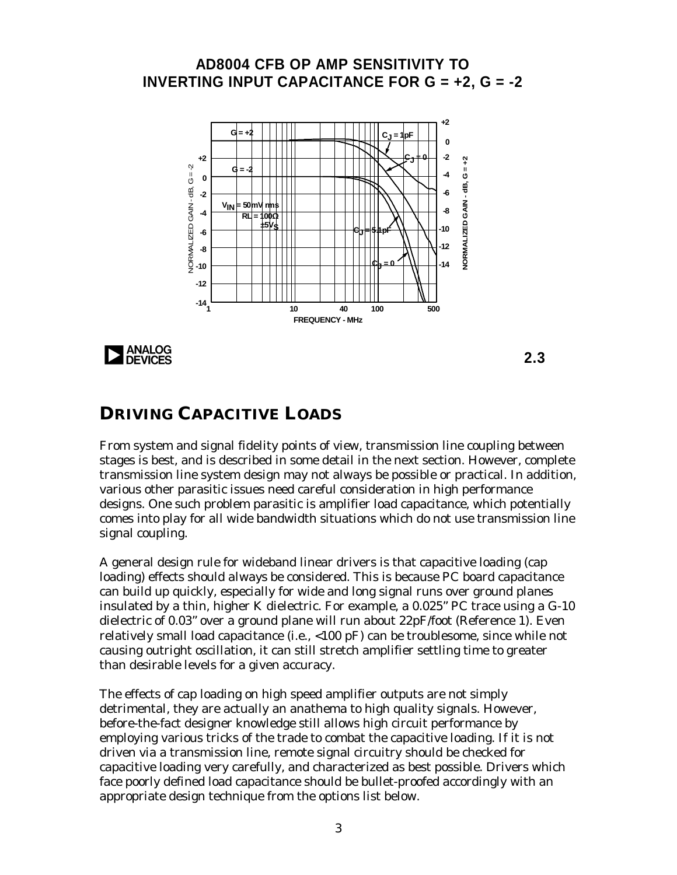#### **AD8004 CFB OP AMP SENSITIVITY TO INVERTING INPUT CAPACITANCE FOR G = +2, G = -2**





## **DRIVING CAPACITIVE LOADS**

From system and signal fidelity points of view, transmission line coupling between stages is best, and is described in some detail in the next section. However, complete transmission line system design may not always be possible or practical. In addition, various other parasitic issues need careful consideration in high performance designs. One such problem parasitic is amplifier load capacitance, which potentially comes into play for all wide bandwidth situations which do not use transmission line signal coupling.

A general design rule for wideband linear drivers is that capacitive loading (cap loading) effects should *always* be considered. This is because PC board capacitance can build up quickly, especially for wide and long signal runs over ground planes insulated by a thin, higher K dielectric. For example, a 0.025" PC trace using a G-10 dielectric of 0.03" over a ground plane will run about 22pF/foot (Reference 1). Even relatively small load capacitance (i.e., <100 pF) can be troublesome, since while not causing outright oscillation, it can still stretch amplifier settling time to greater than desirable levels for a given accuracy.

The effects of cap loading on high speed amplifier outputs are not simply detrimental, they are actually an anathema to high quality signals. However, before-the-fact designer knowledge still allows high circuit performance by employing various tricks of the trade to combat the capacitive loading. If it is not driven via a transmission line, remote signal circuitry should be checked for capacitive loading very carefully, and characterized as best possible. Drivers which face poorly defined load capacitance should be bullet-proofed accordingly with an appropriate design technique from the options list below.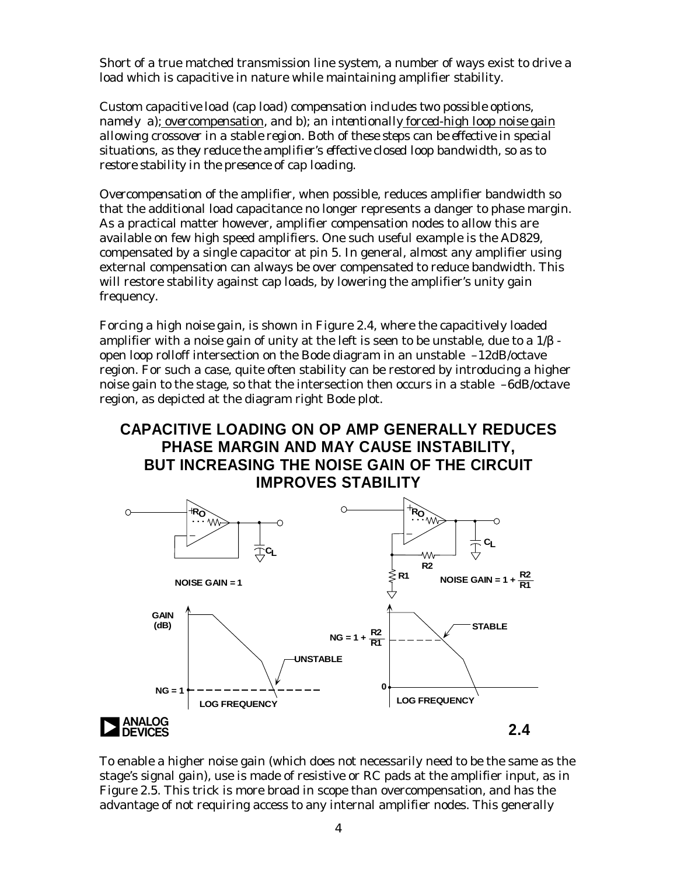Short of a true matched transmission line system, a number of ways exist to drive a load which is capacitive in nature while maintaining amplifier stability.

*Custom capacitive load (cap load) compensation includes two possible options, namely a); overcompensation, and b); an intentionally forced-high loop noise gain allowing crossover in a stable region. Both of these steps can be effective in special situations, as they reduce the amplifier's effective closed loop bandwidth, so as to restore stability in the presence of cap loading.*

*Overcompensation* of the amplifier, when possible, reduces amplifier bandwidth so that the additional load capacitance no longer represents a danger to phase margin. As a practical matter however, amplifier compensation nodes to allow this are available on few high speed amplifiers. One such useful example is the AD829, compensated by a single capacitor at pin 5. In general, almost any amplifier using external compensation can always be over compensated to reduce bandwidth. This will restore stability against cap loads, by lowering the amplifier's unity gain frequency.

*Forcing a high noise gain,* is shown in Figure 2.4, where the capacitively loaded amplifier with a noise gain of unity at the left is seen to be unstable, due to a  $1/\beta$  open loop rolloff intersection on the Bode diagram in an unstable –12dB/octave region. For such a case, quite often stability can be restored by introducing a higher noise gain to the stage, so that the intersection then occurs in a stable –6dB/octave region, as depicted at the diagram right Bode plot.



To enable a higher noise gain (which does not necessarily need to be the same as the stage's *signal gain*), use is made of resistive or RC pads at the amplifier input, as in Figure 2.5. This trick is more broad in scope than overcompensation, and has the advantage of not requiring access to any internal amplifier nodes. This generally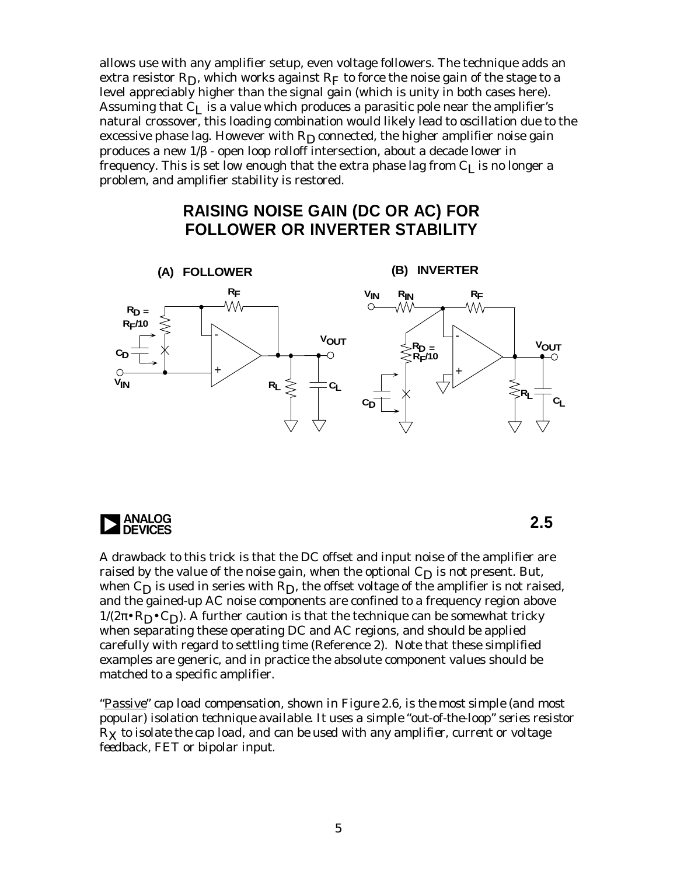allows use with any amplifier setup, even voltage followers. The technique adds an extra resistor  $R_D$ , which works against  $R_F$  to force the noise gain of the stage to a level appreciably higher than the signal gain (which is unity in both cases here). Assuming that  $C_{\text{L}}$  is a value which produces a parasitic pole near the amplifier's natural crossover, this loading combination would likely lead to oscillation due to the excessive phase lag. However with  $R_D$  connected, the higher amplifier noise gain produces a new 1/β - open loop rolloff intersection, about a decade lower in frequency. This is set low enough that the extra phase lag from  $C_L$  is no longer a problem, and amplifier stability is restored.

#### **RAISING NOISE GAIN (DC OR AC) FOR FOLLOWER OR INVERTER STABILITY**





A drawback to this trick is that the DC offset and input noise of the amplifier are raised by the value of the noise gain, when the optional  $C_D$  is *not* present. But, when  $C_D$  is used in series with  $R_D$ , the offset voltage of the amplifier is not raised, and the gained-up AC noise components are confined to a frequency region above  $1/(2\pi \cdot R_D \cdot C_D)$ . A further caution is that the technique can be somewhat tricky when separating these operating DC and AC regions, and should be applied carefully with regard to settling time (Reference 2). Note that these simplified examples are generic, and in practice the absolute component values should be matched to a specific amplifier.

*"Passive" cap load compensation, shown in Figure 2.6, is the most simple (and most popular) isolation technique available. It uses a simple "out-of-the-loop" series resistor RX to isolate the cap load, and can be used with any amplifier, current or voltage feedback, FET or bipolar input.*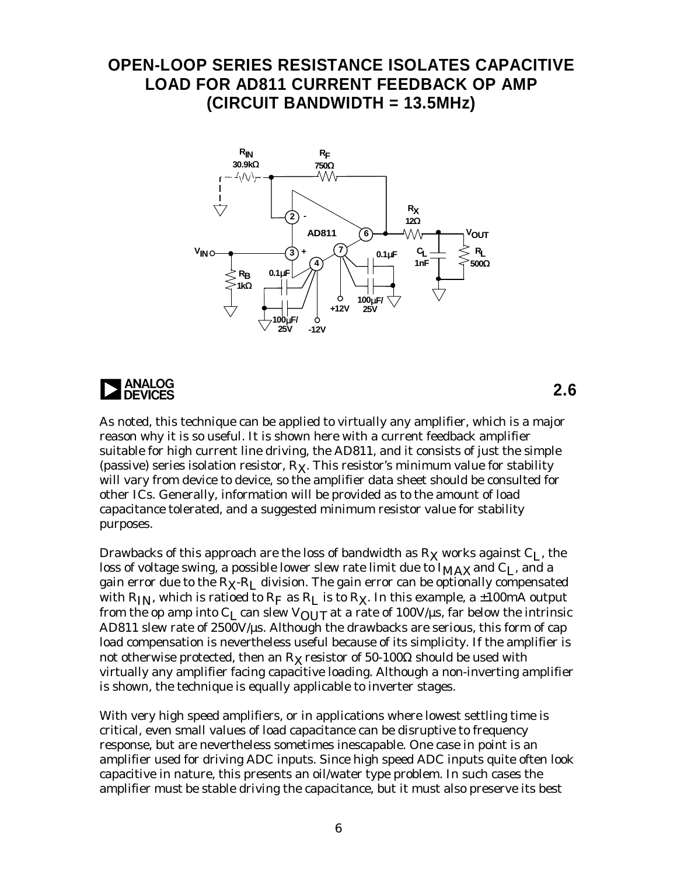## **OPEN-LOOP SERIES RESISTANCE ISOLATES CAPACITIVE LOAD FOR AD811 CURRENT FEEDBACK OP AMP (CIRCUIT BANDWIDTH = 13.5MHz)**





As noted, this technique can be applied to virtually any amplifier, which is a major reason why it is so useful. It is shown here with a current feedback amplifier suitable for high current line driving, the AD811, and it consists of just the simple (passive) series isolation resistor,  $R_X$ . This resistor's minimum value for stability will vary from device to device, so the amplifier data sheet should be consulted for other ICs. Generally, information will be provided as to the amount of load capacitance tolerated, and a suggested minimum resistor value for stability purposes.

**2.6**

Drawbacks of this approach are the loss of bandwidth as  $R_X$  works against  $C_L$ , the loss of voltage swing, a possible lower slew rate limit due to  $I_{MAX}$  and  $C_{L}$ , and a gain error due to the  $R_X-R_L$  division. The gain error can be optionally compensated with R<sub>IN</sub>, which is ratioed to R<sub>F</sub> as R<sub>L</sub> is to R<sub>X</sub>. In this example, a ±100mA output from the op amp into C<sub>L</sub> can slew V<sub>OUT</sub> at a rate of 100V/ $\mu$ s, far below the intrinsic AD811 slew rate of  $2500V/\mu s$ . Although the drawbacks are serious, this form of cap load compensation is nevertheless useful because of its simplicity. If the amplifier is not otherwise protected, then an R<sub>X</sub> resistor of 50-100 $\Omega$  should be used with virtually any amplifier facing capacitive loading. Although a non-inverting amplifier is shown, the technique is equally applicable to inverter stages.

With very high speed amplifiers, or in applications where lowest settling time is critical, even small values of load capacitance can be disruptive to frequency response, but are nevertheless sometimes inescapable. One case in point is an amplifier used for driving ADC inputs. Since high speed ADC inputs quite often look capacitive in nature, this presents an oil/water type problem. In such cases the amplifier *must* be stable driving the capacitance, but it must also preserve its best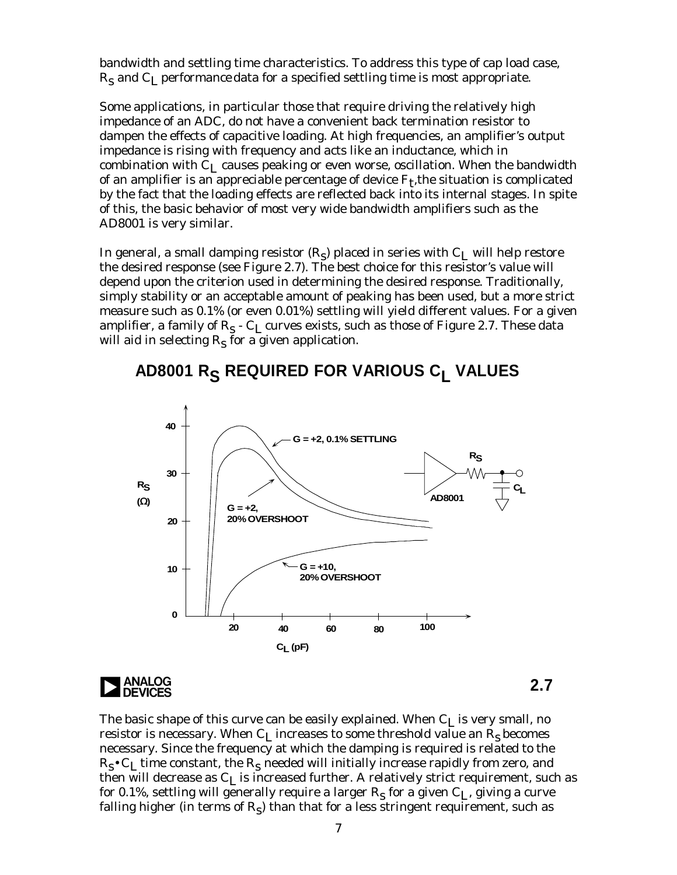bandwidth and settling time characteristics. To address this type of cap load case,  $R_s$  and  $C_l$  performance data for a specified settling time is most appropriate.

Some applications, in particular those that require driving the relatively high impedance of an ADC, do not have a convenient back termination resistor to dampen the effects of capacitive loading. At high frequencies, an amplifier's output impedance is rising with frequency and acts like an inductance, which in combination with  $C_{\text{I}}$  causes peaking or even worse, oscillation. When the bandwidth of an amplifier is an appreciable percentage of device  $\mathrm{F_{t},}$ the situation is complicated by the fact that the loading effects are reflected back into its internal stages. In spite of this, the basic behavior of most very wide bandwidth amplifiers such as the AD8001 is very similar.

In general, a small damping resistor (R<sub>S</sub>) placed in series with  $\rm C_L$  will help restore the desired response (see Figure 2.7). The best choice for this resistor's value will depend upon the criterion used in determining the desired response. Traditionally, simply stability or an acceptable amount of peaking has been used, but a more strict measure such as 0.1% (or even 0.01%) settling will yield different values. For a given amplifier, a family of  $\rm R_S$  -  $\rm C_L$  curves exists, such as those of Figure 2.7. These data will aid in selecting  $\mathrm{R}_\mathbf{S}$  for a given application.



## **AD8001 RS REQUIRED FOR VARIOUS CL VALUES**

The basic shape of this curve can be easily explained. When  $C_L$  is very small, no resistor is necessary. When  $\mathtt{C}_\mathsf{L}$  increases to some threshold value an  $\mathtt{R}_\mathsf{S}$  becomes necessary. Since the frequency at which the damping is required is related to the  $\mathrm {R}_{\mathbf S}\bullet \mathrm C_{\mathbf L}$  time constant, the  $\mathrm {R}_{\mathbf S}$  needed will initially increase rapidly from zero, and then will decrease as  $C_{L}$  is increased further. A relatively strict requirement, such as for 0.1%, settling will generally require a larger  $\rm R_S$  for a given  $\rm C_L$ , giving a curve falling higher (in terms of  $\mathrm{R}_\mathbf{S}$ ) than that for a less stringent requirement, such as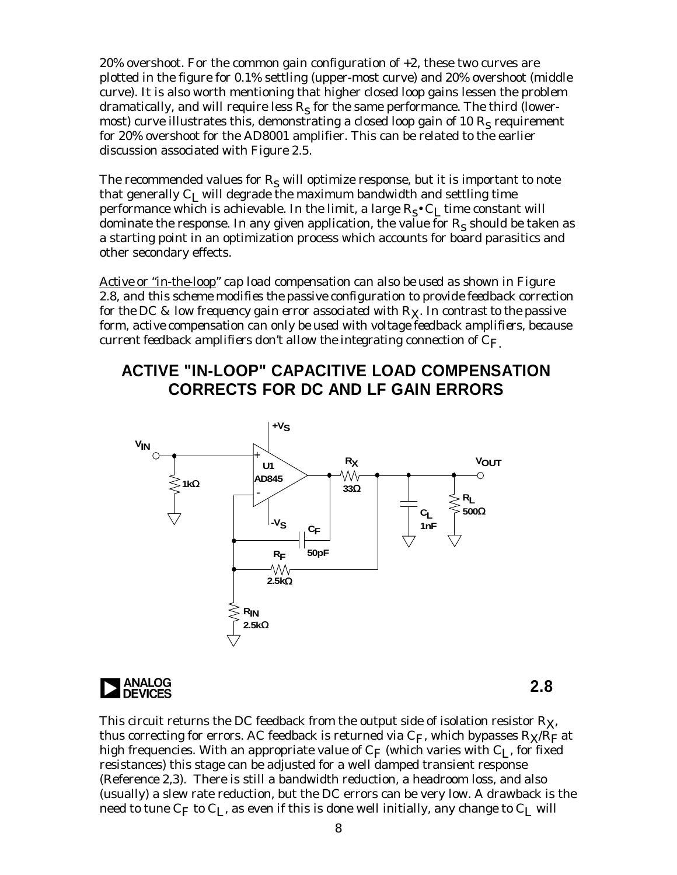20% overshoot. For the common gain configuration of +2, these two curves are plotted in the figure for 0.1% settling (upper-most curve) and 20% overshoot (middle curve). It is also worth mentioning that higher closed loop gains lessen the problem dramatically, and will require less  $\mathrm{R}_\mathbf{S}$  for the same performance. The third (lowermost) curve illustrates this, demonstrating a closed loop gain of 10  $\rm R_S$  requirement for 20% overshoot for the AD8001 amplifier. This can be related to the earlier discussion associated with Figure 2.5.

The recommended values for  $\mathrm{R}_\mathbf{S}$  will optimize response, but it is important to note that generally  $C_{L}$  will degrade the maximum bandwidth and settling time performance which is achievable. In the limit, a large  $R_S \cdot C_L$  time constant will dominate the response. In any given application, the value for  $\rm R_S$  should be taken as a starting point in an optimization process which accounts for board parasitics and other secondary effects.

*Active or "in-the-loop" cap load compensation can also be used as shown in Figure 2.8, and this scheme modifies the passive configuration to provide feedback correction for the DC & low frequency gain error associated with RX. In contrast to the passive form, active compensation can only be used with voltage feedback amplifiers, because current feedback amplifiers don't allow the integrating connection of CF.*

## **ACTIVE "IN-LOOP" CAPACITIVE LOAD COMPENSATION CORRECTS FOR DC AND LF GAIN ERRORS**





This circuit returns the DC feedback from the output side of isolation resistor  $R_X$ , thus correcting for errors. AC feedback is returned via  $C_F$ , which bypasses  $R_X/R_F$  at high frequencies. With an appropriate value of  $C_F$  (which varies with  $C_L$ , for fixed resistances) this stage can be adjusted for a well damped transient response (Reference 2,3). There is still a bandwidth reduction, a headroom loss, and also (usually) a slew rate reduction, but the DC errors can be very low. A drawback is the need to tune  $C_F$  to  $C_I$ , as even if this is done well initially, any change to  $C_I$  will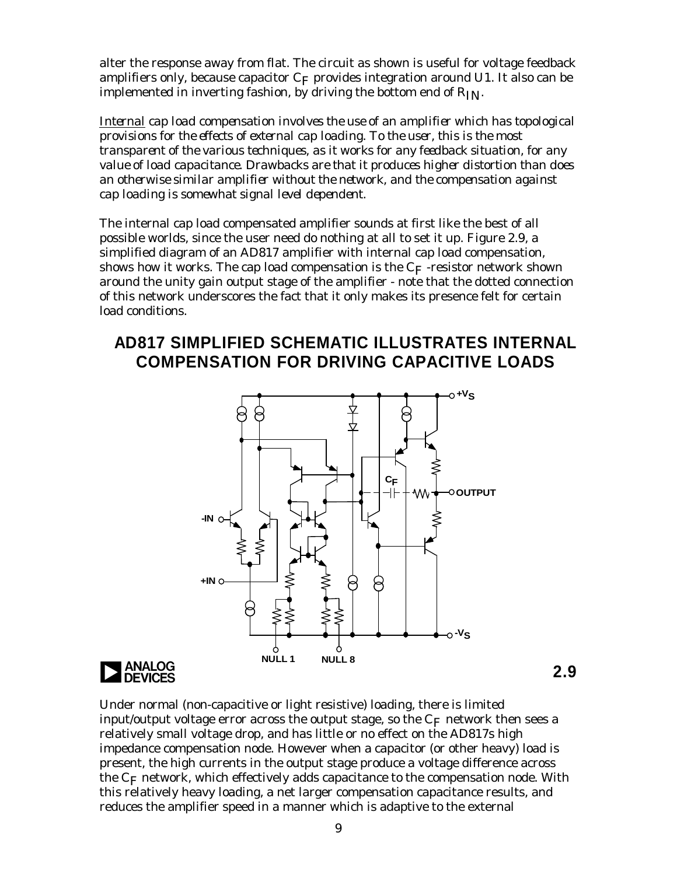alter the response away from flat. The circuit as shown is useful for voltage feedback amplifiers only, because capacitor  $C_F$  provides integration around U1. It also can be implemented in inverting fashion, by driving the bottom end of  $R_{IN}$ .

*Internal cap load compensation involves the use of an amplifier which has topological provisions for the effects of external cap loading. To the user, this is the most transparent of the various techniques, as it works for any feedback situation, for any value of load capacitance. Drawbacks are that it produces higher distortion than does an otherwise similar amplifier without the network, and the compensation against cap loading is somewhat signal level dependent.*

The internal cap load compensated amplifier sounds at first like the best of all possible worlds, since the user need do nothing at all to set it up. Figure 2.9, a simplified diagram of an AD817 amplifier with internal cap load compensation, shows how it works. The cap load compensation is the  $C_F$ -resistor network shown around the unity gain output stage of the amplifier - note that the dotted connection of this network underscores the fact that it only makes its presence felt for certain load conditions.

## **AD817 SIMPLIFIED SCHEMATIC ILLUSTRATES INTERNAL COMPENSATION FOR DRIVING CAPACITIVE LOADS**



Under normal (non-capacitive or light resistive) loading, there is limited input/output voltage error across the output stage, so the  $C_F$  network then sees a relatively small voltage drop, and has little or no effect on the AD817s high impedance compensation node. However when a capacitor (or other heavy) load is present, the high currents in the output stage produce a voltage difference across the  $C_F$  network, which effectively adds capacitance to the compensation node. With this relatively heavy loading, a net larger compensation capacitance results, and reduces the amplifier speed in a manner which is adaptive to the external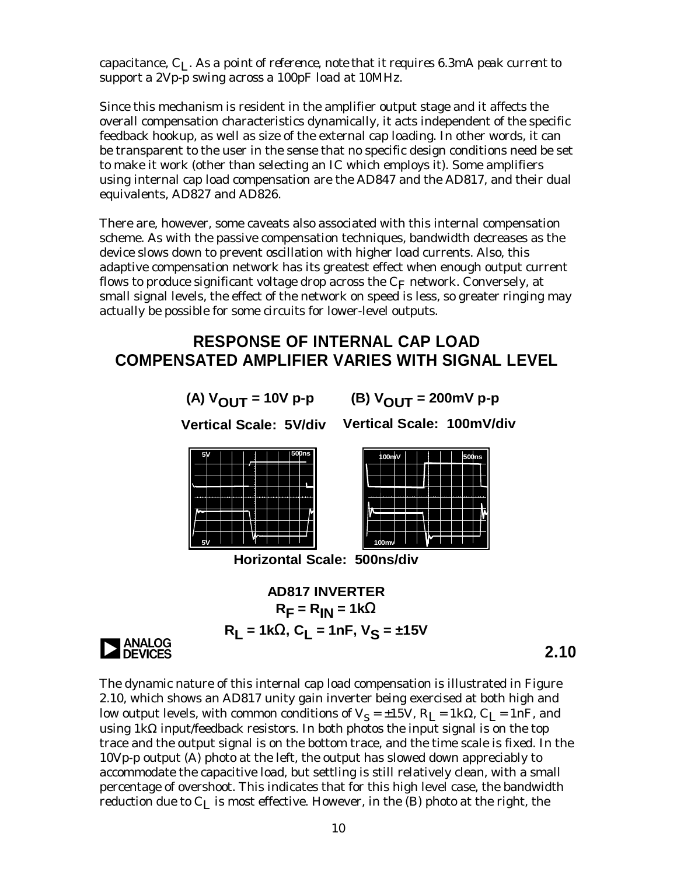capacitance, CL. *As a point of reference, note that it requires 6.3mA peak current to support a 2Vp-p swing across a 100pF load at 10MHz.*

Since this mechanism is resident in the amplifier output stage and it affects the overall compensation characteristics dynamically, it acts independent of the specific feedback hookup, as well as size of the external cap loading. In other words, it can be transparent to the user in the sense that no specific design conditions need be set to make it work (other than selecting an IC which employs it). Some amplifiers using internal cap load compensation are the AD847 and the AD817, and their dual equivalents, AD827 and AD826.

There are, however, some caveats also associated with this internal compensation scheme. As with the passive compensation techniques, bandwidth decreases as the device slows down to prevent oscillation with higher load currents. Also, this adaptive compensation network has its greatest effect when enough output current flows to produce significant voltage drop across the  $C_F$  network. Conversely, at small signal levels, the effect of the network on speed is less, so greater ringing may actually be possible for some circuits for lower-level outputs.

## **RESPONSE OF INTERNAL CAP LOAD COMPENSATED AMPLIFIER VARIES WITH SIGNAL LEVEL**

**(A) VOUT = 10V p-p (B) VOUT**

**= 200mV p-p**

**Vertical Scale: 5V/div Vertical Scale: 100mV/div**

|  |  | verticai Scale: 100mv/giv |  |
|--|--|---------------------------|--|
|  |  |                           |  |

| 6 | r |  |  |  |  | 500ns |
|---|---|--|--|--|--|-------|
|   |   |  |  |  |  |       |
|   |   |  |  |  |  |       |
|   |   |  |  |  |  |       |
|   |   |  |  |  |  |       |
|   |   |  |  |  |  |       |
| г |   |  |  |  |  |       |

|  | $100m$ V |  |  |  | <b>500ns</b> |  |
|--|----------|--|--|--|--------------|--|
|  |          |  |  |  |              |  |
|  |          |  |  |  |              |  |
|  |          |  |  |  |              |  |
|  |          |  |  |  |              |  |
|  |          |  |  |  |              |  |
|  |          |  |  |  |              |  |
|  | 100mv    |  |  |  |              |  |

**Horizontal Scale: 500ns/div**

$$
AD817 INVERTER\nRF = RIN = 1kΩ\nRL = 1kΩ, CL = 1nF, VS = ±15V
$$
\n2.10



The dynamic nature of this internal cap load compensation is illustrated in Figure 2.10, which shows an AD817 unity gain inverter being exercised at both high and low output levels, with common conditions of  $\mathrm{V_S}$  =  $\pm 15 \mathrm{V}$ ,  $\mathrm{R_L}$  =  $1 \mathrm{k}\Omega$ ,  $\mathrm{C_L}$  =  $1 \mathrm{nF}$ , and using 1kΩ input/feedback resistors. In both photos the input signal is on the top trace and the output signal is on the bottom trace, and the time scale is fixed. In the 10Vp-p output (A) photo at the left, the output has slowed down appreciably to accommodate the capacitive load, but settling is still relatively clean, with a small percentage of overshoot. This indicates that for this high level case, the bandwidth reduction due to  $C_{L}$  is most effective. However, in the  $(B)$  photo at the right, the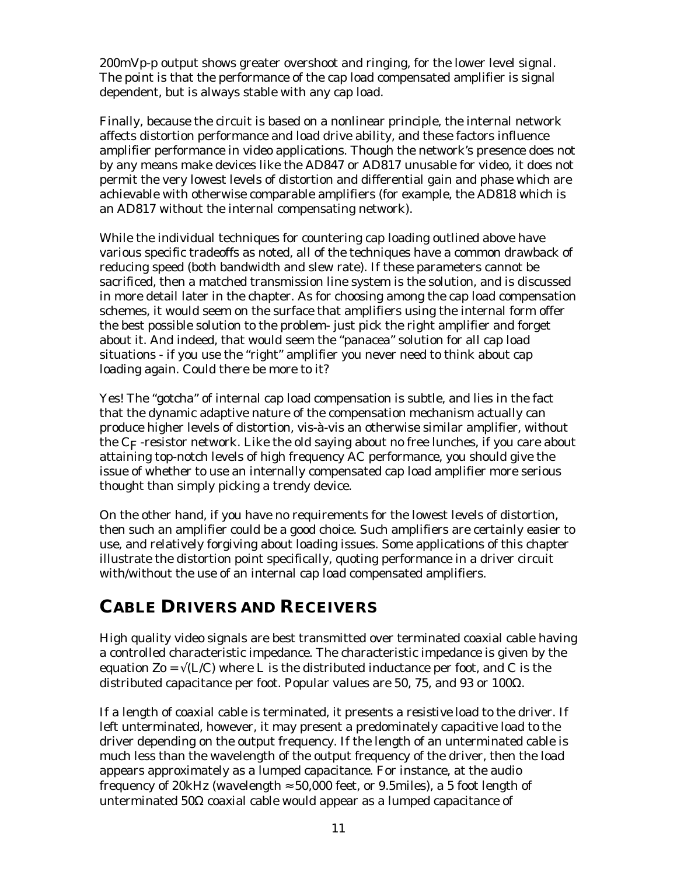200mVp-p output shows greater overshoot and ringing, for the lower level signal. The point is that the performance of the cap load compensated amplifier is signal dependent, but is always stable with any cap load.

Finally, because the circuit is based on a nonlinear principle, the internal network affects distortion performance and load drive ability, and these factors influence amplifier performance in video applications. Though the network's presence does not by any means make devices like the AD847 or AD817 unusable for video, it does not permit the very lowest levels of distortion and differential gain and phase which are achievable with otherwise comparable amplifiers (for example, the AD818 which is an AD817 without the internal compensating network).

While the individual techniques for countering cap loading outlined above have various specific tradeoffs as noted, all of the techniques have a common drawback of reducing speed (both bandwidth and slew rate). If these parameters cannot be sacrificed, then a matched transmission line system is the solution, and is discussed in more detail later in the chapter. As for choosing among the cap load compensation schemes, it would seem on the surface that amplifiers using the internal form offer the best possible solution to the problem- just pick the right amplifier and forget about it. And indeed, that would seem the "panacea" solution for all cap load situations - if you use the "right" amplifier you never need to think about cap loading again. Could there be more to it?

Yes! The "gotcha" of internal cap load compensation is subtle, and lies in the fact that the dynamic adaptive nature of the compensation mechanism actually can produce higher levels of distortion, vis-à-vis an otherwise similar amplifier, *without* the  $C_F$ -resistor network. Like the old saying about no free lunches, if you care about attaining top-notch levels of high frequency AC performance, you should give the issue of whether to use an internally compensated cap load amplifier more serious thought than simply picking a trendy device.

On the other hand, if you have no requirements for the lowest levels of distortion, then such an amplifier could be a good choice. Such amplifiers are certainly easier to use, and relatively forgiving about loading issues. Some applications of this chapter illustrate the distortion point specifically, quoting performance in a driver circuit with/without the use of an internal cap load compensated amplifiers.

## **CABLE DRIVERS AND RECEIVERS**

High quality video signals are best transmitted over terminated coaxial cable having a controlled characteristic impedance. The characteristic impedance is given by the equation Zo =  $\sqrt{(L/C)}$  where L is the distributed inductance per foot, and C is the distributed capacitance per foot. Popular values are 50, 75, and 93 or 100Ω.

If a length of coaxial cable is terminated, it presents a *resistive* load to the driver. If left unterminated, however, it may present a predominately capacitive load to the driver depending on the output frequency. If the length of an unterminated cable is much less than the wavelength of the output frequency of the driver, then the load appears approximately as a lumped capacitance. For instance, at the audio frequency of 20kHz (wavelength  $\approx 50,000$  feet, or 9.5miles), a 5 foot length of unterminated 50 $\Omega$  coaxial cable would appear as a lumped capacitance of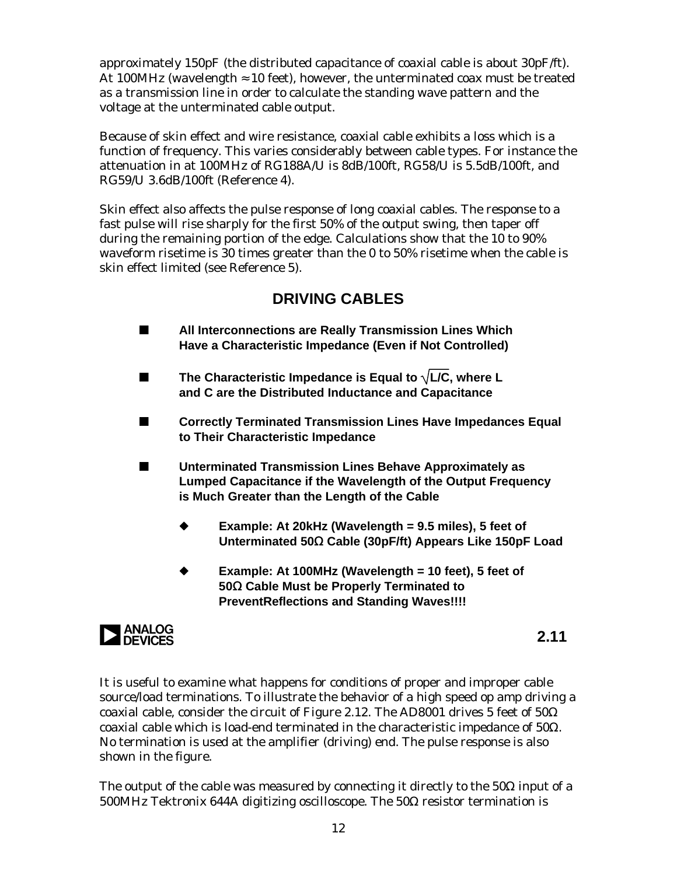approximately 150pF (the distributed capacitance of coaxial cable is about 30pF/ft). At 100MHz (wavelength  $\approx 10$  feet), however, the unterminated coax must be treated as a transmission line in order to calculate the standing wave pattern and the voltage at the unterminated cable output.

Because of skin effect and wire resistance, coaxial cable exhibits a loss which is a function of frequency. This varies considerably between cable types. For instance the attenuation in at 100MHz of RG188A/U is 8dB/100ft, RG58/U is 5.5dB/100ft, and RG59/U 3.6dB/100ft (Reference 4).

Skin effect also affects the pulse response of long coaxial cables. The response to a fast pulse will rise sharply for the first 50% of the output swing, then taper off during the remaining portion of the edge. Calculations show that the 10 to 90% waveform risetime is 30 times greater than the 0 to 50% risetime when the cable is skin effect limited (see Reference 5).

## **DRIVING CABLES**

- **■** All Interconnections are Really Transmission Lines Which **Have a Characteristic Impedance (Even if Not Controlled)**
- **The Characteristic Impedance is Equal to √L/C, where L and C are the Distributed Inductance and Capacitance**
- **n Correctly Terminated Transmission Lines Have Impedances Equal to Their Characteristic Impedance**
- **n EXTE:** Unterminated Transmission Lines Behave Approximately as **Lumped Capacitance if the Wavelength of the Output Frequency is Much Greater than the Length of the Cable**
	- u **Example: At 20kHz (Wavelength = 9.5 miles), 5 feet of Unterminated 50**Ω **Cable (30pF/ft) Appears Like 150pF Load**
	- u **Example: At 100MHz (Wavelength = 10 feet), 5 feet of 50**Ω **Cable Must be Properly Terminated to PreventReflections and Standing Waves!!!!**



**2.11**

It is useful to examine what happens for conditions of proper and improper cable source/load terminations. To illustrate the behavior of a high speed op amp driving a coaxial cable, consider the circuit of Figure 2.12. The AD8001 drives 5 feet of  $50\Omega$ coaxial cable which is load-end terminated in the characteristic impedance of 50Ω. No termination is used at the amplifier (driving) end. The pulse response is also shown in the figure.

The output of the cable was measured by connecting it directly to the 50 $\Omega$  input of a 500MHz Tektronix 644A digitizing oscilloscope. The 50Ω resistor termination is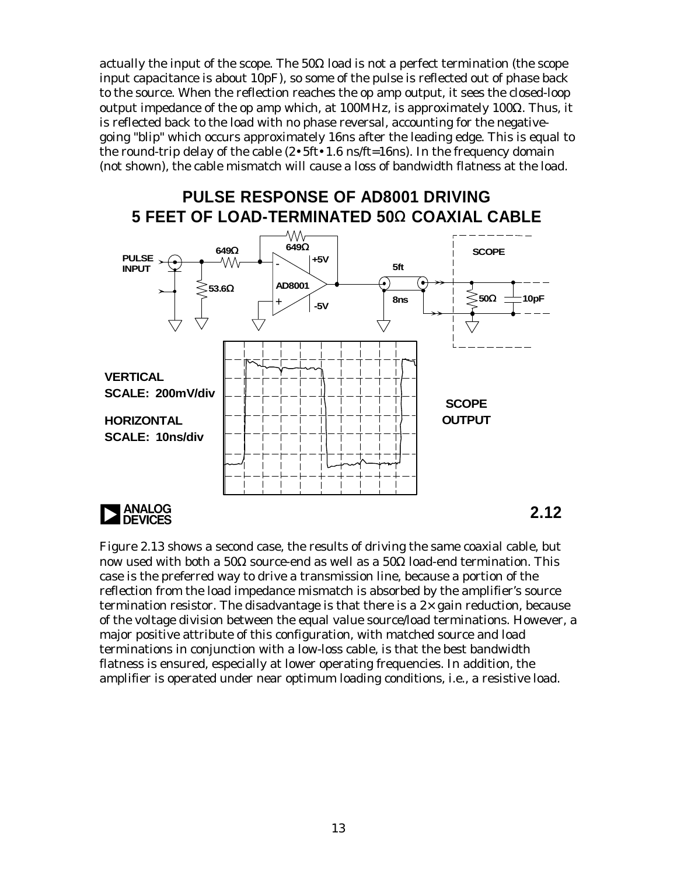actually the input of the scope. The  $50\Omega$  load is not a perfect termination (the scope input capacitance is about 10pF), so some of the pulse is reflected out of phase back to the source. When the reflection reaches the op amp output, it sees the closed-loop output impedance of the op amp which, at 100MHz, is approximately 100 $\Omega$ . Thus, it is reflected back to the load with no phase reversal, accounting for the negativegoing "blip" which occurs approximately 16ns after the leading edge. This is equal to the round-trip delay of the cable (2•5ft•1.6 ns/ft=16ns). In the frequency domain (not shown), the cable mismatch will cause a loss of bandwidth flatness at the load.

## **PULSE RESPONSE OF AD8001 DRIVING 5 FEET OF LOAD-TERMINATED 50**Ω **COAXIAL CABLE**



Figure 2.13 shows a second case, the results of driving the same coaxial cable, but now used with both a 50Ω source-end as well as a 50Ω load-end termination. This case is the preferred way to drive a transmission line, because a portion of the reflection from the load impedance mismatch is absorbed by the amplifier's source termination resistor. The disadvantage is that there is a 2× gain reduction, because of the voltage division between the equal value source/load terminations. However, a major positive attribute of this configuration, with matched source and load terminations in conjunction with a low-loss cable, is that the best bandwidth flatness is ensured, especially at lower operating frequencies. In addition, the amplifier is operated under near optimum loading conditions, i.e., a resistive load.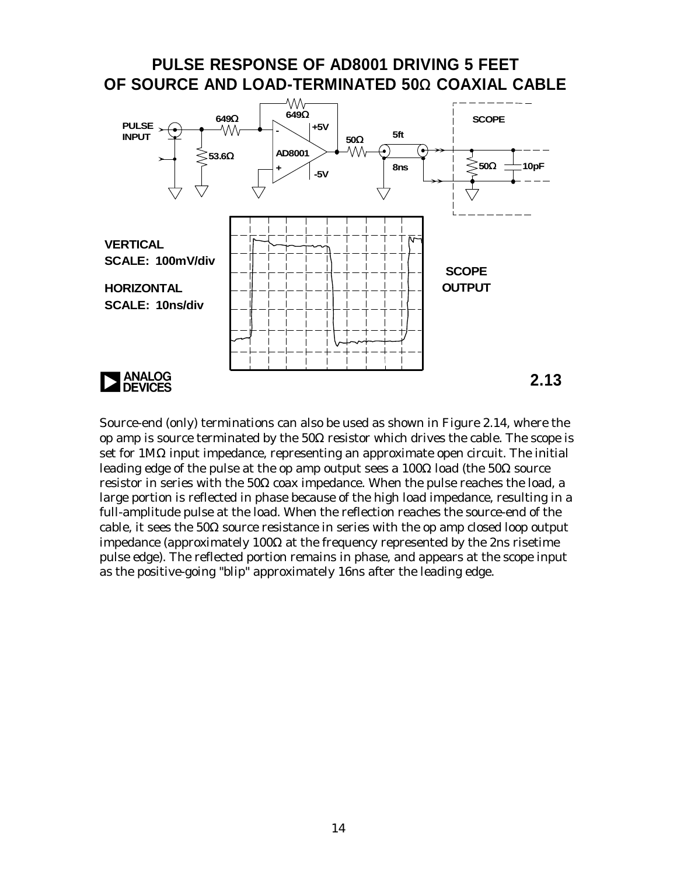#### **PULSE RESPONSE OF AD8001 DRIVING 5 FEET OF SOURCE AND LOAD-TERMINATED 50**Ω **COAXIAL CABLE**



Source-end (only) terminations can also be used as shown in Figure 2.14, where the op amp is source terminated by the  $50\Omega$  resistor which drives the cable. The scope is set for  $1\text{M}\Omega$  input impedance, representing an approximate open circuit. The initial leading edge of the pulse at the op amp output sees a  $100\Omega$  load (the  $50\Omega$  source resistor in series with the 50 $\Omega$  coax impedance. When the pulse reaches the load, a large portion is reflected in phase because of the high load impedance, resulting in a full-amplitude pulse at the load. When the reflection reaches the source-end of the cable, it sees the  $50\Omega$  source resistance in series with the op amp closed loop output impedance (approximately 100 $\Omega$  at the frequency represented by the 2ns risetime pulse edge). The reflected portion remains in phase, and appears at the scope input as the positive-going "blip" approximately 16ns after the leading edge.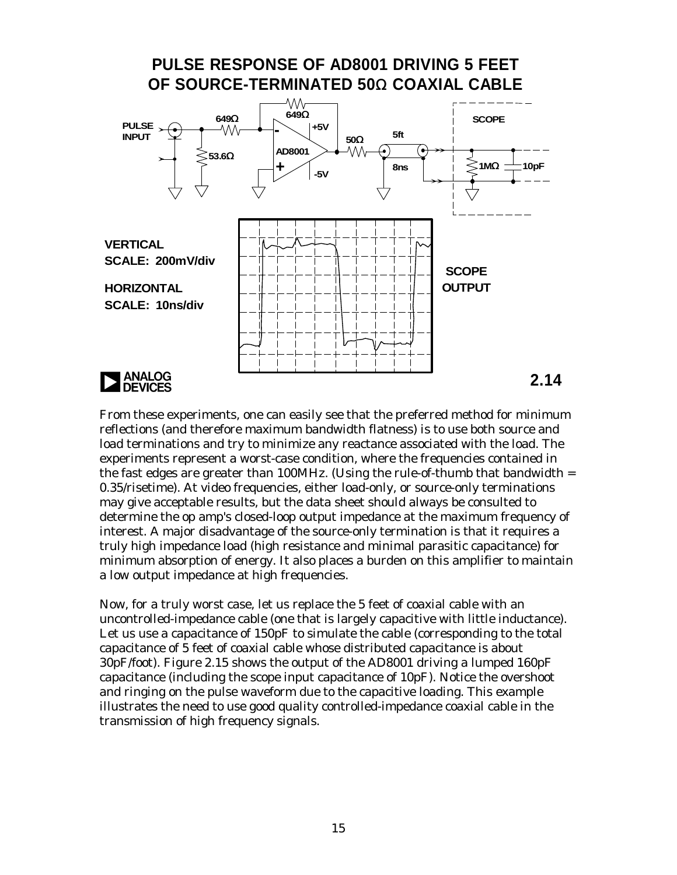#### **PULSE RESPONSE OF AD8001 DRIVING 5 FEET OF SOURCE-TERMINATED 50**Ω **COAXIAL CABLE** ₩ **649**Ω **649**Ω **SCOPE PULSE +5V -** ۸W **5ft INPUT 50**Ω **AD8001 53.6**Ω **+ 1M**Ω **8ns 10pF -5V VERTICAL SCALE: 200mV/div SCOPE OUTPUT HORIZONTAL SCALE: 10ns/div 2.14 2.14**

From these experiments, one can easily see that the preferred method for minimum reflections (and therefore maximum bandwidth flatness) is to use both source and load terminations and try to minimize any reactance associated with the load. The experiments represent a worst-case condition, where the frequencies contained in the fast edges are greater than 100MHz. (Using the rule-of-thumb that bandwidth = 0.35/risetime). At video frequencies, either load-only, or source-only terminations may give acceptable results, but the data sheet should always be consulted to determine the op amp's closed-loop output impedance at the maximum frequency of interest. A major disadvantage of the source-only termination is that it requires a truly high impedance load (high resistance and minimal parasitic capacitance) for minimum absorption of energy. It also places a burden on this amplifier to maintain a low output impedance at high frequencies.

Now, for a truly worst case, let us replace the 5 feet of coaxial cable with an uncontrolled-impedance cable (one that is largely capacitive with little inductance). Let us use a capacitance of 150pF to simulate the cable (corresponding to the total capacitance of 5 feet of coaxial cable whose distributed capacitance is about 30pF/foot). Figure 2.15 shows the output of the AD8001 driving a lumped 160pF capacitance (including the scope input capacitance of 10pF). Notice the overshoot and ringing on the pulse waveform due to the capacitive loading. This example illustrates the need to use good quality controlled-impedance coaxial cable in the transmission of high frequency signals.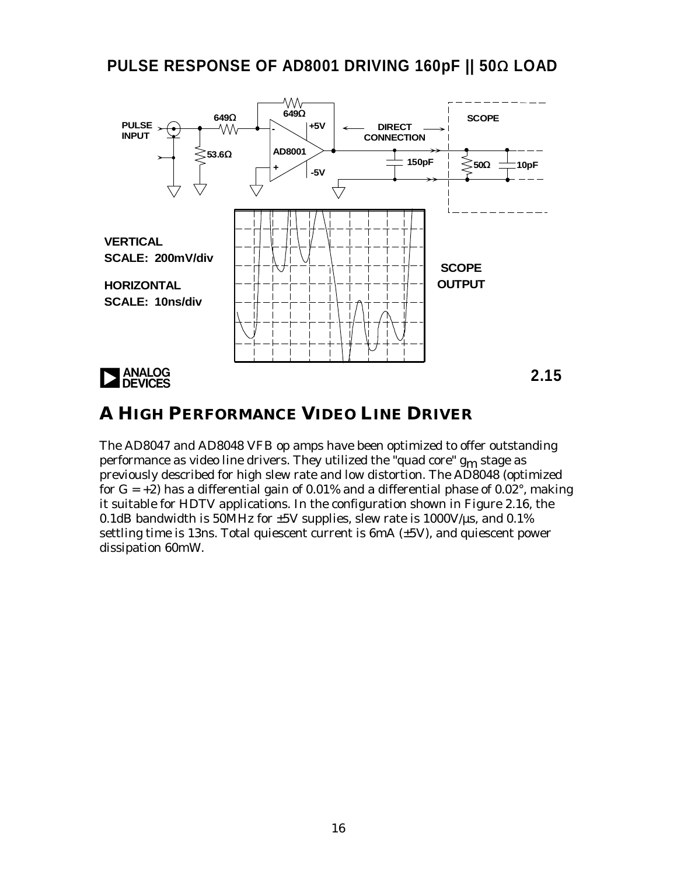## **PULSE RESPONSE OF AD8001 DRIVING 160pF || 50**Ω **LOAD**



## **A HIGH PERFORMANCE VIDEO LINE DRIVER**

The AD8047 and AD8048 VFB op amps have been optimized to offer outstanding performance as video line drivers. They utilized the "quad core"  $g_m$  stage as previously described for high slew rate and low distortion. The AD8048 (optimized for  $G = +2$ ) has a differential gain of 0.01% and a differential phase of 0.02°, making it suitable for HDTV applications. In the configuration shown in Figure 2.16, the 0.1dB bandwidth is 50MHz for  $\pm 5V$  supplies, slew rate is 1000V/ $\mu$ s, and 0.1% settling time is 13ns. Total quiescent current is 6mA (±5V), and quiescent power dissipation 60mW.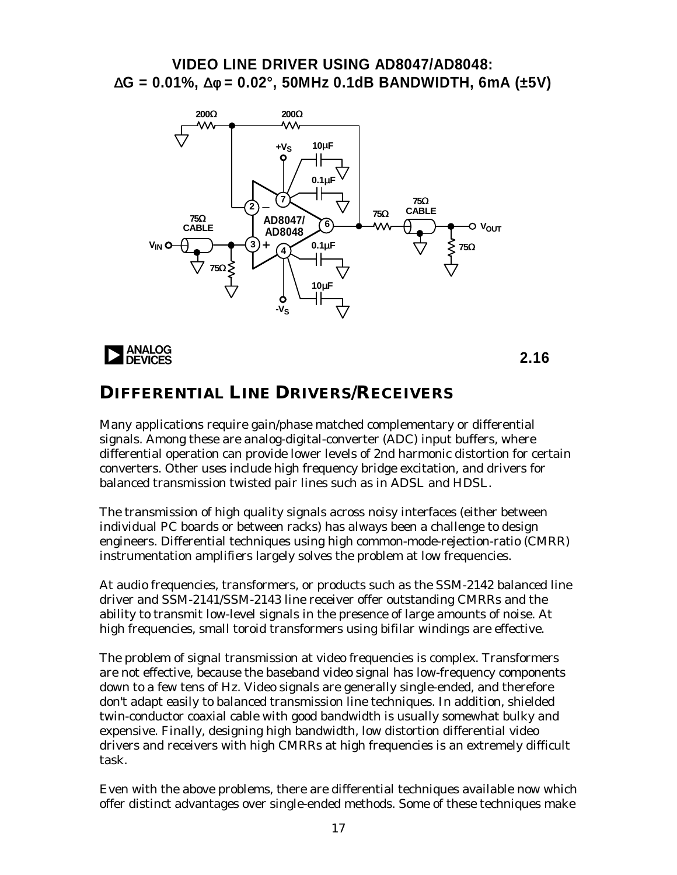#### **VIDEO LINE DRIVER USING AD8047/AD8048:** Δ**G = 0.01%,** Δφ **= 0.02°, 50MHz 0.1dB BANDWIDTH, 6mA (±5V)**





## **DIFFERENTIAL LINE DRIVERS/RECEIVERS**

Many applications require gain/phase matched complementary or differential signals. Among these are analog-digital-converter (ADC) input buffers, where differential operation can provide lower levels of 2nd harmonic distortion for certain converters. Other uses include high frequency bridge excitation, and drivers for balanced transmission twisted pair lines such as in ADSL and HDSL.

The transmission of high quality signals across noisy interfaces (either between individual PC boards or between racks) has always been a challenge to design engineers. Differential techniques using high common-mode-rejection-ratio (CMRR) instrumentation amplifiers largely solves the problem at low frequencies.

At audio frequencies, transformers, or products such as the SSM-2142 balanced line driver and SSM-2141/SSM-2143 line receiver offer outstanding CMRRs and the ability to transmit low-level signals in the presence of large amounts of noise. At high frequencies, small toroid transformers using bifilar windings are effective.

The problem of signal transmission at video frequencies is complex. Transformers are not effective, because the baseband video signal has low-frequency components down to a few tens of Hz. Video signals are generally single-ended, and therefore don't adapt easily to balanced transmission line techniques. In addition, shielded twin-conductor coaxial cable with good bandwidth is usually somewhat bulky and expensive. Finally, designing high bandwidth, low distortion differential video drivers and receivers with high CMRRs at high frequencies is an extremely difficult task.

Even with the above problems, there are differential techniques available now which offer distinct advantages over single-ended methods. Some of these techniques make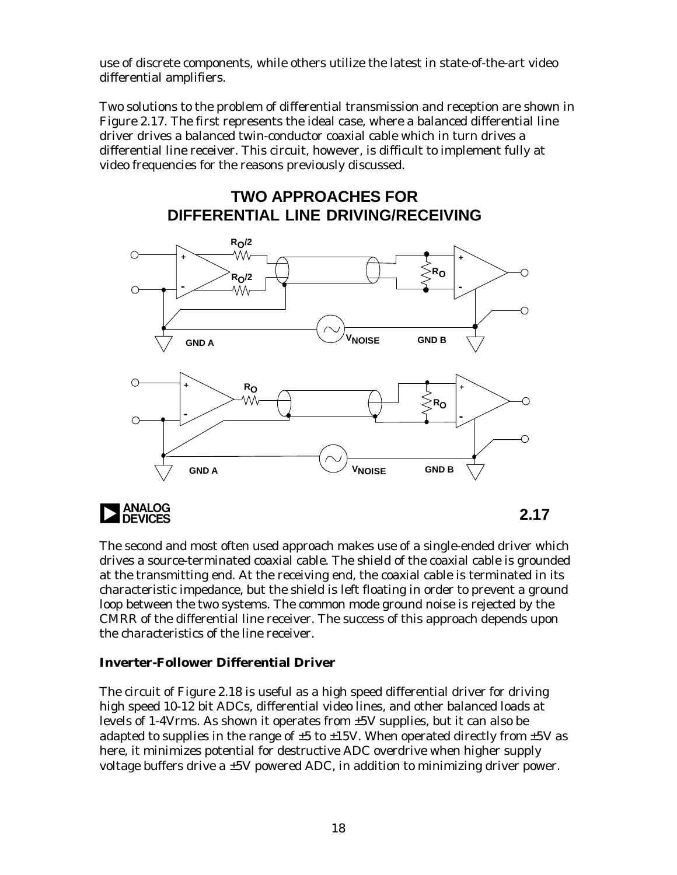use of discrete components, while others utilize the latest in state-of-the-art video differential amplifiers.

Two solutions to the problem of differential transmission and reception are shown in Figure 2.17. The first represents the ideal case, where a balanced differential line driver drives a balanced twin-conductor coaxial cable which in turn drives a differential line receiver. This circuit, however, is difficult to implement fully at video frequencies for the reasons previously discussed.



The second and most often used approach makes use of a single-ended driver which drives a source-terminated coaxial cable. The shield of the coaxial cable is grounded at the transmitting end. At the receiving end, the coaxial cable is terminated in its characteristic impedance, but the shield is left floating in order to prevent a ground loop between the two systems. The common mode ground noise is rejected by the CMRR of the differential line receiver. The success of this approach depends upon the characteristics of the line receiver.

#### **Inverter-Follower Differential Driver**

The circuit of Figure 2.18 is useful as a high speed differential driver for driving high speed 10-12 bit ADCs, differential video lines, and other balanced loads at levels of 1-4Vrms. As shown it operates from ±5V supplies, but it can also be adapted to supplies in the range of  $\pm 5$  to  $\pm 15V$ . When operated directly from  $\pm 5V$  as here, it minimizes potential for destructive ADC overdrive when higher supply voltage buffers drive a ±5V powered ADC, in addition to minimizing driver power.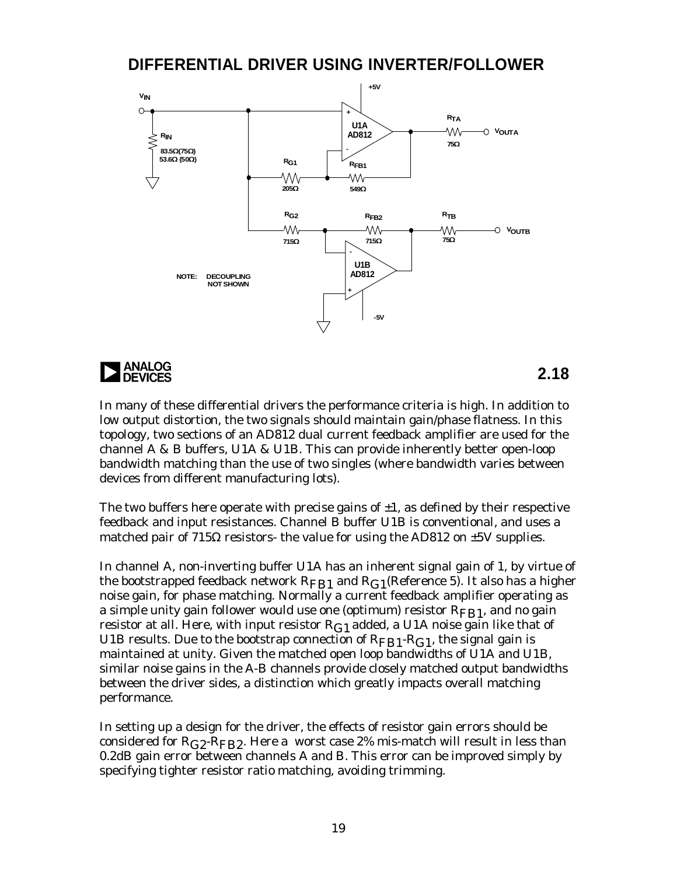## **DIFFERENTIAL DRIVER USING INVERTER/FOLLOWER**



**2.18**<br>**2.18** 

In many of these differential drivers the performance criteria is high. In addition to low output distortion, the two signals should maintain gain/phase flatness. In this topology, two sections of an AD812 dual current feedback amplifier are used for the channel A & B buffers, U1A & U1B. This can provide inherently better open-loop bandwidth matching than the use of two singles (where bandwidth varies between devices from different manufacturing lots).

The two buffers here operate with precise gains of  $\pm 1$ , as defined by their respective feedback and input resistances. Channel B buffer U1B is conventional, and uses a matched pair of 715 $\Omega$  resistors- the value for using the AD812 on  $\pm$ 5V supplies.

In channel A, non-inverting buffer U1A has an inherent signal gain of 1, by virtue of the bootstrapped feedback network  $R_{\rm FB1}$  and  $R_{\rm G1}$  (Reference 5). It also has a higher noise gain, for phase matching. Normally a current feedback amplifier operating as a simple unity gain follower would use one (optimum) resistor  $R_{FB1}$ , and no gain resistor at all. Here, with input resistor  $R_{G1}$  added, a U1A noise gain like that of U1B results. Due to the bootstrap connection of  $R_{\text{FR1}}-R_{\text{C1}}$ , the signal gain is maintained at unity. Given the matched open loop bandwidths of U1A and U1B, similar noise gains in the A-B channels provide closely matched output bandwidths between the driver sides, a distinction which greatly impacts overall matching performance.

In setting up a design for the driver, the effects of resistor gain errors should be considered for  $R_{G2}$ - $R_{FR2}$ . Here a worst case 2% mis-match will result in less than 0.2dB gain error between channels A and B. This error can be improved simply by specifying tighter resistor ratio matching, avoiding trimming.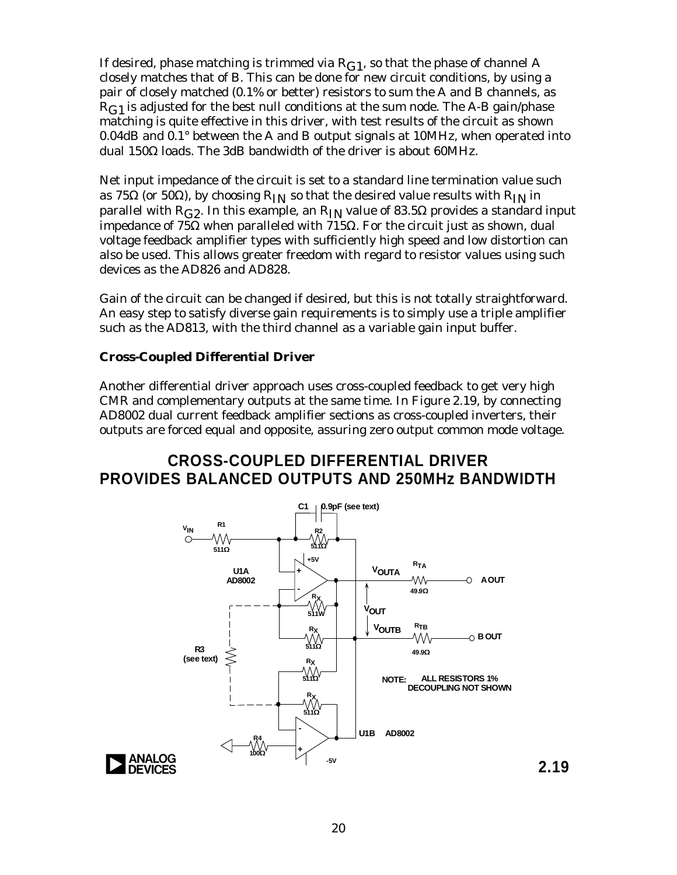If desired, phase matching is trimmed via  $R_{G1}$ , so that the phase of channel A closely matches that of B. This can be done for new circuit conditions, by using a pair of closely matched (0.1% or better) resistors to sum the A and B channels, as  $R<sub>G1</sub>$  is adjusted for the best null conditions at the sum node. The A-B gain/phase matching is quite effective in this driver, with test results of the circuit as shown 0.04dB and 0.1° between the A and B output signals at 10MHz, when operated into dual 150Ω loads. The 3dB bandwidth of the driver is about 60MHz.

Net input impedance of the circuit is set to a standard line termination value such as 75 $\Omega$  (or 50 $\Omega$ ), by choosing R<sub>IN</sub> so that the desired value results with R<sub>IN</sub> in parallel with R<sub>G2</sub>. In this example, an R<sub>IN</sub> value of 83.5Ω provides a standard input impedance of 75 $\Omega$  when paralleled with 715 $\Omega$ . For the circuit just as shown, dual voltage feedback amplifier types with sufficiently high speed and low distortion can also be used. This allows greater freedom with regard to resistor values using such devices as the AD826 and AD828.

Gain of the circuit can be changed if desired, but this is not totally straightforward. An easy step to satisfy diverse gain requirements is to simply use a triple amplifier such as the AD813, with the third channel as a variable gain input buffer.

#### **Cross-Coupled Differential Driver**

Another differential driver approach uses cross-coupled feedback to get very high CMR and complementary outputs at the same time. In Figure 2.19, by connecting AD8002 dual current feedback amplifier sections as cross-coupled inverters, their outputs are forced equal and opposite, assuring zero output common mode voltage.

## **CROSS-COUPLED DIFFERENTIAL DRIVER PROVIDES BALANCED OUTPUTS AND 250MHz BANDWIDTH**



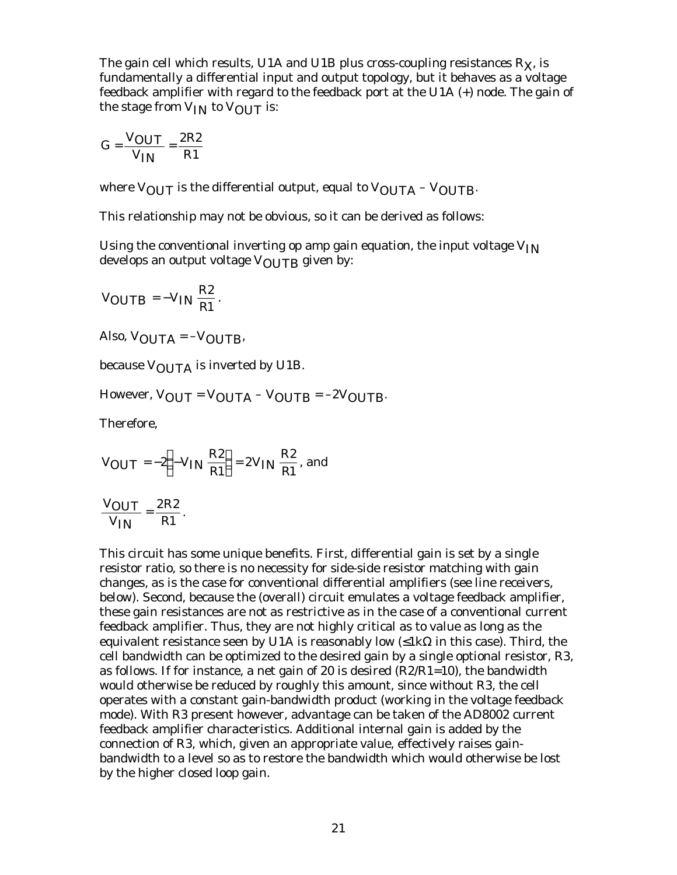The gain cell which results, U1A and U1B plus cross-coupling resistances  $R_X$ , is fundamentally a differential input and output topology, but it behaves as a voltage feedback amplifier with regard to the feedback port at the U1A (+) node. The gain of the stage from  $V_{IN}$  to  $V_{OUT}$  is:

$$
G = \frac{V_{OUT}}{V_{IN}} = \frac{2R2}{R1}
$$

where  $V_{\text{OUT}}$  is the differential output, equal to  $V_{\text{OUTA}} - V_{\text{OUTB}}$ .

This relationship may not be obvious, so it can be derived as follows:

Using the conventional inverting op amp gain equation, the input voltage  $V_{IN}$ develops an output voltage  $V_{\text{OU}}$  and  $V$ :

$$
V_{\text{OUTB}} = -V_{\text{IN}} \frac{R2}{R1}.
$$

Also,  $V_{\text{OI}}$   $_{\text{TA}}$  =  $-V_{\text{OI}}$   $_{\text{TR}}$ ,

because  $V_{\text{OUTA}}$  is inverted by U1B.

However, 
$$
V_{OUT} = V_{OUTA} - V_{OUTB} = -2V_{OUTB}
$$
.

Therefore,

$$
V_{OUT} = -2\left(-V_{IN}\frac{R2}{R1}\right) = 2V_{IN}\frac{R2}{R1}, \text{ and}
$$

$$
\frac{V_{OUT}}{V_{IN}} = \frac{2R2}{R1}.
$$

This circuit has some unique benefits. First, differential gain is set by a single resistor ratio, so there is no necessity for side-side resistor matching with gain changes, as is the case for conventional differential amplifiers (see line receivers, below). Second, because the (overall) circuit emulates a voltage feedback amplifier, these gain resistances are not as restrictive as in the case of a conventional current feedback amplifier. Thus, they are not highly critical as to value as long as the equivalent resistance seen by U1A is reasonably low  $(\leq 1 \text{ k}\Omega)$  in this case). Third, the cell bandwidth can be optimized to the desired gain by a single optional resistor, R3, as follows. If for instance, a net gain of 20 is desired (R2/R1=10), the bandwidth would otherwise be reduced by roughly this amount, since without R3, the cell operates with a constant gain-bandwidth product (working in the voltage feedback mode). With R3 present however, advantage can be taken of the AD8002 current feedback amplifier characteristics. Additional internal gain is added by the connection of R3, which, given an appropriate value, effectively raises gainbandwidth to a level so as to restore the bandwidth which would otherwise be lost by the higher closed loop gain.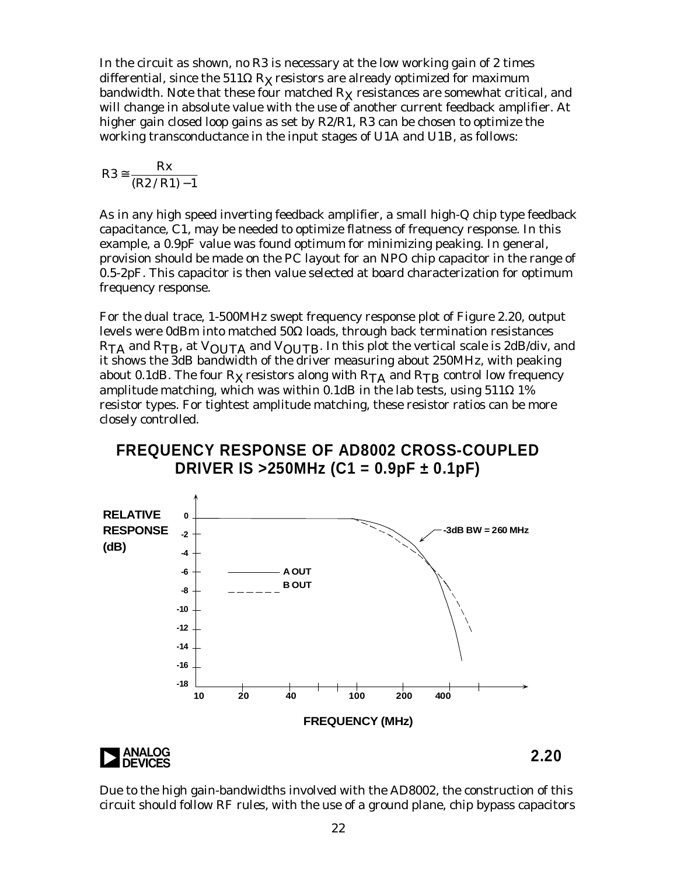In the circuit as shown, no R3 is necessary at the low working gain of 2 times differential, since the 511 $\Omega$  R<sub>X</sub> resistors are already optimized for maximum bandwidth. Note that these four matched  $R<sub>X</sub>$  resistances are somewhat critical, and will change in absolute value with the use of another current feedback amplifier. At higher gain closed loop gains as set by R2/R1, R3 can be chosen to optimize the working transconductance in the input stages of U1A and U1B, as follows:

$$
R3 \cong \frac{Rx}{(R2/R1)-1}
$$

As in any high speed inverting feedback amplifier, a small high-Q chip type feedback capacitance, C1, may be needed to optimize flatness of frequency response. In this example, a 0.9pF value was found optimum for minimizing peaking. In general, provision should be made on the PC layout for an NPO chip capacitor in the range of 0.5-2pF. This capacitor is then value selected at board characterization for optimum frequency response.

For the dual trace, 1-500MHz swept frequency response plot of Figure 2.20, output levels were 0dBm into matched 50Ω loads, through back termination resistances  $R_{TA}$  and  $R_{TB}$ , at  $V_{OUTA}$  and  $V_{OUTB}$ . In this plot the vertical scale is 2dB/div, and it shows the 3dB bandwidth of the driver measuring about 250MHz, with peaking about 0.1dB. The four R<sub>X</sub> resistors along with R<sub>TA</sub> and R<sub>TB</sub> control low frequency amplitude matching, which was within 0.1dB in the lab tests, using  $511\Omega$  1% resistor types. For tightest amplitude matching, these resistor ratios can be more closely controlled.

## **FREQUENCY RESPONSE OF AD8002 CROSS-COUPLED DRIVER IS >250MHz (C1 = 0.9pF ± 0.1pF)**





Due to the high gain-bandwidths involved with the AD8002, the construction of this circuit should follow RF rules, with the use of a ground plane, chip bypass capacitors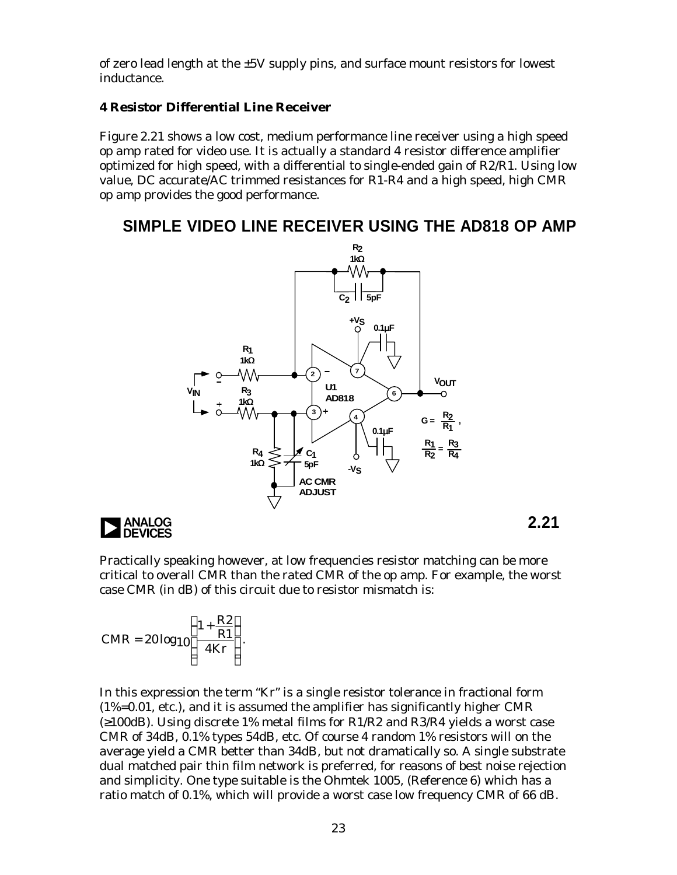of zero lead length at the  $\pm 5V$  supply pins, and surface mount resistors for lowest inductance.

#### **4 Resistor Differential Line Receiver**

Figure 2.21 shows a low cost, medium performance line receiver using a high speed op amp rated for video use. It is actually a standard 4 resistor difference amplifier optimized for high speed, with a differential to single-ended gain of R2/R1. Using low value, DC accurate/AC trimmed resistances for R1-R4 and a high speed, high CMR op amp provides the good performance.

#### **SIMPLE VIDEO LINE RECEIVER USING THE AD818 OP AMP**



Practically speaking however, at low frequencies resistor matching can be more critical to overall CMR than the rated CMR of the op amp. For example, the worst case CMR (in dB) of this circuit due to resistor mismatch is:

$$
CMR = 20 \log 10 \left( \frac{1 + \frac{R2}{R1}}{4 \text{Kr}} \right).
$$

In this expression the term "Kr" is a single resistor tolerance in fractional form (1%=0.01, etc.), and it is assumed the amplifier has significantly higher CMR (≥100dB). Using discrete 1% metal films for R1/R2 and R3/R4 yields a worst case CMR of 34dB, 0.1% types 54dB, etc. Of course 4 random 1% resistors will on the average yield a CMR better than 34dB, but not dramatically so. A single substrate dual matched pair thin film network is preferred, for reasons of best noise rejection and simplicity. One type suitable is the Ohmtek 1005, (Reference 6) which has a ratio match of 0.1%, which will provide a worst case low frequency CMR of 66 dB.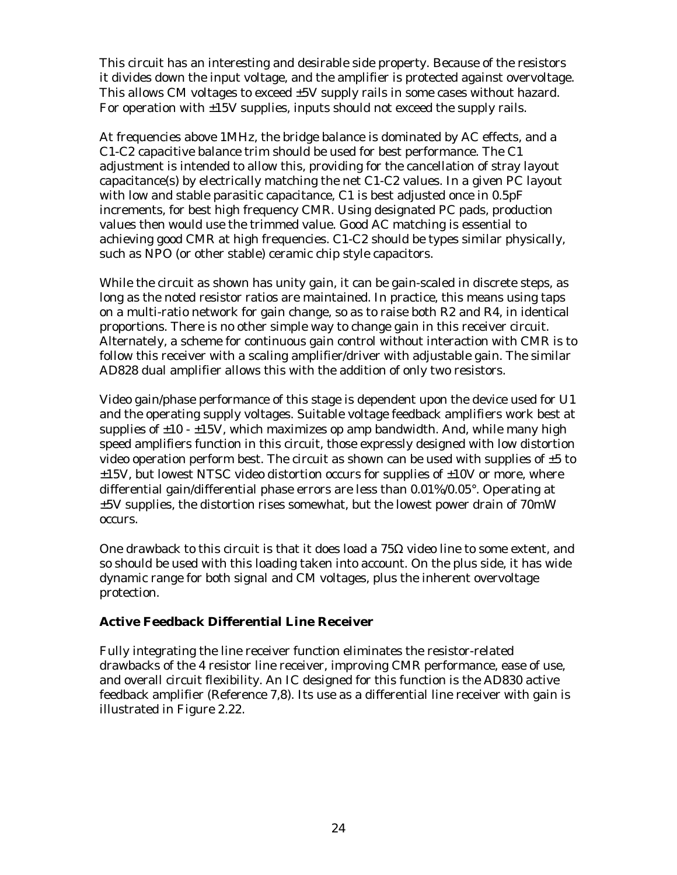This circuit has an interesting and desirable side property. Because of the resistors it divides down the input voltage, and the amplifier is protected against overvoltage. This allows CM voltages to exceed ±5V supply rails in some cases without hazard. For operation with  $\pm 15V$  supplies, inputs should not exceed the supply rails.

At frequencies above 1MHz, the bridge balance is dominated by AC effects, and a C1-C2 capacitive balance trim should be used for best performance. The C1 adjustment is intended to allow this, providing for the cancellation of stray layout capacitance(s) by electrically matching the net C1-C2 values. In a given PC layout with low and stable parasitic capacitance,  $C1$  is best adjusted once in 0.5pF increments, for best high frequency CMR. Using designated PC pads, production values then would use the trimmed value. Good AC matching is essential to achieving good CMR at high frequencies. C1-C2 should be types similar physically, such as NPO (or other stable) ceramic chip style capacitors.

While the circuit as shown has unity gain, it can be gain-scaled in discrete steps, as long as the noted resistor ratios are maintained. In practice, this means using taps on a multi-ratio network for gain change, so as to raise both R2 and R4, in identical proportions. There is no other simple way to change gain in this receiver circuit. Alternately, a scheme for continuous gain control without interaction with CMR is to follow this receiver with a scaling amplifier/driver with adjustable gain. The similar AD828 dual amplifier allows this with the addition of only two resistors.

Video gain/phase performance of this stage is dependent upon the device used for U1 and the operating supply voltages. Suitable voltage feedback amplifiers work best at supplies of  $\pm 10$  -  $\pm 15V$ , which maximizes op amp bandwidth. And, while many high speed amplifiers function in this circuit, those expressly designed with low distortion video operation perform best. The circuit as shown can be used with supplies of  $\pm 5$  to  $\pm 15V$ , but lowest NTSC video distortion occurs for supplies of  $\pm 10V$  or more, where differential gain/differential phase errors are less than 0.01%/0.05°. Operating at ±5V supplies, the distortion rises somewhat, but the lowest power drain of 70mW occurs.

One drawback to this circuit is that it does load a 75 $\Omega$  video line to some extent, and so should be used with this loading taken into account. On the plus side, it has wide dynamic range for both signal and CM voltages, plus the inherent overvoltage protection.

#### **Active Feedback Differential Line Receiver**

Fully integrating the line receiver function eliminates the resistor-related drawbacks of the 4 resistor line receiver, improving CMR performance, ease of use, and overall circuit flexibility. An IC designed for this function is the AD830 active feedback amplifier (Reference 7,8). Its use as a differential line receiver with gain is illustrated in Figure 2.22.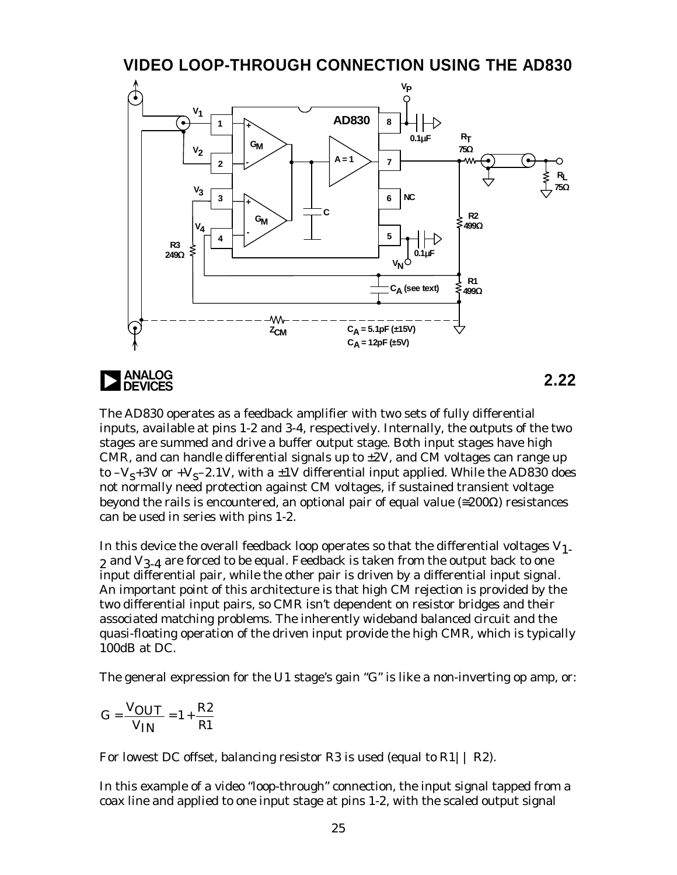**VIDEO LOOP-THROUGH CONNECTION USING THE AD830**



The AD830 operates as a feedback amplifier with two sets of fully differential inputs, available at pins 1-2 and 3-4, respectively. Internally, the outputs of the two stages are summed and drive a buffer output stage. Both input stages have high CMR, and can handle differential signals up to  $\pm 2V$ , and CM voltages can range up to  $-V_S+3V$  or  $+V_S-2.1V$ , with a  $\pm 1V$  differential input applied. While the AD830 does not normally need protection against CM voltages, if sustained transient voltage beyond the rails is encountered, an optional pair of equal value ( $\approx$ 200Ω) resistances can be used in series with pins 1-2.

In this device the overall feedback loop operates so that the differential voltages  $V_1$ .  $_{\rm 2}$  and V $_{\rm 3-4}$  are forced to be equal. Feedback is taken from the output back to one input differential pair, while the other pair is driven by a differential input signal. An important point of this architecture is that high CM rejection is provided by the two differential input pairs, so CMR isn't dependent on resistor bridges and their associated matching problems. The inherently wideband balanced circuit and the quasi-floating operation of the driven input provide the high CMR, which is typically 100dB at DC.

The general expression for the U1 stage's gain "G" is like a non-inverting op amp, or:

$$
G = \frac{V_{OUT}}{V_{IN}} = 1 + \frac{R2}{R1}
$$

For lowest DC offset, balancing resistor R3 is used (equal to R1|| R2).

In this example of a video "loop-through" connection, the input signal tapped from a coax line and applied to one input stage at pins 1-2, with the scaled output signal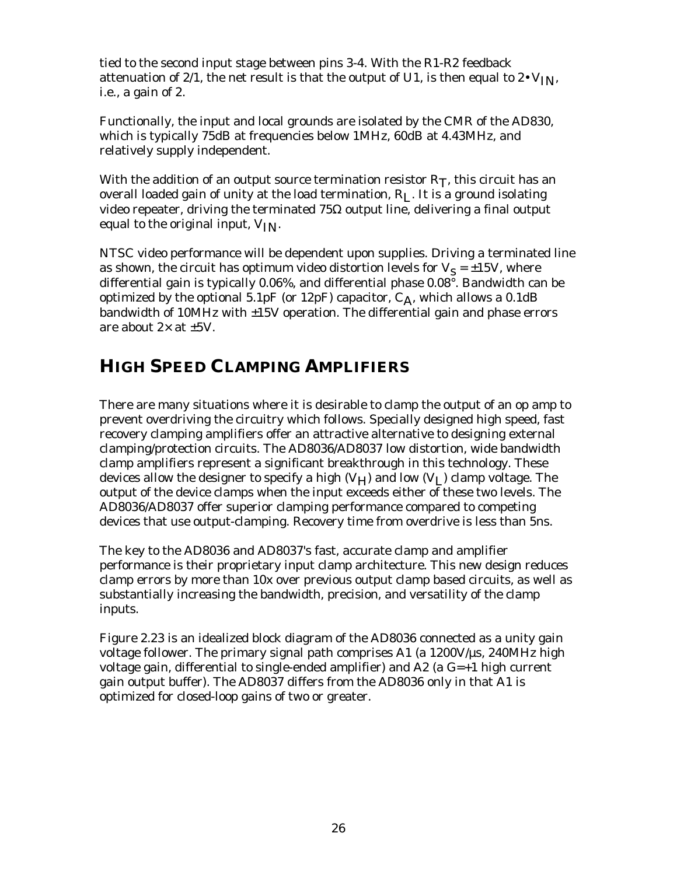tied to the second input stage between pins 3-4. With the R1-R2 feedback attenuation of 2/1, the net result is that the output of U1, is then equal to  $2\cdot V_{IN}$ , i.e., a gain of 2.

Functionally, the input and local grounds are isolated by the CMR of the AD830, which is typically 75dB at frequencies below 1MHz, 60dB at 4.43MHz, and relatively supply independent.

With the addition of an output source termination resistor  $R_T$ , this circuit has an overall loaded gain of unity at the load termination,  $R_L$ . It is a ground isolating video repeater, driving the terminated 75Ω output line, delivering a final output equal to the original input,  $V_{IN}$ .

NTSC video performance will be dependent upon supplies. Driving a terminated line as shown, the circuit has optimum video distortion levels for  $\mathrm{V}_{\mathbf{S}}$  = ±15V, where differential gain is typically 0.06%, and differential phase 0.08°. Bandwidth can be optimized by the optional 5.1pF (or 12pF) capacitor,  $C_A$ , which allows a 0.1dB bandwidth of 10MHz with ±15V operation. The differential gain and phase errors are about  $2 \times$  at  $\pm 5V$ .

## **HIGH SPEED CLAMPING AMPLIFIERS**

There are many situations where it is desirable to clamp the output of an op amp to prevent overdriving the circuitry which follows. Specially designed high speed, fast recovery clamping amplifiers offer an attractive alternative to designing external clamping/protection circuits. The AD8036/AD8037 low distortion, wide bandwidth clamp amplifiers represent a significant breakthrough in this technology. These devices allow the designer to specify a high  $(V_H)$  and low  $(V_I)$  clamp voltage. The output of the device clamps when the input exceeds either of these two levels. The AD8036/AD8037 offer superior clamping performance compared to competing devices that use output-clamping. Recovery time from overdrive is less than 5ns.

The key to the AD8036 and AD8037's fast, accurate clamp and amplifier performance is their proprietary input clamp architecture. This new design reduces clamp errors by more than 10x over previous output clamp based circuits, as well as substantially increasing the bandwidth, precision, and versatility of the clamp inputs.

Figure 2.23 is an idealized block diagram of the AD8036 connected as a unity gain voltage follower. The primary signal path comprises A1 (a 1200V/µs, 240MHz high voltage gain, differential to single-ended amplifier) and  $A2$  (a  $G=+1$  high current gain output buffer). The AD8037 differs from the AD8036 only in that A1 is optimized for closed-loop gains of two or greater.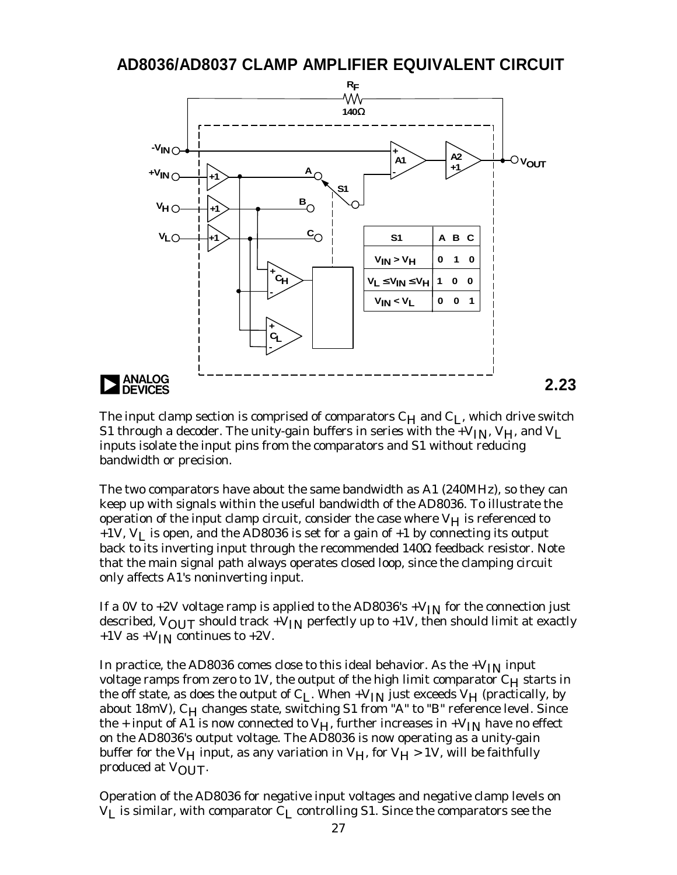## **AD8036/AD8037 CLAMP AMPLIFIER EQUIVALENT CIRCUIT**



The input clamp section is comprised of comparators  $C_H$  and  $C_L$ , which drive switch S1 through a decoder. The unity-gain buffers in series with the  $+V_{IN}$ ,  $V_{H}$ , and  $V_{L}$ inputs isolate the input pins from the comparators and S1 without reducing bandwidth or precision.

The two comparators have about the same bandwidth as A1 (240MHz), so they can keep up with signals within the useful bandwidth of the AD8036. To illustrate the operation of the input clamp circuit, consider the case where  $V_H$  is referenced to  $+1V$ ,  $V_{\text{L}}$  is open, and the AD8036 is set for a gain of  $+1$  by connecting its output back to its inverting input through the recommended  $140\Omega$  feedback resistor. Note that the main signal path always operates closed loop, since the clamping circuit only affects A1's noninverting input.

If a 0V to +2V voltage ramp is applied to the AD8036's +V<sub>IN</sub> for the connection just described,  $V_{\text{OUT}}$  should track + $V_{\text{IN}}$  perfectly up to +1V, then should limit at exactly  $+1V$  as  $+V$ <sub>IN</sub> continues to  $+2V$ .

In practice, the AD8036 comes close to this ideal behavior. As the  $+V_{IN}$  input voltage ramps from zero to 1V, the output of the high limit comparator  $C_H$  starts in the off state, as does the output of  $C_L$ . When  $+V_{IN}$  just exceeds  $V_H$  (practically, by about 18mV),  $C_H$  changes state, switching S1 from "A" to "B" reference level. Since the + input of A1 is now connected to  $V_H$ , further increases in + $V_{IN}$  have no effect on the AD8036's output voltage. The AD8036 is now operating as a unity-gain buffer for the V<sub>H</sub> input, as any variation in V<sub>H</sub>, for V<sub>H</sub> > 1V, will be faithfully produced at  $V_{\text{OUT}}$ .

Operation of the AD8036 for negative input voltages and negative clamp levels on  $V_L$  is similar, with comparator  $C_L$  controlling S1. Since the comparators see the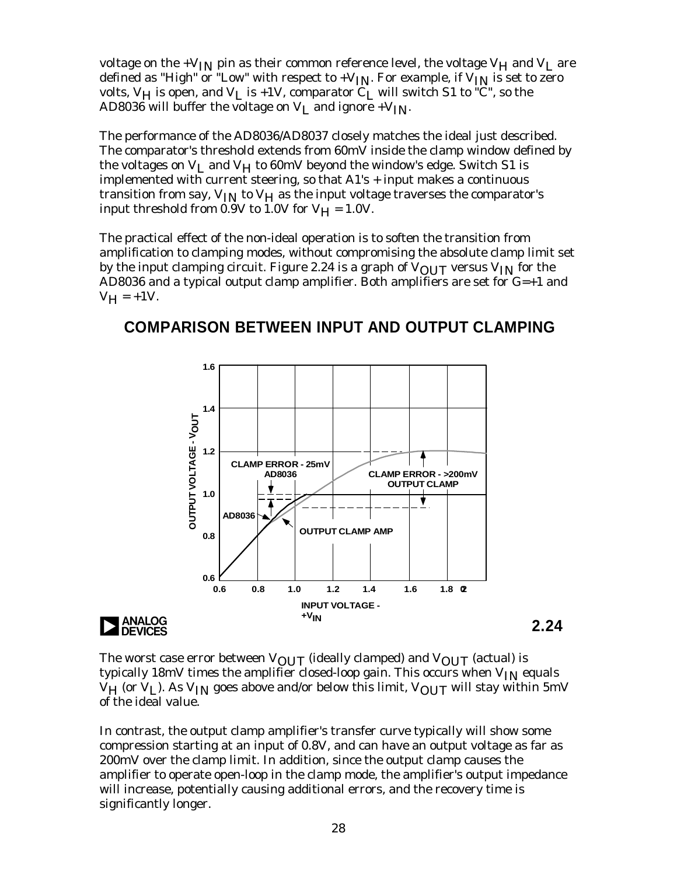voltage on the + $V_{IN}$  pin as their common reference level, the voltage  $V_H$  and  $V_L$  are defined as "High" or "Low" with respect to  $+V_{IN}$ . For example, if  $V_{IN}$  is set to zero volts, V<sub>H</sub> is open, and V<sub>L</sub> is +1V, comparator  $\overline{C}_L$  will switch S1 to  $\overline{C}$ , so the AD8036 will buffer the voltage on  $V_L$  and ignore + $V_{IN}$ .

The performance of the AD8036/AD8037 closely matches the ideal just described. The comparator's threshold extends from 60mV inside the clamp window defined by the voltages on  $V_L$  and  $V_H$  to 60mV beyond the window's edge. Switch S1 is implemented with current steering, so that A1's + input makes a continuous transition from say,  $V_{IN}$  to  $V_H$  as the input voltage traverses the comparator's input threshold from 0.9V to 1.0V for  $V_H = 1.0V$ .

The practical effect of the non-ideal operation is to soften the transition from amplification to clamping modes, without compromising the absolute clamp limit set by the input clamping circuit. Figure 2.24 is a graph of  $V_{\text{OUT}}$  versus  $V_{\text{IN}}$  for the AD8036 and a typical *output* clamp amplifier. Both amplifiers are set for G=+1 and  $V_{H} = +1V$ .







The worst case error between  $V_{\text{OUT}}$  (ideally clamped) and  $V_{\text{OUT}}$  (actual) is typically 18mV times the amplifier closed-loop gain. This occurs when  $V_{IN}$  equals  $V_H$  (or  $V_L$ ). As  $V_{IN}$  goes above and/or below this limit,  $V_{OUT}$  will stay within 5mV of the ideal value.

In contrast, the output clamp amplifier's transfer curve typically will show some compression starting at an input of 0.8V, and can have an output voltage as far as 200mV over the clamp limit. In addition, since the output clamp causes the amplifier to operate open-loop in the clamp mode, the amplifier's output impedance will increase, potentially causing additional errors, and the recovery time is significantly longer.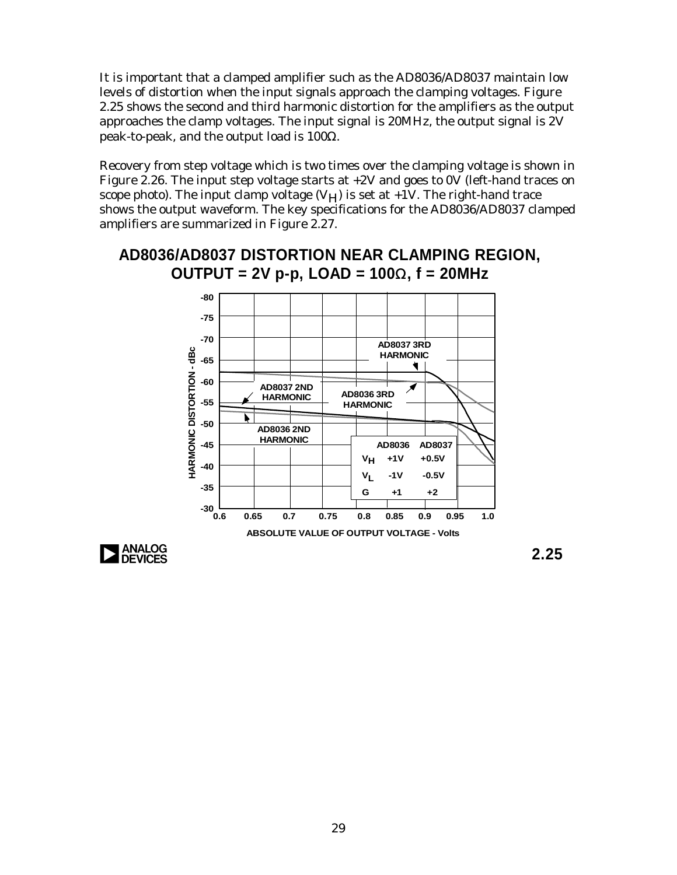It is important that a clamped amplifier such as the AD8036/AD8037 maintain low levels of distortion when the input signals approach the clamping voltages. Figure 2.25 shows the second and third harmonic distortion for the amplifiers as the output approaches the clamp voltages. The input signal is 20MHz, the output signal is 2V peak-to-peak, and the output load is  $100\Omega$ .

Recovery from step voltage which is two times over the clamping voltage is shown in Figure 2.26. The input step voltage starts at +2V and goes to 0V (left-hand traces on scope photo). The input clamp voltage  $(V_H)$  is set at +1V. The right-hand trace shows the output waveform. The key specifications for the AD8036/AD8037 clamped amplifiers are summarized in Figure 2.27.



#### **AD8036/AD8037 DISTORTION NEAR CLAMPING REGION, OUTPUT = 2V p-p, LOAD = 100**Ω**, f = 20MHz**



**2.25**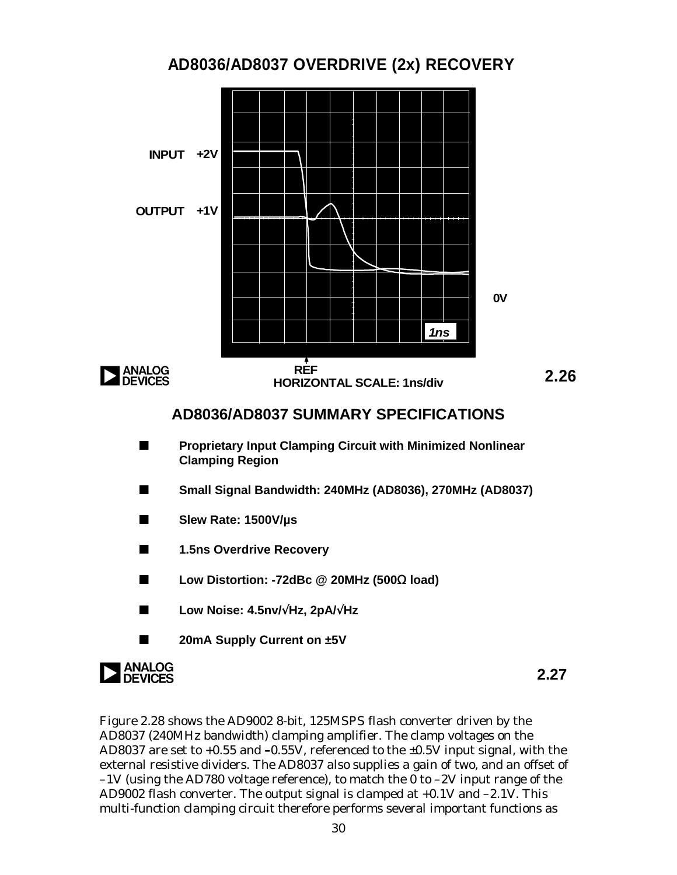## **AD8036/AD8037 OVERDRIVE (2x) RECOVERY**



Figure 2.28 shows the AD9002 8-bit, 125MSPS flash converter driven by the AD8037 (240MHz bandwidth) clamping amplifier. The clamp voltages on the AD8037 are set to +0.55 and **–**0.55V, referenced to the ±0.5V input signal, with the external resistive dividers. The AD8037 also supplies a gain of two, and an offset of  $-1V$  (using the AD780 voltage reference), to match the 0 to  $-2V$  input range of the AD9002 flash converter. The output signal is clamped at +0.1V and –2.1V. This multi-function clamping circuit therefore performs several important functions as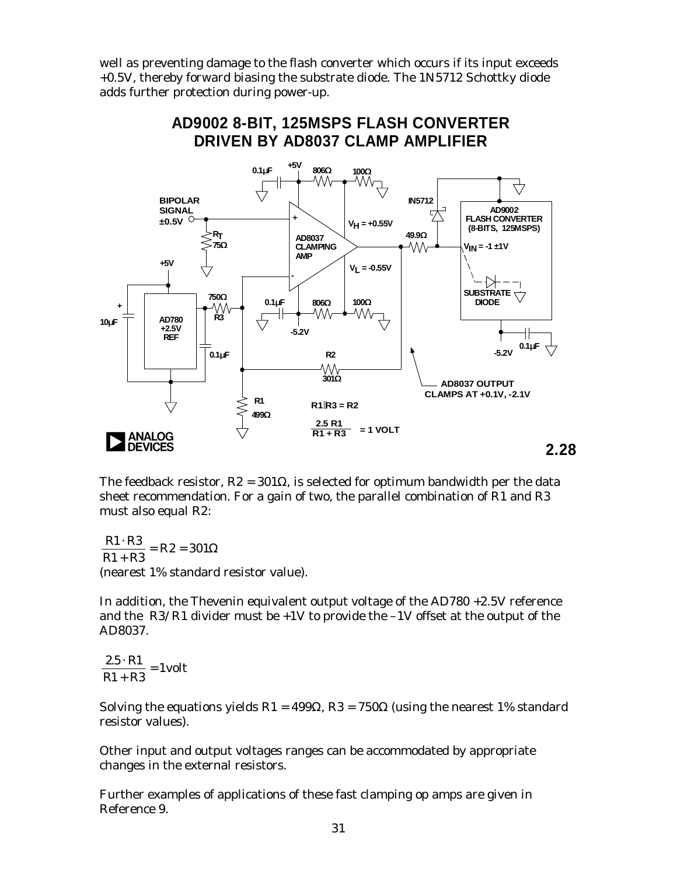well as preventing damage to the flash converter which occurs if its input exceeds +0.5V, thereby forward biasing the substrate diode. The 1N5712 Schottky diode adds further protection during power-up.



The feedback resistor,  $R2 = 301\Omega$ , is selected for optimum bandwidth per the data sheet recommendation. For a gain of two, the parallel combination of R1 and R3 must also equal R2:

 $R1 \cdot R$  $R1 + R$  $\frac{1 \cdot R3}{1 \cdot R3} = R$  $1 + R3$  $\frac{R3}{R^2} = R2 = 301$ +  $=$  R2 = 301 $\Omega$ (nearest 1% standard resistor value).

In addition, the Thevenin equivalent output voltage of the AD780 +2.5V reference and the R3/R1 divider must be  $+1V$  to provide the  $-1V$  offset at the output of the AD8037.

 $2.5 \cdot R1$  $1 + R3$  $\frac{.5 \cdot R1}{.} = 1$ +  $rac{R1}{R}$  $R1 + R$ volt

Solving the equations yields R1 =  $499\Omega$ , R3 =  $750\Omega$  (using the nearest 1% standard resistor values).

Other input and output voltages ranges can be accommodated by appropriate changes in the external resistors.

Further examples of applications of these fast clamping op amps are given in Reference 9.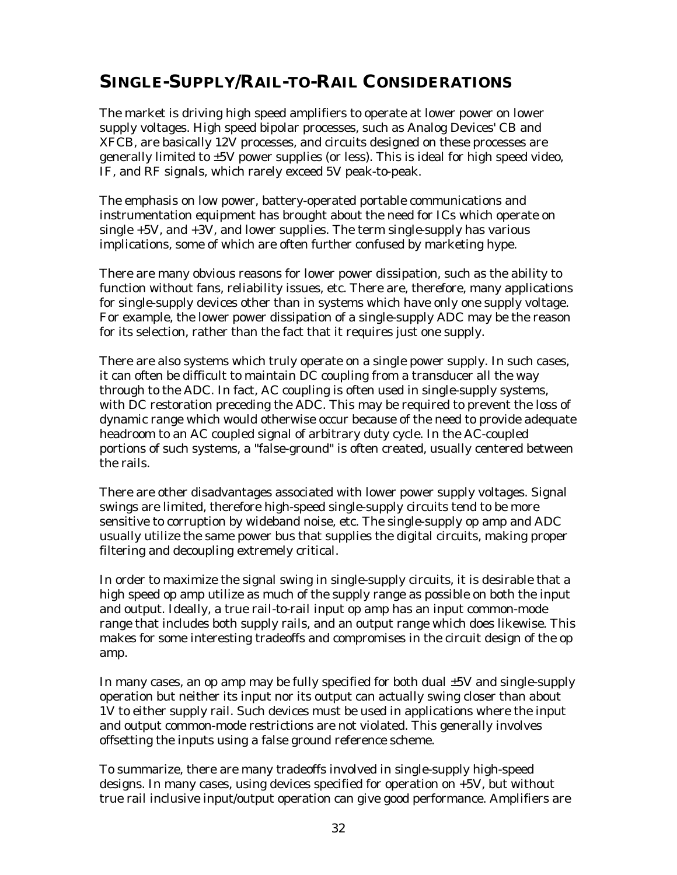## **SINGLE-SUPPLY/RAIL-TO-RAIL CONSIDERATIONS**

The market is driving high speed amplifiers to operate at lower power on lower supply voltages. High speed bipolar processes, such as Analog Devices' CB and XFCB, are basically 12V processes, and circuits designed on these processes are generally limited to ±5V power supplies (or less). This is ideal for high speed video, IF, and RF signals, which rarely exceed 5V peak-to-peak.

The emphasis on low power, battery-operated portable communications and instrumentation equipment has brought about the need for ICs which operate on single +5V, and +3V, and lower supplies. The term *single-supply* has various implications, some of which are often further confused by marketing hype.

There are many obvious reasons for lower power dissipation, such as the ability to function without fans, reliability issues, etc. There are, therefore, many applications for single-supply devices other than in systems which have only one supply voltage. For example, the lower power dissipation of a single-supply ADC may be the reason for its selection, rather than the fact that it requires just one supply.

There are also systems which truly operate on a single power supply. In such cases, it can often be difficult to maintain DC coupling from a transducer all the way through to the ADC. In fact, AC coupling is often used in single-supply systems, with DC restoration preceding the ADC. This may be required to prevent the loss of dynamic range which would otherwise occur because of the need to provide adequate headroom to an AC coupled signal of arbitrary duty cycle. In the AC-coupled portions of such systems, a "false-ground" is often created, usually centered between the rails.

There are other disadvantages associated with lower power supply voltages. Signal swings are limited, therefore high-speed single-supply circuits tend to be more sensitive to corruption by wideband noise, etc. The single-supply op amp and ADC usually utilize the same power bus that supplies the digital circuits, making proper filtering and decoupling extremely critical.

In order to maximize the signal swing in single-supply circuits, it is desirable that a high speed op amp utilize as much of the supply range as possible on both the input and output. Ideally, a true *rail-to-rail* input op amp has an input common-mode range that includes both supply rails, and an output range which does likewise. This makes for some interesting tradeoffs and compromises in the circuit design of the op amp.

In many cases, an op amp may be fully specified for both dual ±5V and single-supply operation but neither its input nor its output can actually swing closer than about 1V to either supply rail. Such devices must be used in applications where the input and output common-mode restrictions are not violated. This generally involves offsetting the inputs using a false ground reference scheme.

To summarize, there are many tradeoffs involved in single-supply high-speed designs. In many cases, using devices specified for operation on +5V, but without true rail inclusive input/output operation can give good performance. Amplifiers are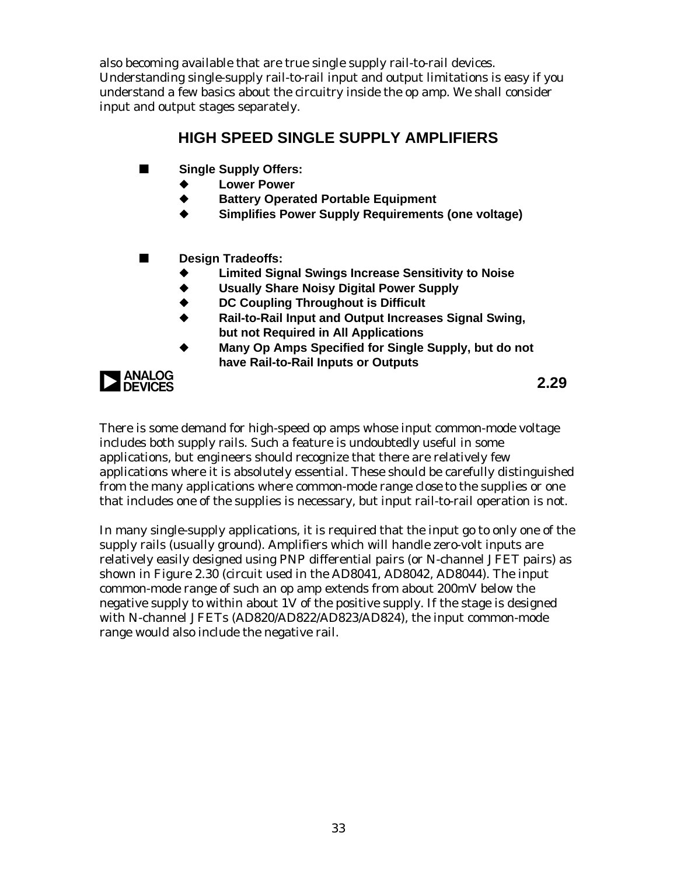also becoming available that are true single supply rail-to-rail devices. Understanding single-supply rail-to-rail input and output limitations is easy if you understand a few basics about the circuitry inside the op amp. We shall consider input and output stages separately.

## **HIGH SPEED SINGLE SUPPLY AMPLIFIERS**

- **n** Single Supply Offers:
	- ◆ Lower Power
	- u **Battery Operated Portable Equipment**
	- **Simplifies Power Supply Requirements (one voltage)**

#### **n** Design Tradeoffs:

- **Limited Signal Swings Increase Sensitivity to Noise**
- **Usually Share Noisy Digital Power Supply**
- **DC Coupling Throughout is Difficult**
- **Rail-to-Rail Input and Output Increases Signal Swing, but not Required in All Applications**
- **Many Op Amps Specified for Single Supply, but do not have Rail-to-Rail Inputs or Outputs**



**2.29**

There is some demand for high-speed op amps whose input common-mode voltage includes both supply rails. Such a feature is undoubtedly useful in some applications, but engineers should recognize that there are relatively few applications where it is absolutely essential. These should be carefully distinguished from the many applications where common-mode range *close* to the supplies or one that includes one of the supplies is necessary, but input rail-to-rail operation is not.

In many single-supply applications, it is required that the input go to only one of the supply rails (usually ground). Amplifiers which will handle zero-volt inputs are relatively easily designed using PNP differential pairs (or N-channel JFET pairs) as shown in Figure 2.30 (circuit used in the AD8041, AD8042, AD8044). The input common-mode range of such an op amp extends from about 200mV below the negative supply to within about 1V of the positive supply. If the stage is designed with N-channel JFETs (AD820/AD822/AD823/AD824), the input common-mode range would also include the negative rail.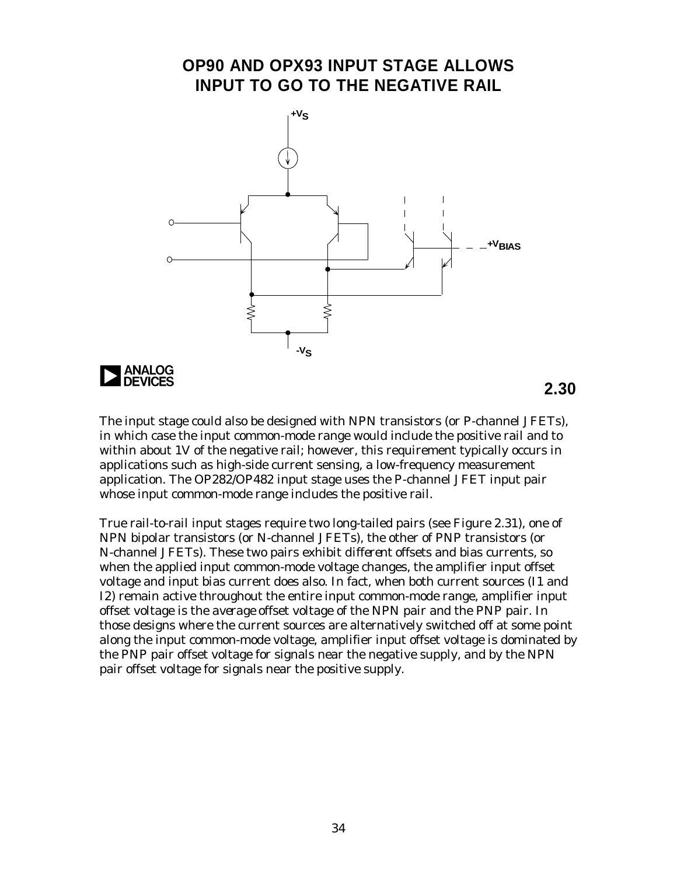## **OP90 AND OPX93 INPUT STAGE ALLOWS INPUT TO GO TO THE NEGATIVE RAIL**



The input stage could also be designed with NPN transistors (or P-channel JFETs), in which case the input common-mode range would include the positive rail and to within about 1V of the negative rail; however, this requirement typically occurs in applications such as high-side current sensing, a low-frequency measurement application. The OP282/OP482 input stage uses the P-channel JFET input pair whose input common-mode range includes the positive rail.

True rail-to-rail input stages require two long-tailed pairs (see Figure 2.31), one of NPN bipolar transistors (or N-channel JFETs), the other of PNP transistors (or N-channel JFETs). These two pairs exhibit *different* offsets and bias currents, so when the applied input common-mode voltage changes, the amplifier input offset voltage and input bias current does also. In fact, when both current sources (I1 and I2) remain active throughout the entire input common-mode range, amplifier input offset voltage is the *average* offset voltage of the NPN pair and the PNP pair. In those designs where the current sources are alternatively switched off at some point along the input common-mode voltage, amplifier input offset voltage is dominated by the PNP pair offset voltage for signals near the negative supply, and by the NPN pair offset voltage for signals near the positive supply.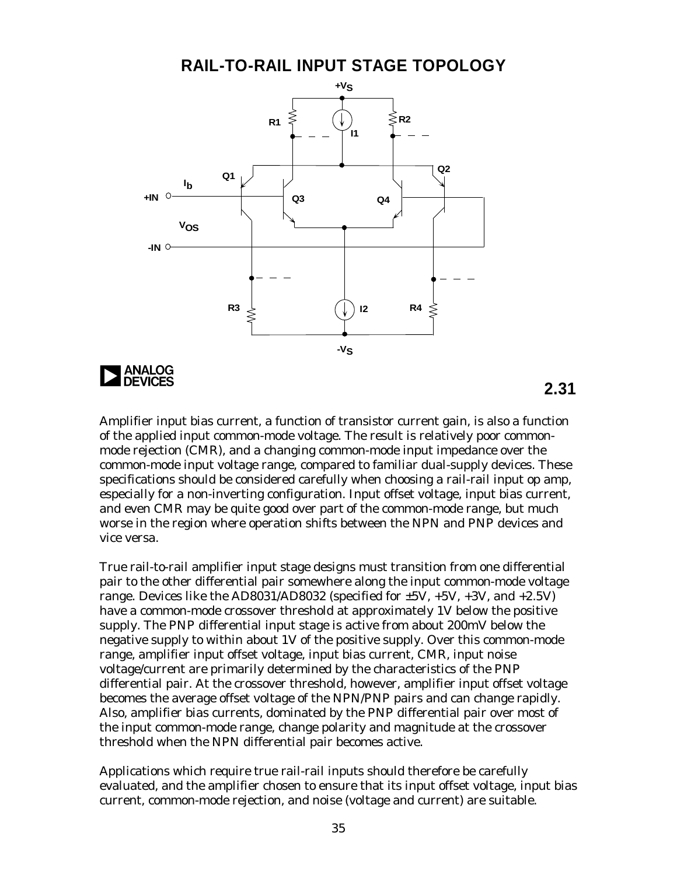#### **RAIL-TO-RAIL INPUT STAGE TOPOLOGY**



Amplifier input bias current, a function of transistor current gain, is also a function of the applied input common-mode voltage. The result is relatively poor commonmode rejection (CMR), and a changing common-mode input impedance over the common-mode input voltage range, compared to familiar dual-supply devices. These specifications should be considered carefully when choosing a rail-rail input op amp, especially for a non-inverting configuration. Input offset voltage, input bias current, and even CMR may be quite good over *part* of the common-mode range, but much worse in the region where operation shifts between the NPN and PNP devices and vice versa.

True rail-to-rail amplifier input stage designs must transition from one differential pair to the other differential pair somewhere along the input common-mode voltage range. Devices like the AD8031/AD8032 (specified for  $\pm 5V$ ,  $\pm 5V$ ,  $\pm 3V$ , and  $\pm 2.5V$ ) have a common-mode crossover threshold at approximately 1V below the positive supply. The PNP differential input stage is active from about 200mV below the negative supply to within about 1V of the positive supply. Over this common-mode range, amplifier input offset voltage, input bias current, CMR, input noise voltage/current are primarily determined by the characteristics of the PNP differential pair. At the crossover threshold, however, amplifier input offset voltage becomes the average offset voltage of the NPN/PNP pairs and can change rapidly. Also, amplifier bias currents, dominated by the PNP differential pair over most of the input common-mode range, change polarity and magnitude at the crossover threshold when the NPN differential pair becomes active.

Applications which require true rail-rail inputs should therefore be carefully evaluated, and the amplifier chosen to ensure that its input offset voltage, input bias current, common-mode rejection, and noise (voltage and current) are suitable.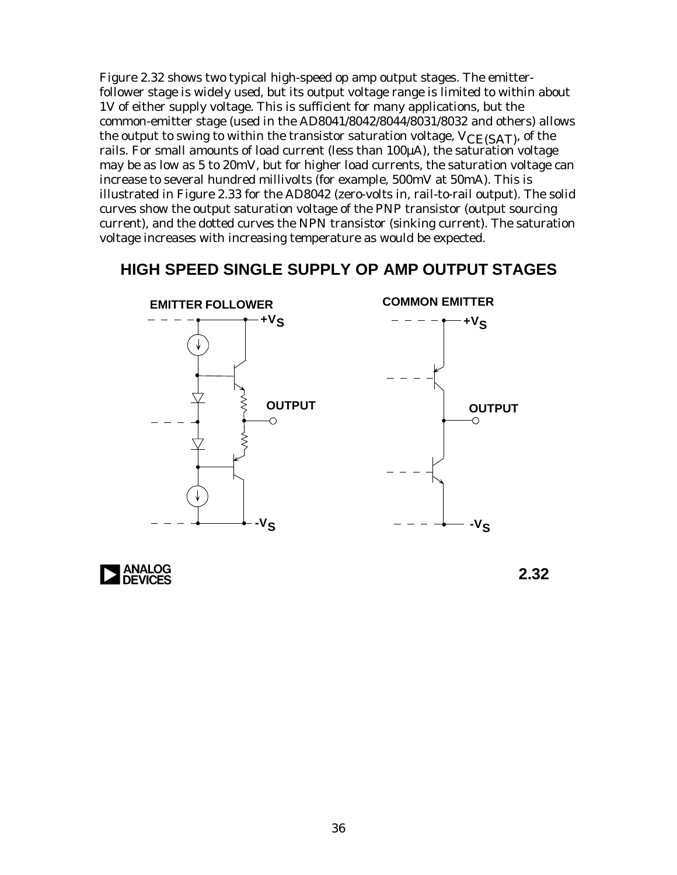Figure 2.32 shows two typical high-speed op amp output stages. The emitterfollower stage is widely used, but its output voltage range is limited to within about 1V of either supply voltage. This is sufficient for many applications, but the common-emitter stage (used in the AD8041/8042/8044/8031/8032 and others) allows the output to swing to within the transistor saturation voltage,  $V_{\text{CE}}(SAT)$ , of the rails. For small amounts of load current (less than 100µA), the saturation voltage may be as low as 5 to 20mV, but for higher load currents, the saturation voltage can increase to several hundred millivolts (for example, 500mV at 50mA). This is illustrated in Figure 2.33 for the AD8042 (zero-volts in, rail-to-rail output). The solid curves show the output saturation voltage of the PNP transistor (output sourcing current), and the dotted curves the NPN transistor (sinking current). The saturation voltage increases with increasing temperature as would be expected.

#### **HIGH SPEED SINGLE SUPPLY OP AMP OUTPUT STAGES**



**+VS OUTPUT OUTPUT**↷ **-VS -VS**

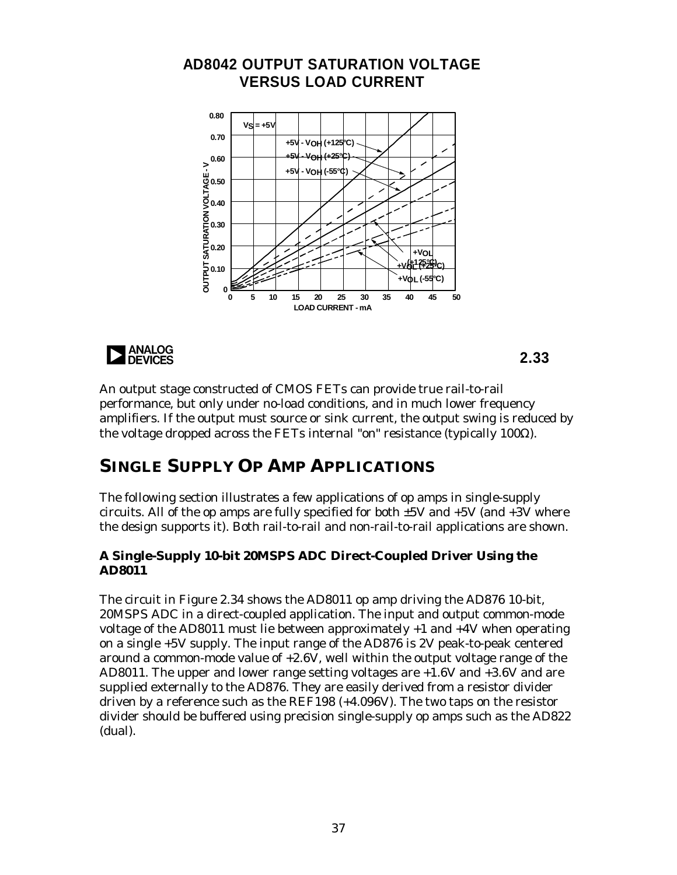

**AD8042 OUTPUT SATURATION VOLTAGE**



An output stage constructed of CMOS FETs can provide true rail-to-rail performance, but only under no-load conditions, and in much lower frequency amplifiers. If the output must source or sink current, the output swing is reduced by the voltage dropped across the FETs internal "on" resistance (typically 100 $\Omega$ ).

## **SINGLE SUPPLY OP AMP APPLICATIONS**

The following section illustrates a few applications of op amps in single-supply circuits. All of the op amps are fully specified for both  $\pm 5V$  and  $\pm 5V$  (and  $\pm 3V$  where the design supports it). Both rail-to-rail and non-rail-to-rail applications are shown.

#### **A Single-Supply 10-bit 20MSPS ADC Direct-Coupled Driver Using the AD8011**

The circuit in Figure 2.34 shows the AD8011 op amp driving the AD876 10-bit, 20MSPS ADC in a direct-coupled application. The input and output common-mode voltage of the AD8011 must lie between approximately +1 and +4V when operating on a single +5V supply. The input range of the AD876 is 2V peak-to-peak centered around a common-mode value of +2.6V, well within the output voltage range of the AD8011. The upper and lower range setting voltages are +1.6V and +3.6V and are supplied externally to the AD876. They are easily derived from a resistor divider driven by a reference such as the REF198 (+4.096V). The two taps on the resistor divider should be buffered using precision single-supply op amps such as the AD822 (dual).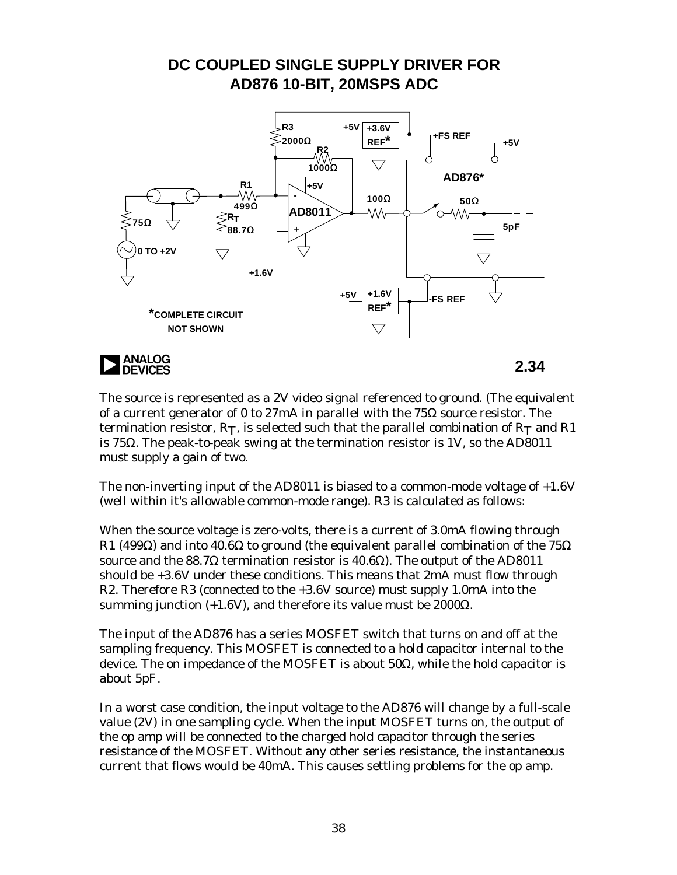#### **DC COUPLED SINGLE SUPPLY DRIVER FOR AD876 10-BIT, 20MSPS ADC**



The source is represented as a 2V video signal referenced to ground. (The equivalent of a current generator of 0 to 27mA in parallel with the  $75\Omega$  source resistor. The termination resistor,  $R_T$ , is selected such that the parallel combination of  $R_T$  and R1 is 75Ω. The peak-to-peak swing at the termination resistor is 1V, so the AD8011 must supply a gain of two.

The non-inverting input of the AD8011 is biased to a common-mode voltage of +1.6V (well within it's allowable common-mode range). R3 is calculated as follows:

When the source voltage is zero-volts, there is a current of 3.0mA flowing through R1 (499 $\Omega$ ) and into 40.6 $\Omega$  to ground (the equivalent parallel combination of the 75 $\Omega$ source and the 88.7Ω termination resistor is 40.6Ω). The output of the AD8011 should be +3.6V under these conditions. This means that 2mA must flow through R2. Therefore R3 (connected to the +3.6V source) must supply 1.0mA into the summing junction  $(+1.6V)$ , and therefore its value must be 2000 $\Omega$ .

The input of the AD876 has a series MOSFET switch that turns on and off at the sampling frequency. This MOSFET is connected to a hold capacitor internal to the device. The on impedance of the MOSFET is about 50Ω, while the hold capacitor is about 5pF.

In a worst case condition, the input voltage to the AD876 will change by a full-scale value (2V) in one sampling cycle. When the input MOSFET turns on, the output of the op amp will be connected to the charged hold capacitor through the series resistance of the MOSFET. Without any other series resistance, the instantaneous current that flows would be 40mA. This causes settling problems for the op amp.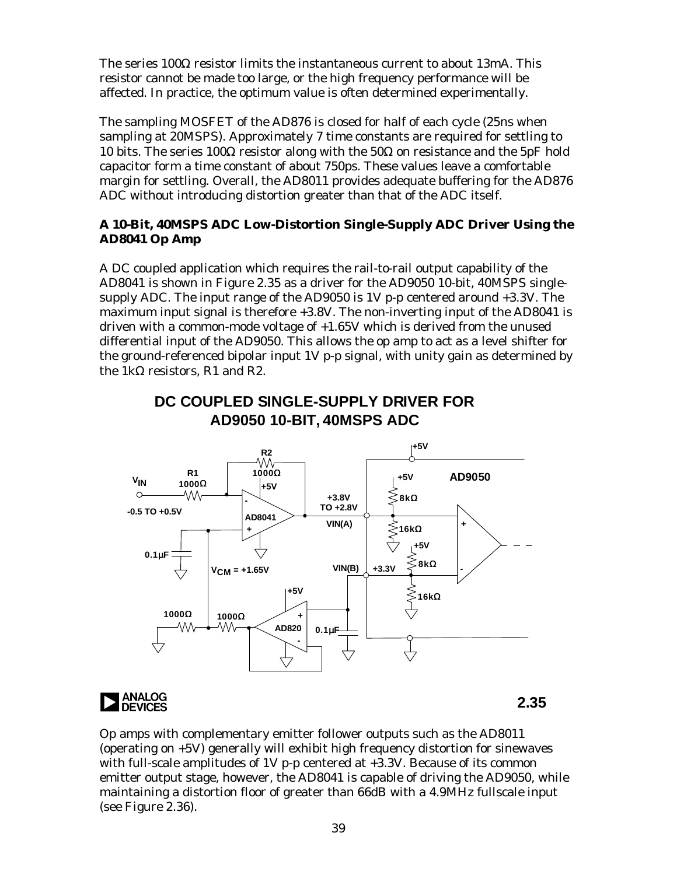The series 100 $\Omega$  resistor limits the instantaneous current to about 13mA. This resistor cannot be made too large, or the high frequency performance will be affected. In practice, the optimum value is often determined experimentally.

The sampling MOSFET of the AD876 is closed for half of each cycle (25ns when sampling at 20MSPS). Approximately 7 time constants are required for settling to 10 bits. The series 100Ω resistor along with the 50Ω on resistance and the 5pF hold capacitor form a time constant of about 750ps. These values leave a comfortable margin for settling. Overall, the AD8011 provides adequate buffering for the AD876 ADC without introducing distortion greater than that of the ADC itself.

#### **A 10-Bit, 40MSPS ADC Low-Distortion Single-Supply ADC Driver Using the AD8041 Op Amp**

A DC coupled application which requires the rail-to-rail output capability of the AD8041 is shown in Figure 2.35 as a driver for the AD9050 10-bit, 40MSPS singlesupply ADC. The input range of the AD9050 is 1V p-p centered around +3.3V. The maximum input signal is therefore +3.8V. The non-inverting input of the AD8041 is driven with a common-mode voltage of +1.65V which is derived from the unused differential input of the AD9050. This allows the op amp to act as a level shifter for the ground-referenced bipolar input 1V p-p signal, with unity gain as determined by the 1kΩ resistors, R1 and R2.



#### **DC COUPLED SINGLE-SUPPLY DRIVER FOR AD9050 10-BIT, 40MSPS ADC**

# | ANALOG<br>| DEVICES

**2.35**

Op amps with complementary emitter follower outputs such as the AD8011 (operating on +5V) generally will exhibit high frequency distortion for sinewaves with full-scale amplitudes of  $1V$  p-p centered at  $+3.3V$ . Because of its common emitter output stage, however, the AD8041 is capable of driving the AD9050, while maintaining a distortion floor of greater than 66dB with a 4.9MHz fullscale input (see Figure 2.36).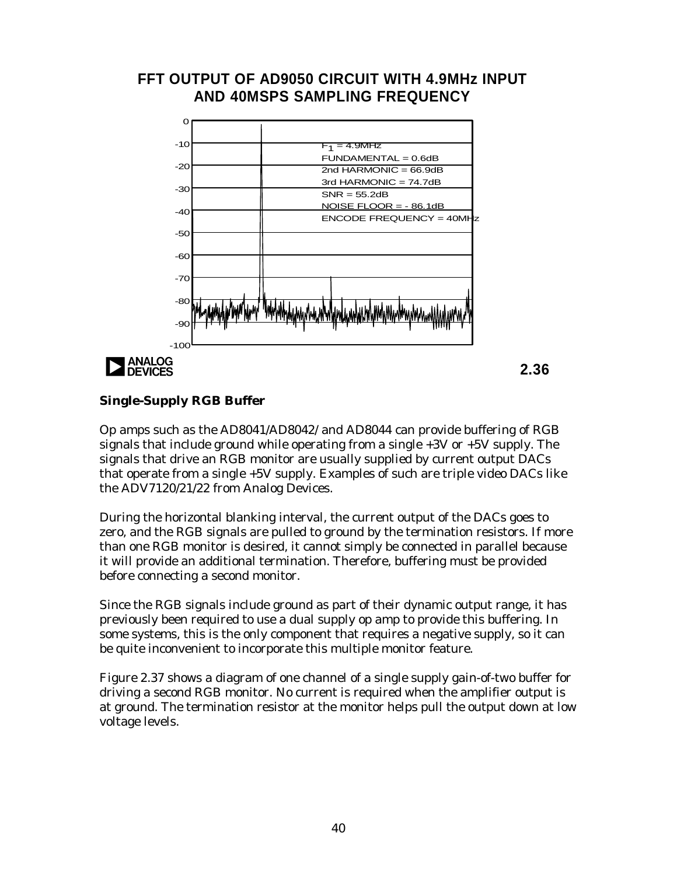#### **FFT OUTPUT OF AD9050 CIRCUIT WITH 4.9MHz INPUT AND 40MSPS SAMPLING FREQUENCY**





#### **Single-Supply RGB Buffer**

Op amps such as the AD8041/AD8042/ and AD8044 can provide buffering of RGB signals that include ground while operating from a single +3V or +5V supply. The signals that drive an RGB monitor are usually supplied by current output DACs that operate from a single +5V supply. Examples of such are triple video DACs like the ADV7120/21/22 from Analog Devices.

During the horizontal blanking interval, the current output of the DACs goes to zero, and the RGB signals are pulled to ground by the termination resistors. If more than one RGB monitor is desired, it cannot simply be connected in parallel because it will provide an additional termination. Therefore, buffering must be provided before connecting a second monitor.

Since the RGB signals include ground as part of their dynamic output range, it has previously been required to use a dual supply op amp to provide this buffering. In some systems, this is the only component that requires a negative supply, so it can be quite inconvenient to incorporate this multiple monitor feature.

Figure 2.37 shows a diagram of one channel of a single supply gain-of-two buffer for driving a second RGB monitor. No current is required when the amplifier output is at ground. The termination resistor at the monitor helps pull the output down at low voltage levels.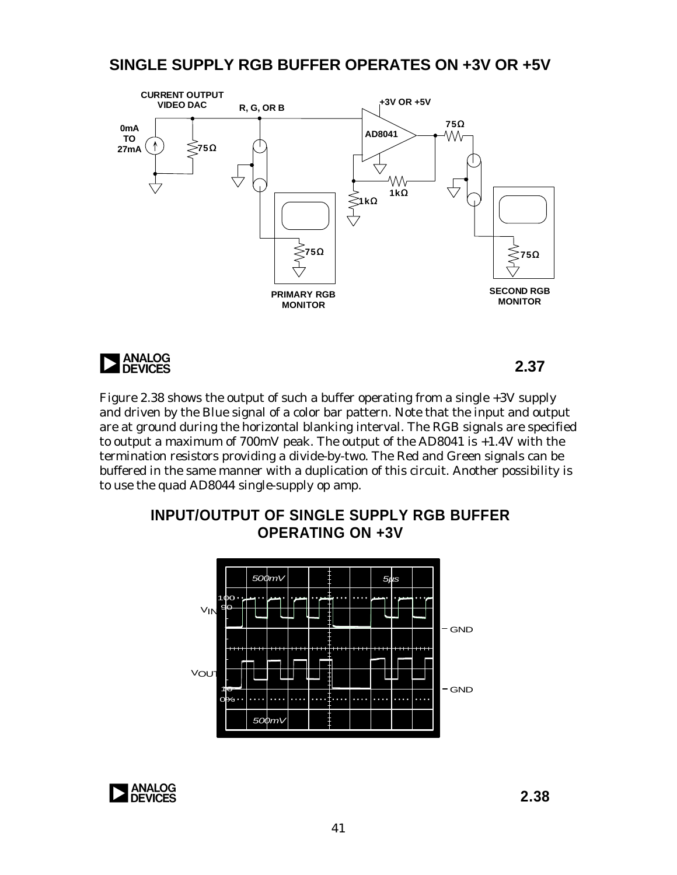## **SINGLE SUPPLY RGB BUFFER OPERATES ON +3V OR +5V**



**ANALOG**<br>DEVICES

```
2.37
```
Figure 2.38 shows the output of such a buffer operating from a single +3V supply and driven by the Blue signal of a color bar pattern. Note that the input and output are at ground during the horizontal blanking interval. The RGB signals are specified to output a maximum of 700mV peak. The output of the AD8041 is +1.4V with the termination resistors providing a divide-by-two. The Red and Green signals can be buffered in the same manner with a duplication of this circuit. Another possibility is to use the quad AD8044 single-supply op amp.



#### **INPUT/OUTPUT OF SINGLE SUPPLY RGB BUFFER OPERATING ON +3V**

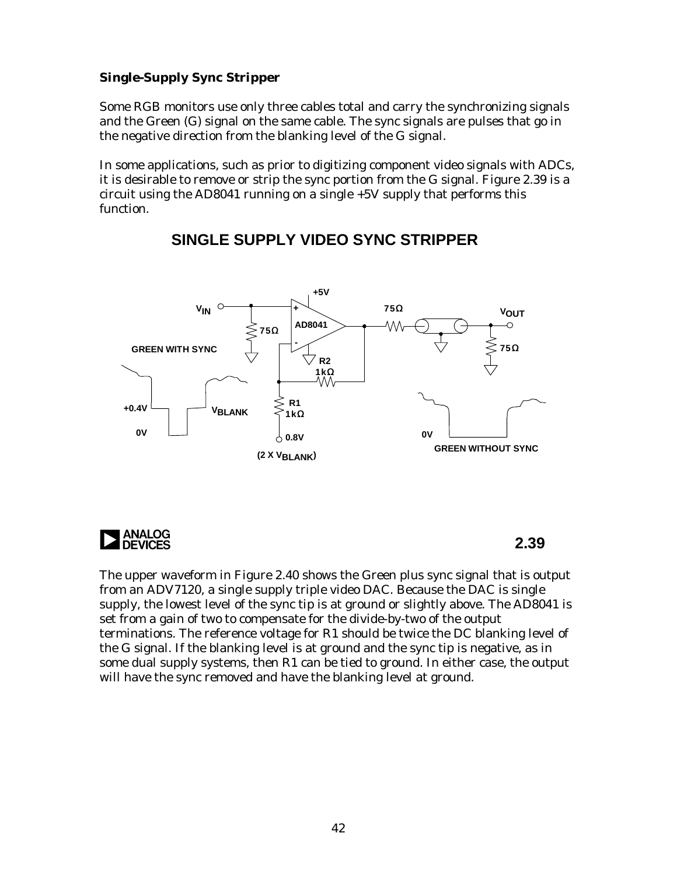#### **Single-Supply Sync Stripper**

Some RGB monitors use only three cables total and carry the synchronizing signals and the Green (G) signal on the same cable. The sync signals are pulses that go in the negative direction from the blanking level of the G signal.

In some applications, such as prior to digitizing component video signals with ADCs, it is desirable to remove or strip the sync portion from the G signal. Figure 2.39 is a circuit using the AD8041 running on a single +5V supply that performs this function.



## **SINGLE SUPPLY VIDEO SYNC STRIPPER**



**2.39**

The upper waveform in Figure 2.40 shows the Green plus sync signal that is output from an ADV7120, a single supply triple video DAC. Because the DAC is single supply, the lowest level of the sync tip is at ground or slightly above. The AD8041 is set from a gain of two to compensate for the divide-by-two of the output terminations. The reference voltage for R1 should be twice the DC blanking level of the G signal. If the blanking level is at ground and the sync tip is negative, as in some dual supply systems, then R1 can be tied to ground. In either case, the output will have the sync removed and have the blanking level at ground.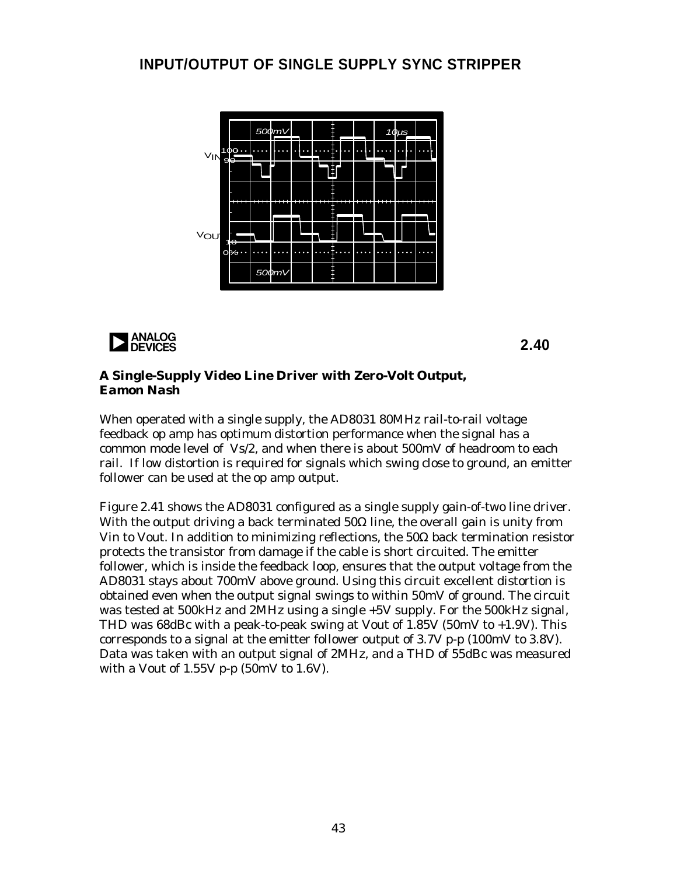#### **INPUT/OUTPUT OF SINGLE SUPPLY SYNC STRIPPER**





#### **A Single-Supply Video Line Driver with Zero-Volt Output,** *Eamon Nash*

When operated with a single supply, the AD8031 80MHz rail-to-rail voltage feedback op amp has optimum distortion performance when the signal has a common mode level of Vs/2, and when there is about 500mV of headroom to each rail. If low distortion is required for signals which swing close to ground, an emitter follower can be used at the op amp output.

Figure 2.41 shows the AD8031 configured as a single supply gain-of-two line driver. With the output driving a back terminated  $50\Omega$  line, the overall gain is unity from Vin to Vout. In addition to minimizing reflections, the  $50\Omega$  back termination resistor protects the transistor from damage if the cable is short circuited. The emitter follower, which is inside the feedback loop, ensures that the output voltage from the AD8031 stays about 700mV above ground. Using this circuit excellent distortion is obtained even when the output signal swings to within 50mV of ground. The circuit was tested at 500kHz and 2MHz using a single +5V supply. For the 500kHz signal, THD was 68dBc with a peak-to-peak swing at Vout of 1.85V (50mV to +1.9V). This corresponds to a signal at the emitter follower output of 3.7V p-p (100mV to 3.8V). Data was taken with an output signal of 2MHz, and a THD of 55dBc was measured with a Vout of  $1.55V$  p-p (50mV to 1.6V).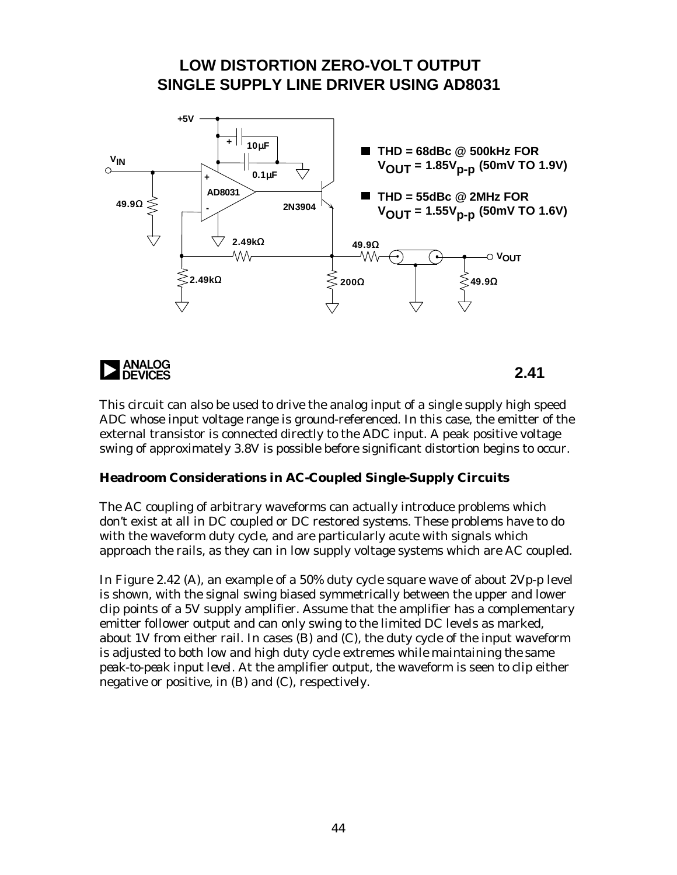#### **LOW DISTORTION ZERO-VOLT OUTPUT SINGLE SUPPLY LINE DRIVER USING AD8031**



This circuit can also be used to drive the analog input of a single supply high speed ADC whose input voltage range is ground-referenced. In this case, the emitter of the external transistor is connected directly to the ADC input. A peak positive voltage swing of approximately 3.8V is possible before significant distortion begins to occur.

#### **Headroom Considerations in AC-Coupled Single-Supply Circuits**

The AC coupling of arbitrary waveforms can actually introduce problems which don't exist at all in DC coupled or DC restored systems. These problems have to do with the waveform duty cycle, and are particularly acute with signals which approach the rails, as they can in low supply voltage systems which are AC coupled.

In Figure 2.42 (A), an example of a 50% duty cycle square wave of about 2Vp-p level is shown, with the signal swing biased symmetrically between the upper and lower clip points of a 5V supply amplifier. Assume that the amplifier has a complementary emitter follower output and can only swing to the limited DC levels as marked, about 1V from either rail. In cases (B) and (C), the duty cycle of the input waveform is adjusted to both low and high duty cycle extremes *while maintaining the same peak-to-peak input level*. At the amplifier output, the waveform is seen to clip either negative or positive, in (B) and (C), respectively.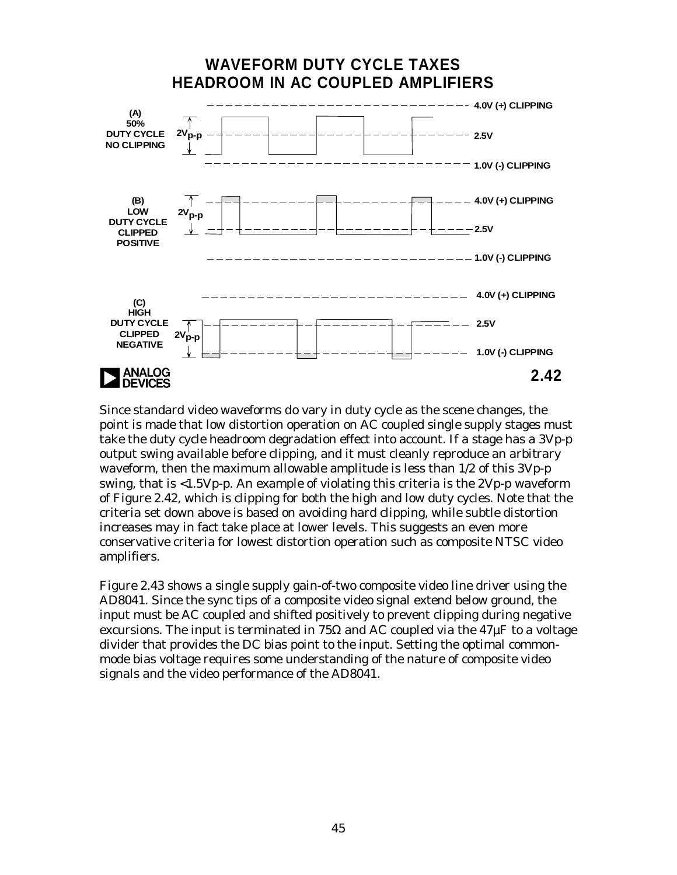

Since standard video waveforms *do* vary in duty cycle as the scene changes, the point is made that low distortion operation on AC coupled single supply stages must take the duty cycle headroom degradation effect into account. If a stage has a 3Vp-p output swing available before clipping, and it must cleanly reproduce an *arbitrary* waveform, then the maximum allowable amplitude is less than 1/2 of this 3Vp-p swing, that is <1.5Vp-p. An example of violating this criteria is the 2Vp-p waveform of Figure 2.42, which is clipping for both the high and low duty cycles. Note that the criteria set down above is based on avoiding hard clipping, while subtle distortion increases may in fact take place at lower levels. This suggests an even more conservative criteria for lowest distortion operation such as composite NTSC video amplifiers.

Figure 2.43 shows a single supply gain-of-two composite video line driver using the AD8041. Since the sync tips of a composite video signal extend below ground, the input must be AC coupled and shifted positively to prevent clipping during negative excursions. The input is terminated in 75 $\Omega$  and AC coupled via the 47 $\mu$ F to a voltage divider that provides the DC bias point to the input. Setting the optimal commonmode bias voltage requires some understanding of the nature of composite video signals and the video performance of the AD8041.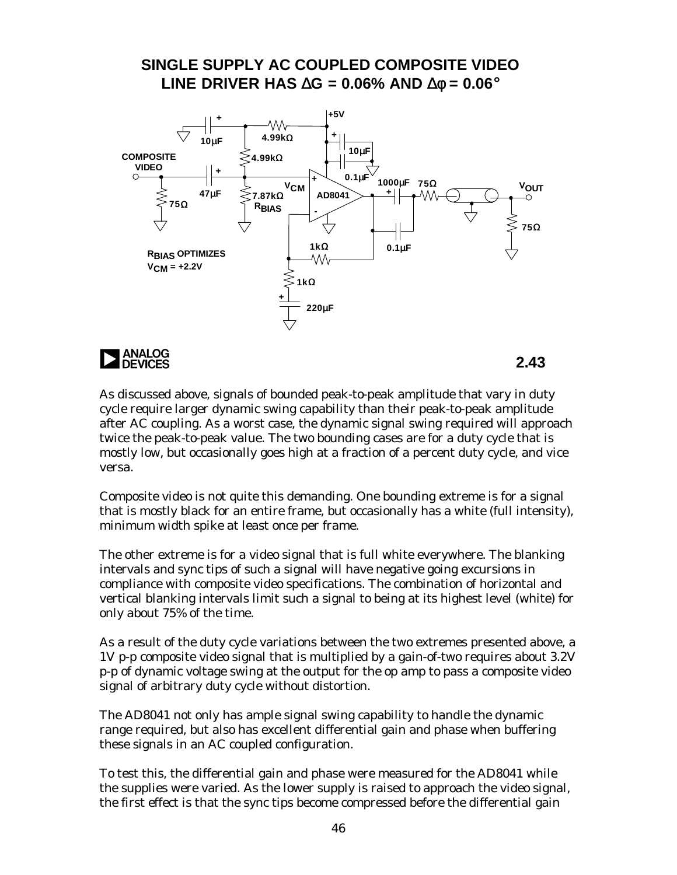#### **SINGLE SUPPLY AC COUPLED COMPOSITE VIDEO LINE DRIVER HAS** Δ**G = 0.06% AND** Δφ **= 0.06**°



As discussed above, signals of bounded peak-to-peak amplitude that vary in duty cycle require larger dynamic swing capability than their peak-to-peak amplitude after AC coupling. As a worst case, the dynamic signal swing required will approach twice the peak-to-peak value. The two bounding cases are for a duty cycle that is mostly low, but occasionally goes high at a fraction of a percent duty cycle, and vice versa.

Composite video is not quite this demanding. One bounding extreme is for a signal that is mostly black for an entire frame, but occasionally has a white (full intensity), minimum width spike at least once per frame.

The other extreme is for a video signal that is full white everywhere. The blanking intervals and sync tips of such a signal will have negative going excursions in compliance with composite video specifications. The combination of horizontal and vertical blanking intervals limit such a signal to being at its highest level (white) for only about 75% of the time.

As a result of the duty cycle variations between the two extremes presented above, a 1V p-p composite video signal that is multiplied by a gain-of-two requires about 3.2V p-p of dynamic voltage swing at the output for the op amp to pass a composite video signal of arbitrary duty cycle without distortion.

The AD8041 not only has ample signal swing capability to handle the dynamic range required, but also has excellent differential gain and phase when buffering these signals in an AC coupled configuration.

To test this, the differential gain and phase were measured for the AD8041 while the supplies were varied. As the lower supply is raised to approach the video signal, the first effect is that the sync tips become compressed before the differential gain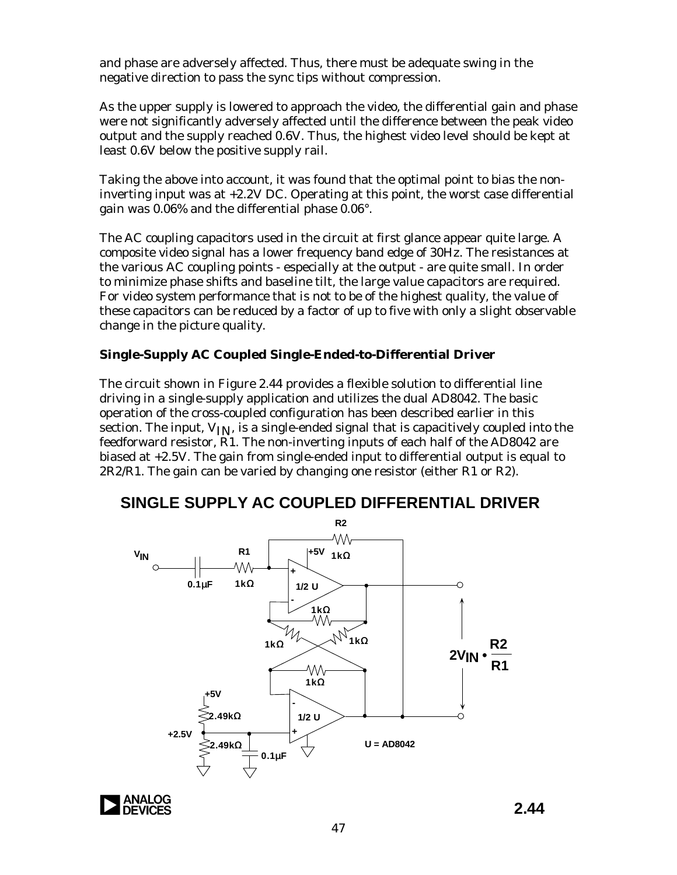and phase are adversely affected. Thus, there must be adequate swing in the negative direction to pass the sync tips without compression.

As the upper supply is lowered to approach the video, the differential gain and phase were not significantly adversely affected until the difference between the peak video output and the supply reached 0.6V. Thus, the highest video level should be kept at least 0.6V below the positive supply rail.

Taking the above into account, it was found that the optimal point to bias the noninverting input was at +2.2V DC. Operating at this point, the worst case differential gain was 0.06% and the differential phase 0.06°.

The AC coupling capacitors used in the circuit at first glance appear quite large. A composite video signal has a lower frequency band edge of 30Hz. The resistances at the various AC coupling points - especially at the output - are quite small. In order to minimize phase shifts and baseline tilt, the large value capacitors are required. For video system performance that is not to be of the highest quality, the value of these capacitors can be reduced by a factor of up to five with only a slight observable change in the picture quality.

#### **Single-Supply AC Coupled Single-Ended-to-Differential Driver**

The circuit shown in Figure 2.44 provides a flexible solution to differential line driving in a single-supply application and utilizes the dual AD8042. The basic operation of the cross-coupled configuration has been described earlier in this section. The input,  $V_{IN}$ , is a single-ended signal that is capacitively coupled into the feedforward resistor, R1. The non-inverting inputs of each half of the AD8042 are biased at +2.5V. The gain from single-ended input to differential output is equal to 2R2/R1. The gain can be varied by changing one resistor (either R1 or R2).

#### **SINGLE SUPPLY AC COUPLED DIFFERENTIAL DRIVER**



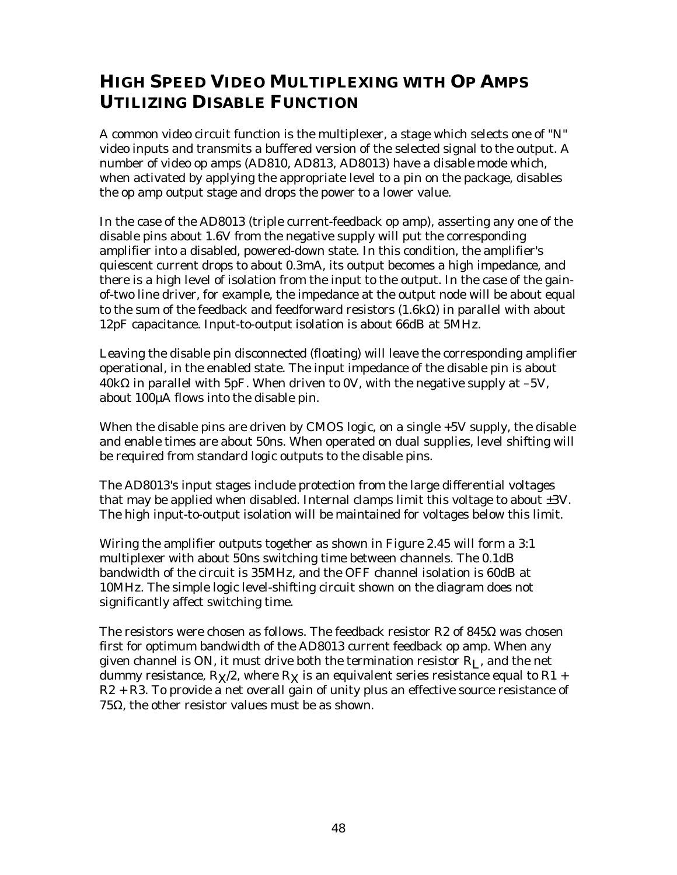## **HIGH SPEED VIDEO MULTIPLEXING WITH OP AMPS UTILIZING DISABLE FUNCTION**

A common video circuit function is the multiplexer, a stage which selects one of "N" video inputs and transmits a buffered version of the selected signal to the output. A number of video op amps (AD810, AD813, AD8013) have a *disable* mode which, when activated by applying the appropriate level to a pin on the package, disables the op amp output stage and drops the power to a lower value.

In the case of the AD8013 (triple current-feedback op amp), asserting any one of the disable pins about 1.6V from the negative supply will put the corresponding amplifier into a disabled, powered-down state. In this condition, the amplifier's quiescent current drops to about 0.3mA, its output becomes a high impedance, and there is a high level of isolation from the input to the output. In the case of the gainof-two line driver, for example, the impedance at the output node will be about equal to the sum of the feedback and feedforward resistors (1.6kΩ) in parallel with about 12pF capacitance. Input-to-output isolation is about 66dB at 5MHz.

Leaving the disable pin disconnected (floating) will leave the corresponding amplifier operational, in the enabled state. The input impedance of the disable pin is about  $40k\Omega$  in parallel with 5pF. When driven to 0V, with the negative supply at  $-5V$ , about 100µA flows into the disable pin.

When the disable pins are driven by CMOS logic, on a single  $+5V$  supply, the disable and enable times are about 50ns. When operated on dual supplies, level shifting will be required from standard logic outputs to the disable pins.

The AD8013's input stages include protection from the large differential voltages that may be applied when disabled. Internal clamps limit this voltage to about  $\pm 3V$ . The high input-to-output isolation will be maintained for voltages below this limit.

Wiring the amplifier outputs together as shown in Figure 2.45 will form a 3:1 multiplexer with about 50ns switching time between channels. The 0.1dB bandwidth of the circuit is 35MHz, and the OFF channel isolation is 60dB at 10MHz. The simple logic level-shifting circuit shown on the diagram does not significantly affect switching time.

The resistors were chosen as follows. The feedback resistor R2 of 845 $\Omega$  was chosen first for optimum bandwidth of the AD8013 current feedback op amp. When any given channel is ON, it must drive both the termination resistor  $R_{\text{I}}$ , and the net dummy resistance,  $R_X/2$ , where  $R_X$  is an equivalent series resistance equal to R1 + R2 + R3. To provide a net overall gain of unity plus an effective source resistance of 75 $Ω$ , the other resistor values must be as shown.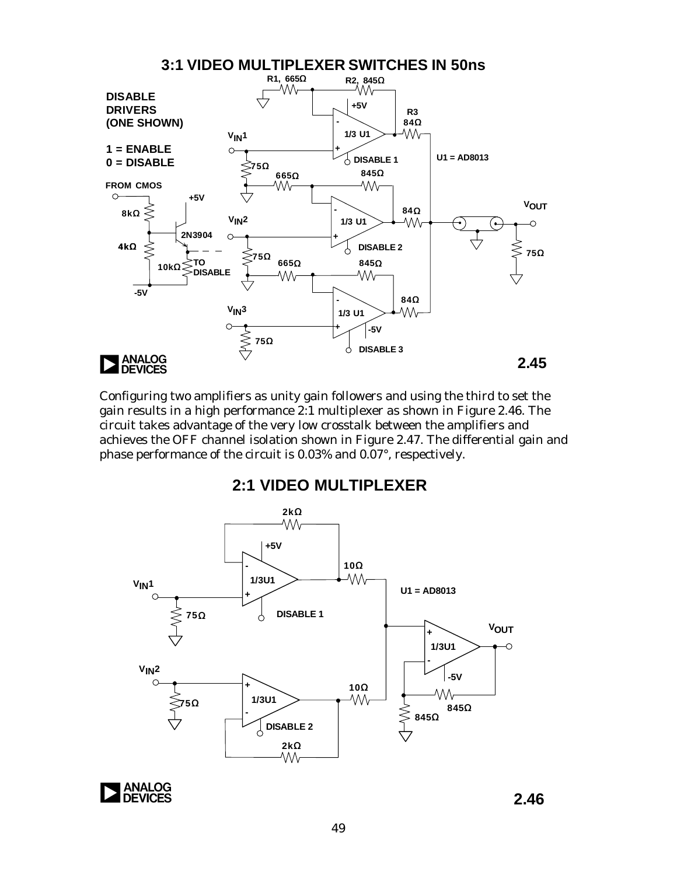

Configuring two amplifiers as unity gain followers and using the third to set the gain results in a high performance 2:1 multiplexer as shown in Figure 2.46. The circuit takes advantage of the very low crosstalk between the amplifiers and achieves the OFF channel isolation shown in Figure 2.47. The differential gain and phase performance of the circuit is 0.03% and 0.07°, respectively.

**2:1 VIDEO MULTIPLEXER**





**2.46**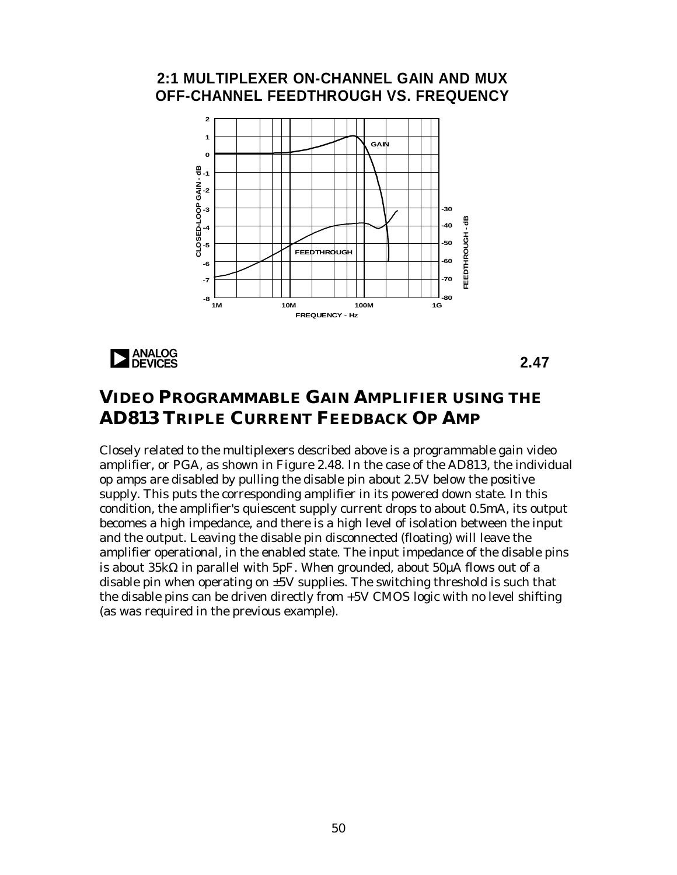#### **2:1 MULTIPLEXER ON-CHANNEL GAIN AND MUX OFF-CHANNEL FEEDTHROUGH VS. FREQUENCY**





## **VIDEO PROGRAMMABLE GAIN AMPLIFIER USING THE AD813 TRIPLE CURRENT FEEDBACK OP AMP**

Closely related to the multiplexers described above is a programmable gain video amplifier, or PGA, as shown in Figure 2.48. In the case of the AD813, the individual op amps are disabled by pulling the disable pin about 2.5V below the positive supply. This puts the corresponding amplifier in its powered down state. In this condition, the amplifier's quiescent supply current drops to about 0.5mA, its output becomes a high impedance, and there is a high level of isolation between the input and the output. Leaving the disable pin disconnected (floating) will leave the amplifier operational, in the enabled state. The input impedance of the disable pins is about  $35kΩ$  in parallel with  $5pF$ . When grounded, about  $50μA$  flows out of a disable pin when operating on  $\pm 5V$  supplies. The switching threshold is such that the disable pins can be driven directly from +5V CMOS logic with no level shifting (as was required in the previous example).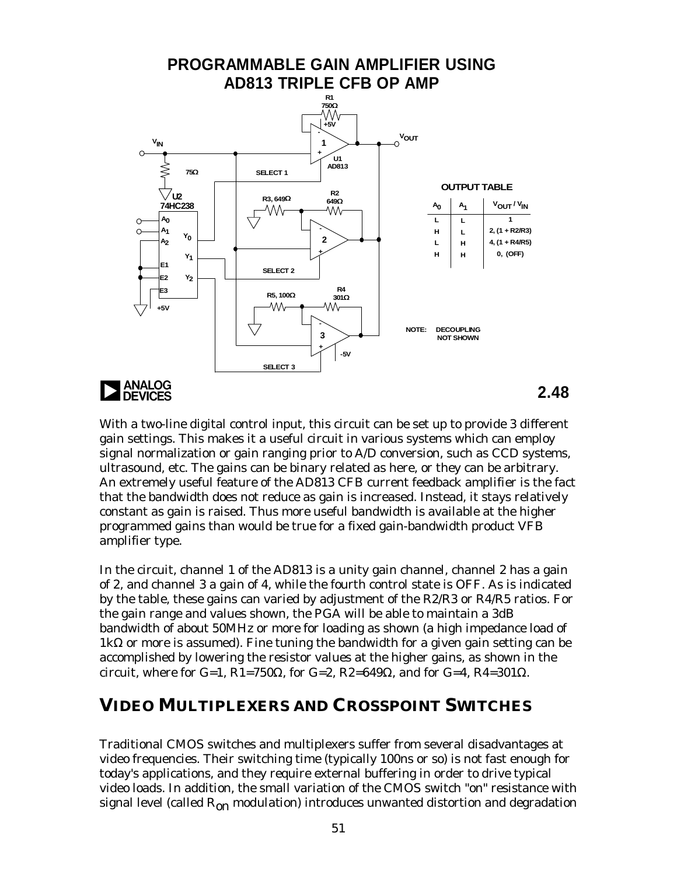

With a two-line digital control input, this circuit can be set up to provide 3 different gain settings. This makes it a useful circuit in various systems which can employ signal normalization or gain ranging prior to A/D conversion, such as CCD systems, ultrasound, etc. The gains can be binary related as here, or they can be arbitrary. An extremely useful feature of the AD813 CFB current feedback amplifier is the fact that the bandwidth does not reduce as gain is increased. Instead, it stays relatively constant as gain is raised. Thus more useful bandwidth is available at the higher programmed gains than would be true for a fixed gain-bandwidth product VFB amplifier type.

In the circuit, channel 1 of the AD813 is a unity gain channel, channel 2 has a gain of 2, and channel 3 a gain of 4, while the fourth control state is OFF. As is indicated by the table, these gains can varied by adjustment of the R2/R3 or R4/R5 ratios. For the gain range and values shown, the PGA will be able to maintain a 3dB bandwidth of about 50MHz or more for loading as shown (a high impedance load of 1kΩ or more is assumed). Fine tuning the bandwidth for a given gain setting can be accomplished by lowering the resistor values at the higher gains, as shown in the circuit, where for G=1, R1=750 $\Omega$ , for G=2, R2=649 $\Omega$ , and for G=4, R4=301 $\Omega$ .

## **VIDEO MULTIPLEXERS AND CROSSPOINT SWITCHES**

Traditional CMOS switches and multiplexers suffer from several disadvantages at video frequencies. Their switching time (typically 100ns or so) is not fast enough for today's applications, and they require external buffering in order to drive typical video loads. In addition, the small variation of the CMOS switch "on" resistance with signal level (called *Ron modulation*) introduces unwanted distortion and degradation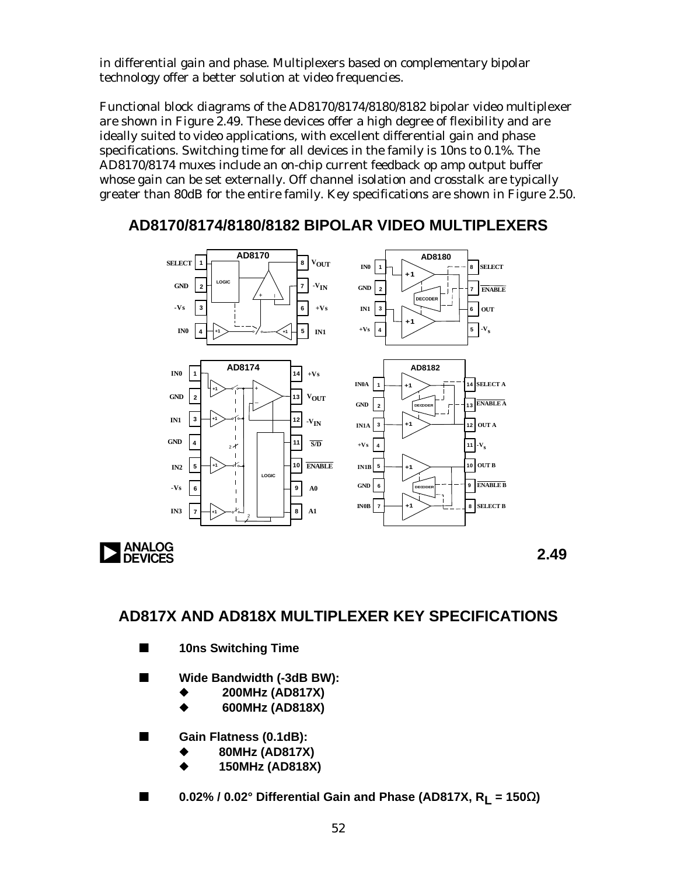in differential gain and phase. Multiplexers based on complementary bipolar technology offer a better solution at video frequencies.

Functional block diagrams of the AD8170/8174/8180/8182 bipolar video multiplexer are shown in Figure 2.49. These devices offer a high degree of flexibility and are ideally suited to video applications, with excellent differential gain and phase specifications. Switching time for all devices in the family is 10ns to 0.1%. The AD8170/8174 muxes include an on-chip current feedback op amp output buffer whose gain can be set externally. Off channel isolation and crosstalk are typically greater than 80dB for the entire family. Key specifications are shown in Figure 2.50.



## **AD8170/8174/8180/8182 BIPOLAR VIDEO MULTIPLEXERS**





#### **AD817X AND AD818X MULTIPLEXER KEY SPECIFICATIONS**

- **n** 10ns Switching Time
- Wide Bandwidth (-3dB BW):
	- u **200MHz (AD817X)**
	- u **600MHz (AD818X)**
- Gain Flatness (0.1dB):
	- u **80MHz (AD817X)**
	- u **150MHz (AD818X)**
- n **0.02% / 0.02° Differential Gain and Phase (AD817X, RL = 150**Ω**)**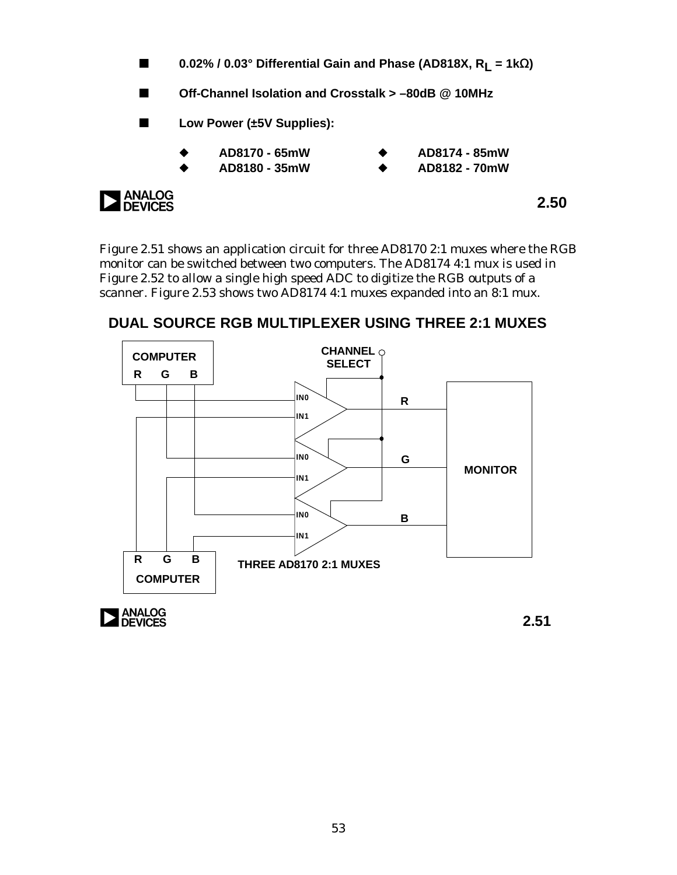- $\blacksquare$  0.02% / 0.03° Differential Gain and Phase (AD818X, R<sub>L</sub> = 1kΩ)
- Off-Channel Isolation and Crosstalk > -80dB @ 10MHz
- Low Power (±5V Supplies):
	- u **AD8170 65mW** u **AD8174 85mW**
		- u **AD8180 35mW** u **AD8182 70mW**



**2.50**

Figure 2.51 shows an application circuit for three AD8170 2:1 muxes where the RGB monitor can be switched between two computers. The AD8174 4:1 mux is used in Figure 2.52 to allow a single high speed ADC to digitize the RGB outputs of a scanner. Figure 2.53 shows two AD8174 4:1 muxes expanded into an 8:1 mux.

#### **IN0 IN1 IN0 IN1 IN0 IN1 EXAMALOG 2.51 THREE AD8170 2:1 MUXES CHANNEL SELECT MONITOR R G B COMPUTER R G B COMPUTER R G B**

#### **DUAL SOURCE RGB MULTIPLEXER USING THREE 2:1 MUXES**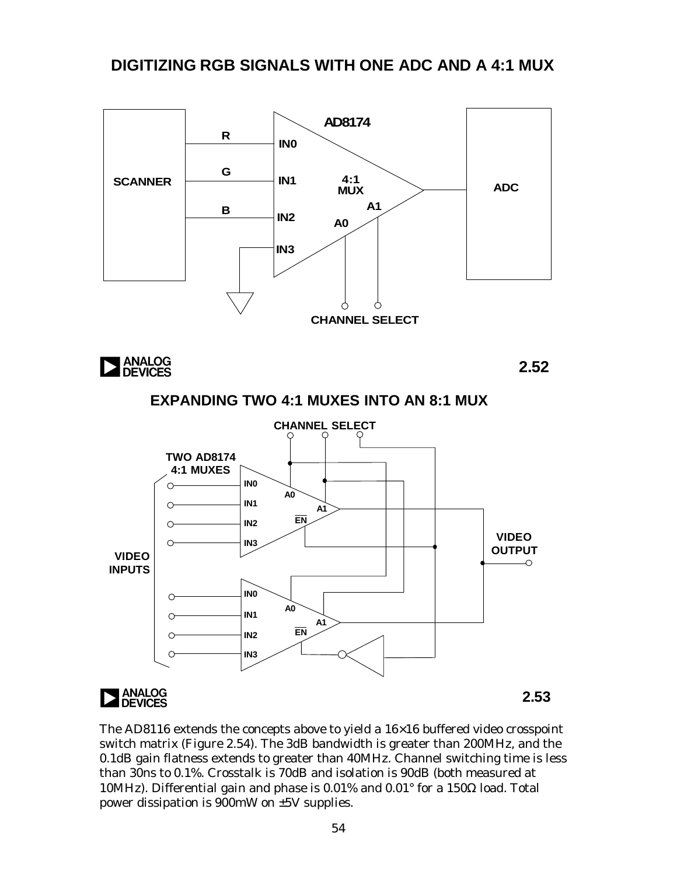#### **DIGITIZING RGB SIGNALS WITH ONE ADC AND A 4:1 MUX**



The AD8116 extends the concepts above to yield a  $16\times16$  buffered video crosspoint switch matrix (Figure 2.54). The 3dB bandwidth is greater than 200MHz, and the 0.1dB gain flatness extends to greater than 40MHz. Channel switching time is less than 30ns to 0.1%. Crosstalk is 70dB and isolation is 90dB (both measured at 10MHz). Differential gain and phase is 0.01% and 0.01° for a 150Ω load. Total power dissipation is 900mW on ±5V supplies.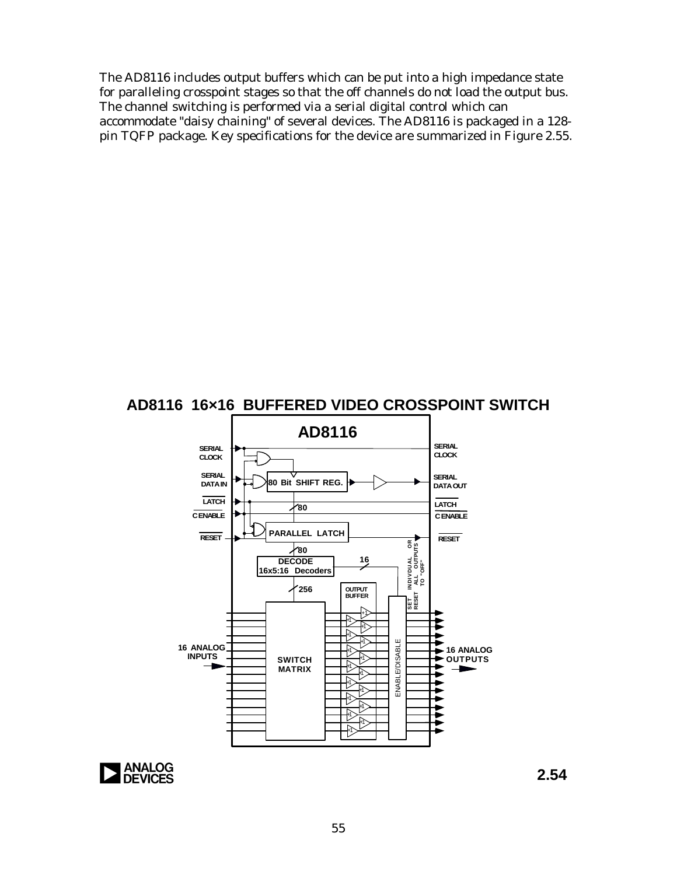The AD8116 includes output buffers which can be put into a high impedance state for paralleling crosspoint stages so that the off channels do not load the output bus. The channel switching is performed via a serial digital control which can accommodate "daisy chaining" of several devices. The AD8116 is packaged in a 128 pin TQFP package. Key specifications for the device are summarized in Figure 2.55.



#### **AD8116 16×16 BUFFERED VIDEO CROSSPOINT SWITCH**

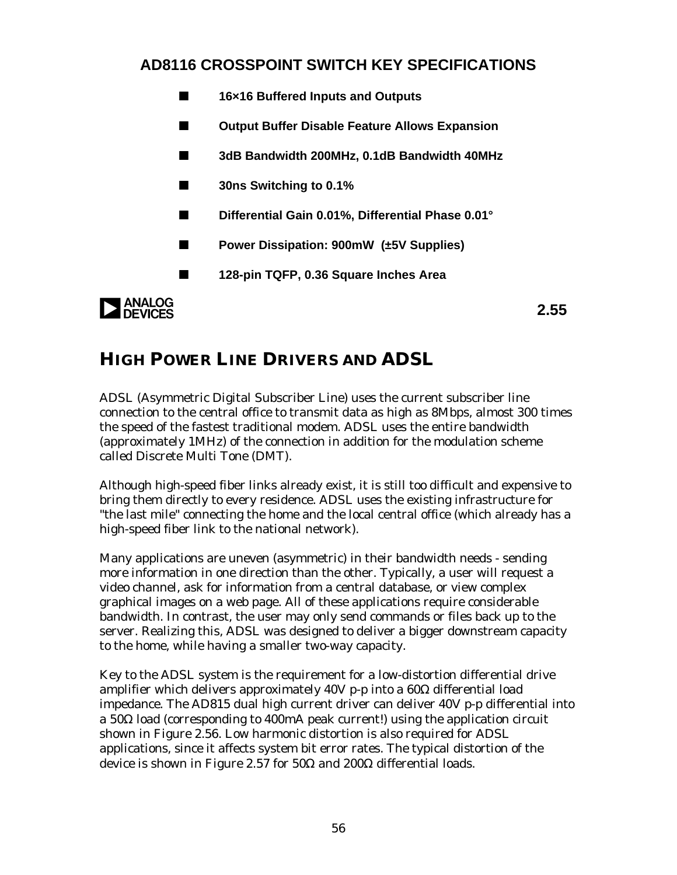#### **AD8116 CROSSPOINT SWITCH KEY SPECIFICATIONS**

- 16×16 Buffered Inputs and Outputs
- Output Buffer Disable Feature Allows Expansion
- 3dB Bandwidth 200MHz, 0.1dB Bandwidth 40MHz
- **No. 30ns Switching to 0.1%**
- Differential Gain 0.01%, Differential Phase 0.01°
- Power Dissipation: 900mW (±5V Supplies)
- 128-pin TQFP, 0.36 Square Inches Area

**ANALOG**<br>DEVICES

**2.55**

## **HIGH POWER LINE DRIVERS AND ADSL**

ADSL (Asymmetric Digital Subscriber Line) uses the current subscriber line connection to the central office to transmit data as high as 8Mbps, almost 300 times the speed of the fastest traditional modem. ADSL uses the entire bandwidth (approximately 1MHz) of the connection in addition for the modulation scheme called Discrete Multi Tone (DMT).

Although high-speed fiber links already exist, it is still too difficult and expensive to bring them directly to every residence. ADSL uses the existing infrastructure for "the last mile" connecting the home and the local central office (which already has a high-speed fiber link to the national network).

Many applications are uneven (asymmetric) in their bandwidth needs - sending more information in one direction than the other. Typically, a user will request a video channel, ask for information from a central database, or view complex graphical images on a web page. All of these applications require considerable bandwidth. In contrast, the user may only send commands or files back up to the server. Realizing this, ADSL was designed to deliver a bigger downstream capacity to the home, while having a smaller two-way capacity.

Key to the ADSL system is the requirement for a low-distortion differential drive amplifier which delivers approximately 40V p-p into a  $60Ω$  differential load impedance. The AD815 dual high current driver can deliver 40V p-p differential into a 50 $\Omega$  load (corresponding to 400mA peak current!) using the application circuit shown in Figure 2.56. Low harmonic distortion is also required for ADSL applications, since it affects system bit error rates. The typical distortion of the device is shown in Figure 2.57 for 50Ω and 200Ω differential loads.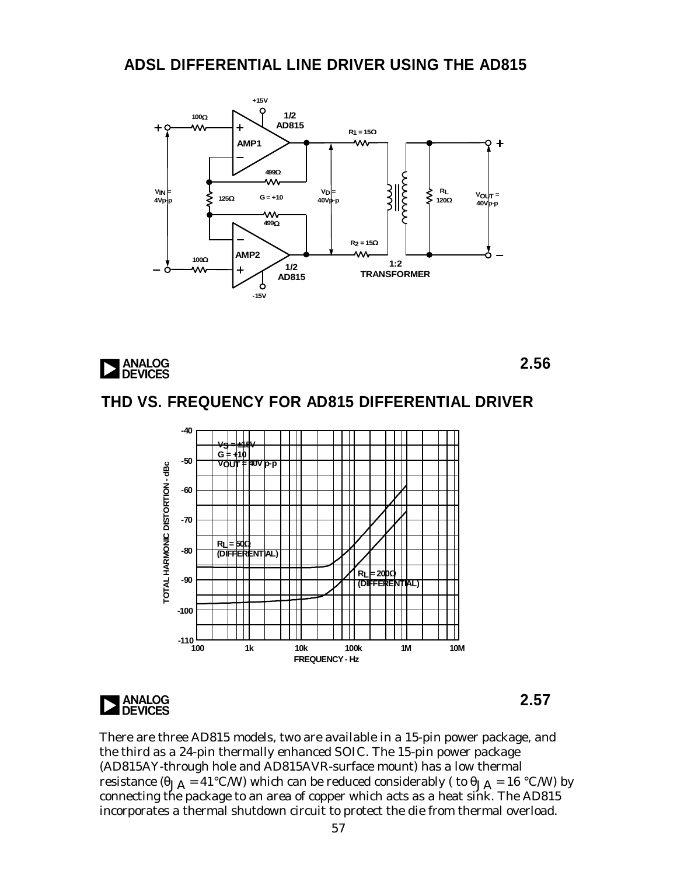#### **ADSL DIFFERENTIAL LINE DRIVER USING THE AD815**



# analog **2.56**<br>DEVICES 2.56

#### **THD VS. FREQUENCY FOR AD815 DIFFERENTIAL DRIVER**





There are three AD815 models, two are available in a 15-pin power package, and the third as a 24-pin thermally enhanced SOIC. The 15-pin power package (AD815AY-through hole and AD815AVR-surface mount) has a low thermal resistance ( $\theta_{JA} = 41^{\circ}$ C/W) which can be reduced considerably ( to  $\theta_{JA} = 16 \degree$ C/W) by connecting the package to an area of copper which acts as a heat sink. The AD815 incorporates a thermal shutdown circuit to protect the die from thermal overload.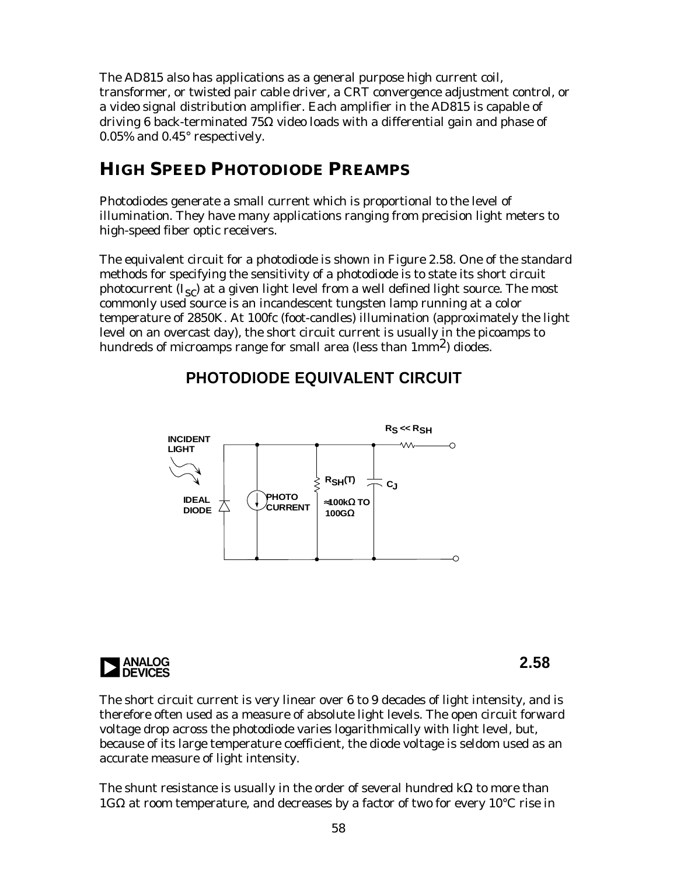The AD815 also has applications as a general purpose high current coil, transformer, or twisted pair cable driver, a CRT convergence adjustment control, or a video signal distribution amplifier. Each amplifier in the AD815 is capable of driving 6 back-terminated 75Ω video loads with a differential gain and phase of 0.05% and 0.45° respectively.

## **HIGH SPEED PHOTODIODE PREAMPS**

Photodiodes generate a small current which is proportional to the level of illumination. They have many applications ranging from precision light meters to high-speed fiber optic receivers.

The equivalent circuit for a photodiode is shown in Figure 2.58. One of the standard methods for specifying the sensitivity of a photodiode is to state its short circuit photocurrent  $(I_{sc})$  at a given light level from a well defined light source. The most commonly used source is an incandescent tungsten lamp running at a color temperature of 2850K. At 100fc (foot-candles) illumination (approximately the light level on an overcast day), the short circuit current is usually in the picoamps to hundreds of microamps range for small area (less than  $1mm<sup>2</sup>$ ) diodes.



## **PHOTODIODE EQUIVALENT CIRCUIT**

**2.58**<br>**2.58**<br>**2.58** 

The short circuit current is very linear over 6 to 9 decades of light intensity, and is therefore often used as a measure of absolute light levels. The open circuit forward voltage drop across the photodiode varies logarithmically with light level, but, because of its large temperature coefficient, the diode voltage is seldom used as an accurate measure of light intensity.

The shunt resistance is usually in the order of several hundred  $k\Omega$  to more than  $1GΩ$  at room temperature, and decreases by a factor of two for every  $10°C$  rise in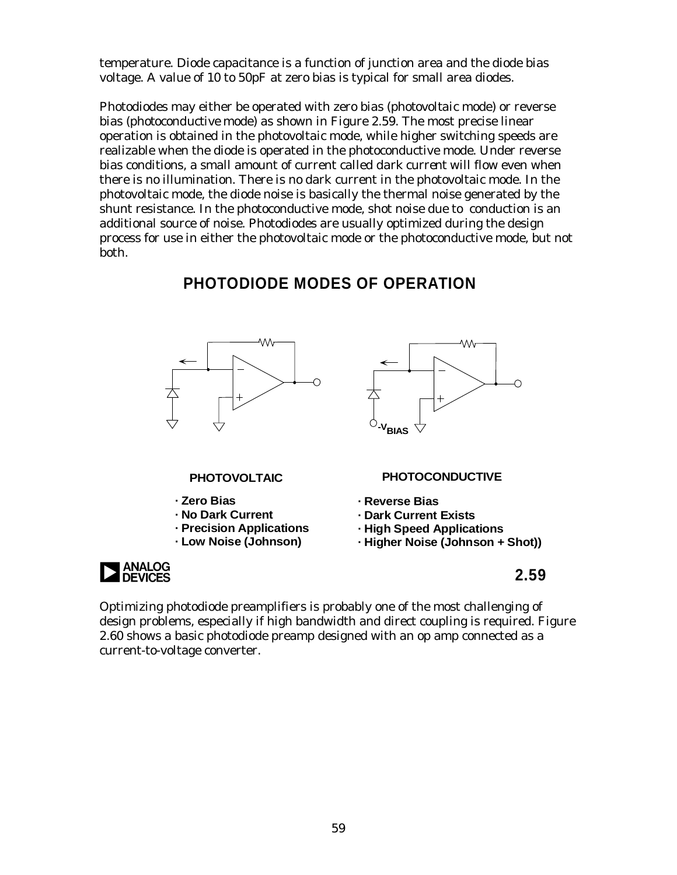temperature. Diode capacitance is a function of junction area and the diode bias voltage. A value of 10 to 50pF at zero bias is typical for small area diodes.

Photodiodes may either be operated with zero bias (*photovoltaic* mode) or reverse bias (*photoconductive* mode) as shown in Figure 2.59. The most precise linear operation is obtained in the photovoltaic mode, while higher switching speeds are realizable when the diode is operated in the photoconductive mode. Under reverse bias conditions, a small amount of current called *dark current* will flow even when there is no illumination. There is no dark current in the photovoltaic mode. In the photovoltaic mode, the diode noise is basically the thermal noise generated by the shunt resistance. In the photoconductive mode, shot noise due to conduction is an additional source of noise. Photodiodes are usually optimized during the design process for use in either the photovoltaic mode or the photoconductive mode, but not both.

## **PHOTODIODE MODES OF OPERATION**



- **· Zero Bias**
- **· No Dark Current**
- **· Precision Applications**
- **· Low Noise (Johnson)**



#### **PHOTOVOLTAIC PHOTOCONDUCTIVE**

- **· Reverse Bias**
- **· Dark Current Exists**
- **· High Speed Applications**
- **· Higher Noise (Johnson + Shot))**

# **2.59**<br>**2.59**<br>**2.59**

Optimizing photodiode preamplifiers is probably one of the most challenging of design problems, especially if high bandwidth and direct coupling is required. Figure 2.60 shows a basic photodiode preamp designed with an op amp connected as a current-to-voltage converter.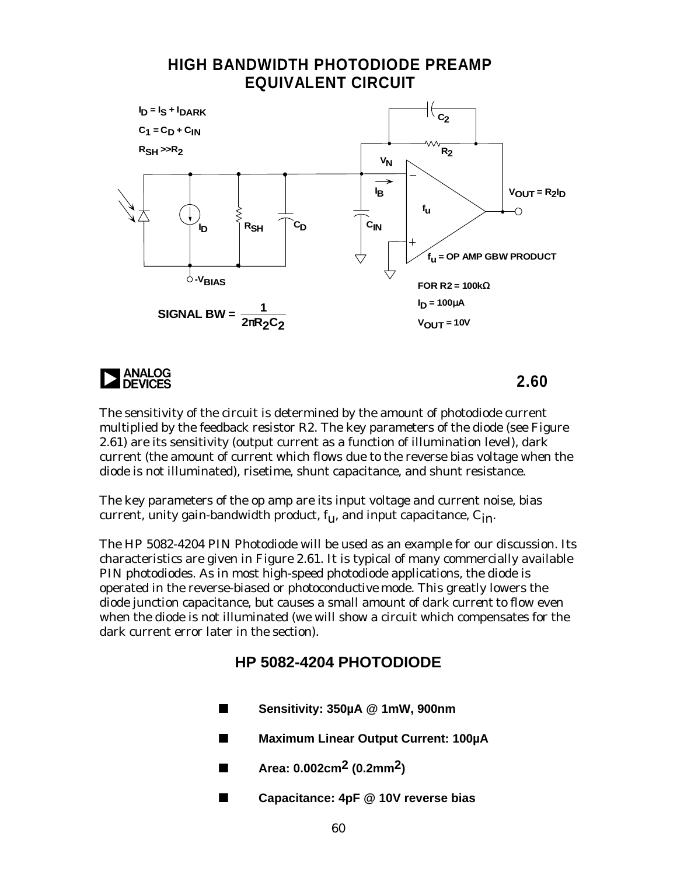

# **2.60**<br>**2.60**<br>**2.60**

The sensitivity of the circuit is determined by the amount of photodiode current multiplied by the feedback resistor R2. The key parameters of the diode (see Figure 2.61) are its sensitivity (output current as a function of illumination level), dark current (the amount of current which flows due to the reverse bias voltage when the diode is not illuminated), risetime, shunt capacitance, and shunt resistance.

The key parameters of the op amp are its input voltage and current noise, bias current, unity gain-bandwidth product,  $f_{11}$ , and input capacitance,  $C_{11}$ .

The HP 5082-4204 PIN Photodiode will be used as an example for our discussion. Its characteristics are given in Figure 2.61. It is typical of many commercially available PIN photodiodes. As in most high-speed photodiode applications, the diode is operated in the reverse-biased or *photoconductive* mode. This greatly lowers the diode junction capacitance, but causes a small amount of *dark current* to flow even when the diode is not illuminated (we will show a circuit which compensates for the dark current error later in the section).

#### **HP 5082-4204 PHOTODIODE**

■ Sensitivity: 350µA @ 1mW, 900nm ■ Maximum Linear Output Current: 100µA ■ Area: 0.002cm<sup>2</sup> (0.2mm<sup>2</sup>) ■ Capacitance: 4pF @ 10V reverse bias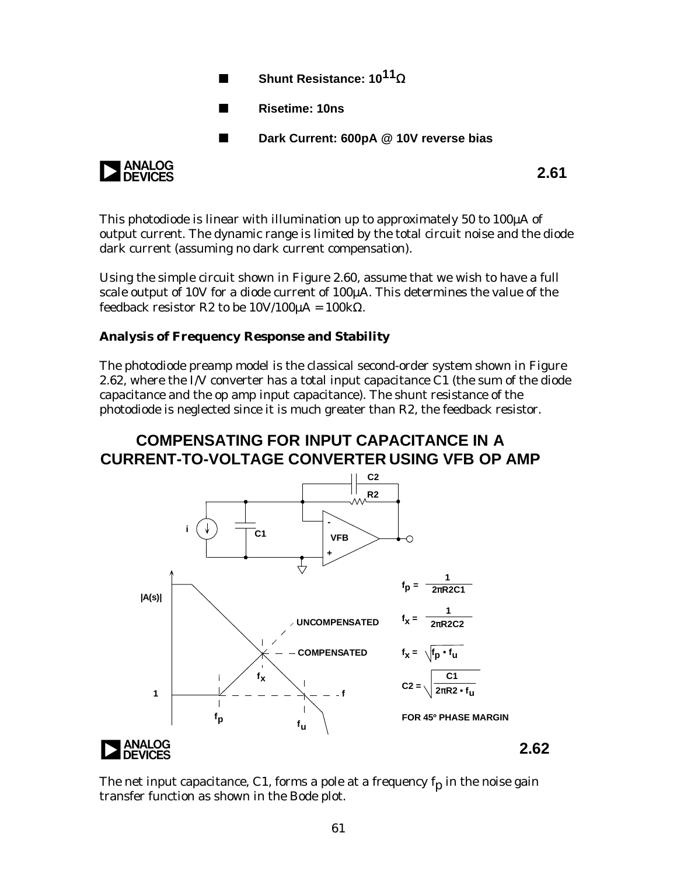- n **Shunt Resistance: 1011**Ω
- n **Risetime: 10ns**
- Dark Current: 600pA @ 10V reverse bias



**2.61**

This photodiode is linear with illumination up to approximately 50 to 100µA of output current. The dynamic range is limited by the total circuit noise and the diode dark current (assuming no dark current compensation).

Using the simple circuit shown in Figure 2.60, assume that we wish to have a full scale output of 10V for a diode current of 100µA. This determines the value of the feedback resistor R2 to be  $10V/100\mu A = 100k\Omega$ .

#### **Analysis of Frequency Response and Stability**

The photodiode preamp model is the classical second-order system shown in Figure 2.62, where the I/V converter has a total input capacitance C1 (the sum of the diode capacitance and the op amp input capacitance). The shunt resistance of the photodiode is neglected since it is much greater than R2, the feedback resistor.

## **COMPENSATING FOR INPUT CAPACITANCE IN A CURRENT-TO-VOLTAGE CONVERTER USING VFB OP AMP**



The net input capacitance, C1, forms a pole at a frequency  $f_p$  in the noise gain transfer function as shown in the Bode plot.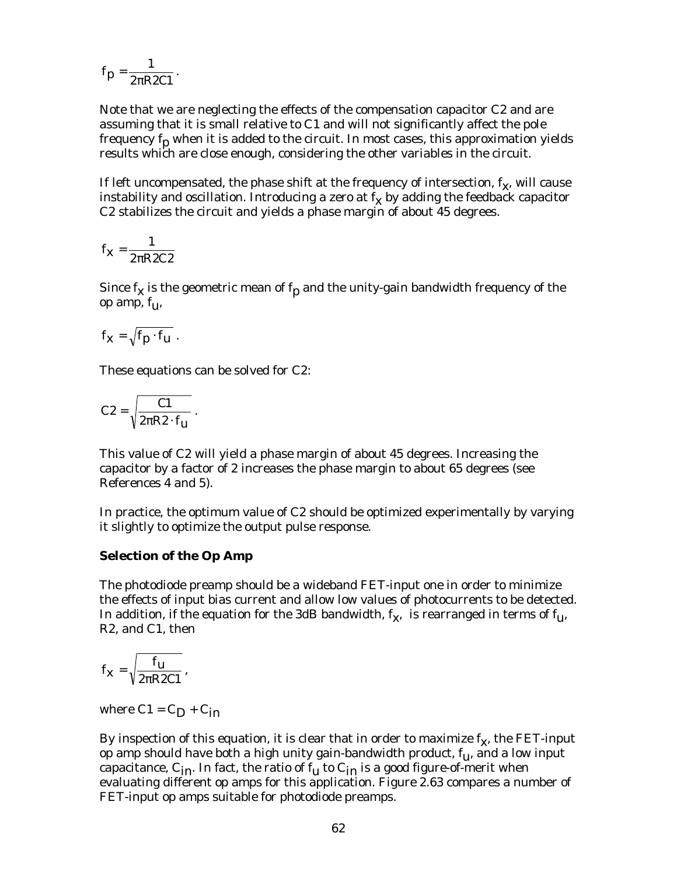$$
f_p = \frac{1}{2\pi R2Cl}.
$$

Note that we are neglecting the effects of the compensation capacitor C2 and are assuming that it is small relative to C1 and will not significantly affect the pole frequency  $f_p$  when it is added to the circuit. In most cases, this approximation yields results which are close enough, considering the other variables in the circuit.

If left uncompensated, the phase shift at the frequency of intersection,  $\rm f_{\rm \bf X}$ , will cause instability and oscillation. Introducing a zero at  $\rm{f}_{\rm X}$  by adding the feedback capacitor C2 stabilizes the circuit and yields a phase margin of about 45 degrees.

$$
f_{\mathbf{X}} = \frac{1}{2\pi R2C2}
$$

Since  $\rm f_{\rm \bf X}$  is the geometric mean of  $\rm f_{\rm \bf p}$  and the unity-gain bandwidth frequency of the op amp,  $f_{\mathbf{u}}$ ,

$$
f_{\mathbf{X}}=\sqrt{f_{\mathbf{p}}\cdot f_{\mathbf{u}}}\ .
$$

These equations can be solved for C2:

$$
C2 = \sqrt{\frac{C1}{2\pi R2 \cdot f_{\mathbf{u}}}} \ .
$$

This value of C2 will yield a phase margin of about 45 degrees. Increasing the capacitor by a factor of 2 increases the phase margin to about 65 degrees (see References 4 and 5).

In practice, the optimum value of C2 should be optimized experimentally by varying it slightly to optimize the output pulse response.

#### **Selection of the Op Amp**

The photodiode preamp should be a wideband FET-input one in order to minimize the effects of input bias current and allow low values of photocurrents to be detected. In addition, if the equation for the 3dB bandwidth,  $f_{\mathbf{x}}$ ,  $\,$  is rearranged in terms of  $f_{\mathbf{u}}$ , R2, and C1, then

$$
f_{\mathbf{X}}=\sqrt{\frac{f_{\mathbf{U}}}{2\pi R2C1}}\,,
$$

where  $C1 = C_D + C_{in}$ 

By inspection of this equation, it is clear that in order to maximize  $\mathrm{f}_{\mathbf{X}^{\prime}}$  the FET-input op amp should have both a high unity gain-bandwidth product,  $f_{\rm u}$ , and a low input capacitance,  $C_{in}$ . In fact, the ratio of  $f<sub>u</sub>$  to  $C_{in}$  is a good figure-of-merit when evaluating different op amps for this application. Figure 2.63 compares a number of FET-input op amps suitable for photodiode preamps.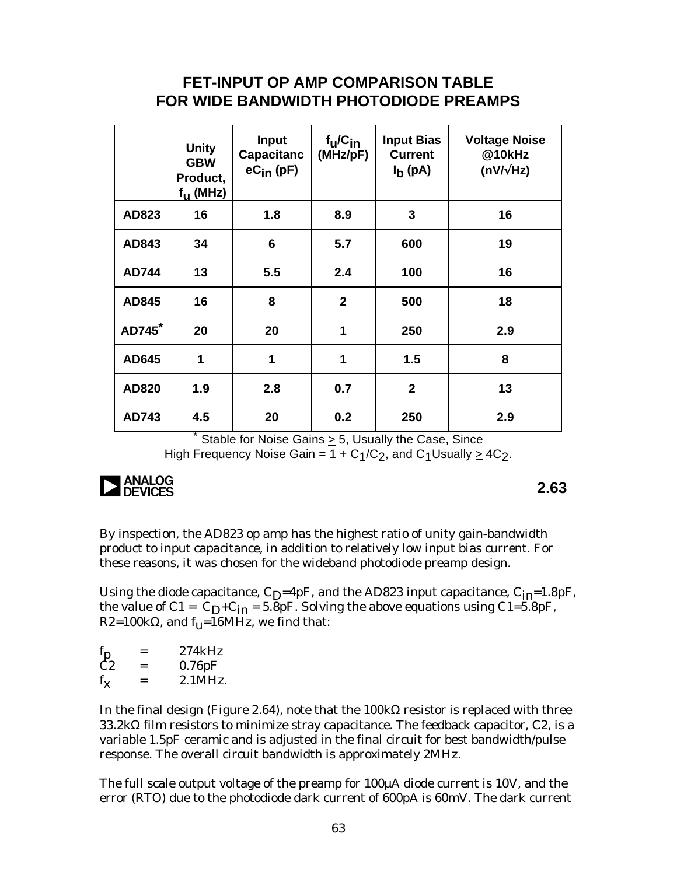#### **FET-INPUT OP AMP COMPARISON TABLE FOR WIDE BANDWIDTH PHOTODIODE PREAMPS**

|              | <b>Unity</b><br><b>GBW</b><br>Product,<br>$f_{11}$ (MHz) | <b>Input</b><br><b>Capacitanc</b><br>$eC_{in}$ (pF) | $f_U/C_{in}$<br>(MHz/pF) | <b>Input Bias</b><br><b>Current</b><br>$I_{b}$ (pA) | <b>Voltage Noise</b><br>@10kHz<br>$(nV/\sqrt{Hz})$ |
|--------------|----------------------------------------------------------|-----------------------------------------------------|--------------------------|-----------------------------------------------------|----------------------------------------------------|
| AD823        | 16                                                       | 1.8                                                 | 8.9                      | 3                                                   | 16                                                 |
| AD843        | 34                                                       | 6                                                   | 5.7                      | 600                                                 | 19                                                 |
| <b>AD744</b> | 13                                                       | 5.5                                                 | 2.4                      | 100                                                 | 16                                                 |
| AD845        | 16                                                       | 8                                                   | $\overline{2}$           | 500                                                 | 18                                                 |
| AD745*       | 20                                                       | 20                                                  | 1                        | 250                                                 | 2.9                                                |
| AD645        | 1                                                        | 1                                                   | 1                        | 1.5                                                 | 8                                                  |
| AD820        | 1.9                                                      | 2.8                                                 | 0.7                      | $\overline{2}$                                      | 13                                                 |
| AD743        | 4.5                                                      | 20                                                  | 0.2                      | 250                                                 | 2.9                                                |

\* Stable for Noise Gains > 5, Usually the Case, Since High Frequency Noise Gain =  $1 + C_1/C_2$ , and  $C_1$ Usually  $\geq 4C_2$ .<br> **ANALOG**<br> **DEVICES** 



**2.63**

By inspection, the AD823 op amp has the highest ratio of unity gain-bandwidth product to input capacitance, in addition to relatively low input bias current. For these reasons, it was chosen for the wideband photodiode preamp design.

Using the diode capacitance,  $C_D=4pF$ , and the AD823 input capacitance,  $C_{in}=1.8pF$ , the value of C1 =  $C_D+C_{in}$  = 5.8pF. Solving the above equations using C1=5.8pF, R2=100k $\Omega$ , and f<sub>u</sub>=16MHz, we find that:

| $f_{\rm P,2}$    | =   | 274kHz     |
|------------------|-----|------------|
|                  | =   | 0.76pF     |
| $f_{\mathbf{x}}$ | $=$ | $2.1$ MHz. |

In the final design (Figure 2.64), note that the 100k $\Omega$  resistor is replaced with three  $33.2k\Omega$  film resistors to minimize stray capacitance. The feedback capacitor, C2, is a variable 1.5pF ceramic and is adjusted in the final circuit for best bandwidth/pulse response. The overall circuit bandwidth is approximately 2MHz.

The full scale output voltage of the preamp for 100µA diode current is 10V, and the error (RTO) due to the photodiode dark current of 600pA is 60mV. The dark current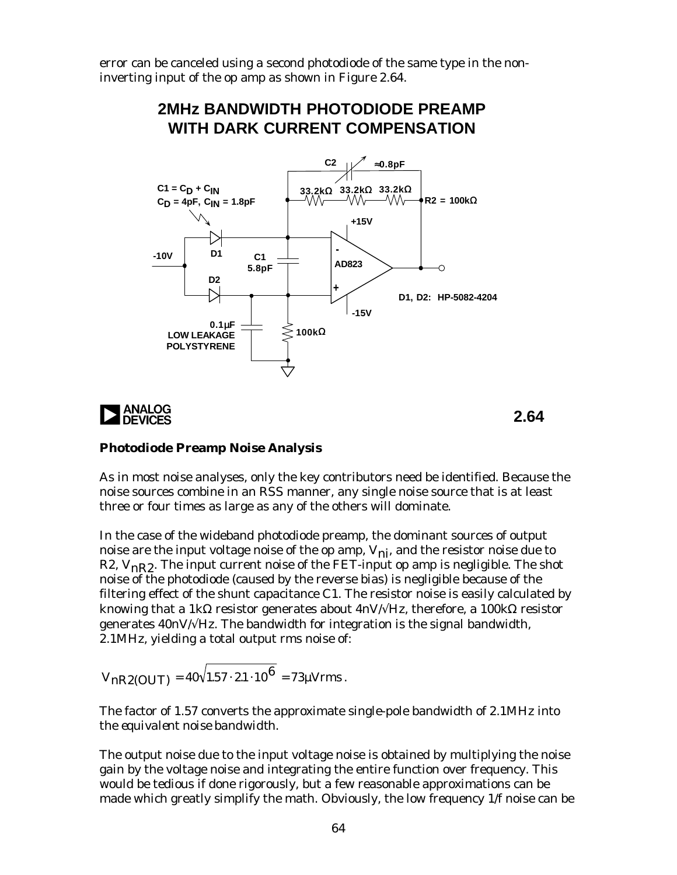error can be canceled using a second photodiode of the same type in the noninverting input of the op amp as shown in Figure 2.64.

#### **2MHz BANDWIDTH PHOTODIODE PREAMP WITH DARK CURRENT COMPENSATION**





**2.64**

#### **Photodiode Preamp Noise Analysis**

As in most noise analyses, only the key contributors need be identified. Because the noise sources combine in an RSS manner, any single noise source that is at least three or four times as large as any of the others will dominate.

In the case of the wideband photodiode preamp, the dominant sources of output noise are the input voltage noise of the op amp,  $V_{ni}$ , and the resistor noise due to R2,  $V_{nR2}$ . The input current noise of the FET-input op amp is negligible. The shot noise of the photodiode (caused by the reverse bias) is negligible because of the filtering effect of the shunt capacitance C1. The resistor noise is easily calculated by knowing that a 1kΩ resistor generates about  $4nV/\sqrt{Hz}$ , therefore, a 100kΩ resistor generates 40nV/√Hz. The bandwidth for integration is the signal bandwidth, 2.1MHz, yielding a total output rms noise of:

$$
V_{nR2(OUT)} = 40\sqrt{1.57 \cdot 2.1 \cdot 10^6} = 73 \mu V \text{rms} \,.
$$

The factor of 1.57 converts the approximate single-pole bandwidth of 2.1MHz into the *equivalent noise bandwidth*.

The output noise due to the input voltage noise is obtained by multiplying the noise gain by the voltage noise and integrating the entire function over frequency. This would be tedious if done rigorously, but a few reasonable approximations can be made which greatly simplify the math. Obviously, the low frequency 1/f noise can be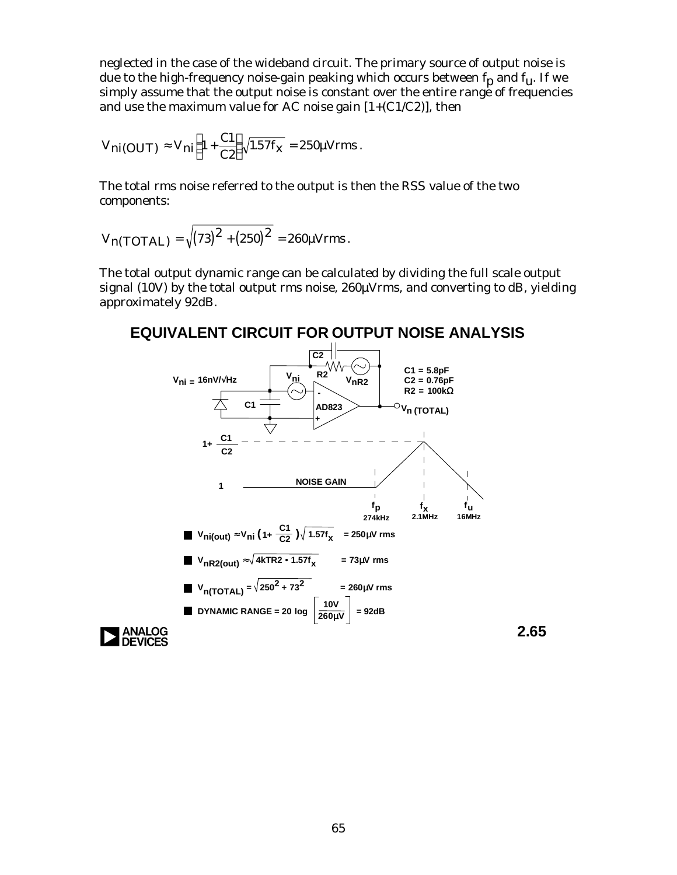neglected in the case of the wideband circuit. The primary source of output noise is due to the high-frequency noise-gain peaking which occurs between  $f_p$  and  $f_q$ . If we simply assume that the output noise is constant over the entire range of frequencies and use the maximum value for AC noise gain [1+(C1/C2)], then

$$
V_{\mathbf{n}i(OUT)} \approx V_{\mathbf{n}i} \left( 1 + \frac{C1}{C2} \right) \sqrt{1.57 f_{\mathbf{x}}} = 250 \mu V \mathbf{rms} \, .
$$

The total rms noise referred to the output is then the RSS value of the two components:

$$
V_{n(TOTAL)} = \sqrt{(73)^{2} + (250)^{2}} = 260 \mu V \text{rms}.
$$

The total output dynamic range can be calculated by dividing the full scale output signal (10V) by the total output rms noise, 260µVrms, and converting to dB, yielding approximately 92dB.